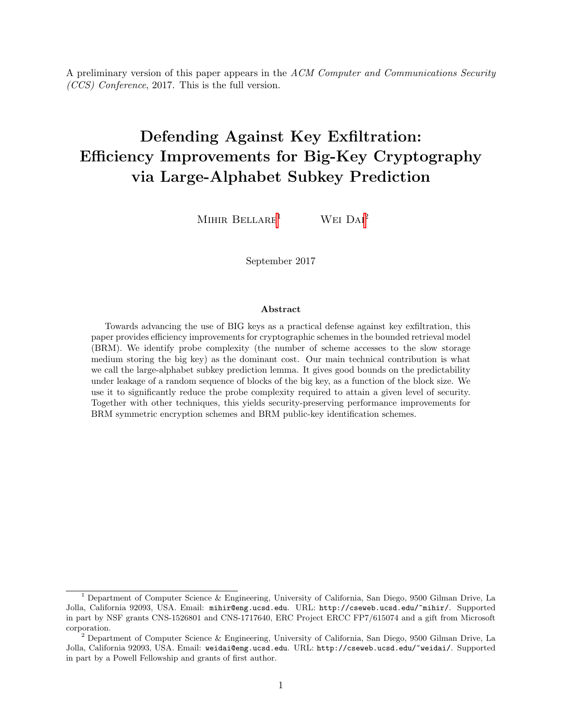A preliminary version of this paper appears in the ACM Computer and Communications Security (CCS) Conference, 2017. This is the full version.

# Defending Against Key Exfiltration: Efficiency Improvements for Big-Key Cryptography via Large-Alphabet Subkey Prediction

MIHIR BELLARE<sup>1</sup> WEI  $DAI<sup>2</sup>$ 

September 2017

#### Abstract

Towards advancing the use of BIG keys as a practical defense against key exfiltration, this paper provides efficiency improvements for cryptographic schemes in the bounded retrieval model (BRM). We identify probe complexity (the number of scheme accesses to the slow storage medium storing the big key) as the dominant cost. Our main technical contribution is what we call the large-alphabet subkey prediction lemma. It gives good bounds on the predictability under leakage of a random sequence of blocks of the big key, as a function of the block size. We use it to significantly reduce the probe complexity required to attain a given level of security. Together with other techniques, this yields security-preserving performance improvements for BRM symmetric encryption schemes and BRM public-key identification schemes.

<sup>&</sup>lt;sup>1</sup> Department of Computer Science & Engineering, University of California, San Diego, 9500 Gilman Drive, La Jolla, California 92093, USA. Email: mihir@eng.ucsd.edu. URL: http://cseweb.ucsd.edu/~mihir/. Supported in part by NSF grants CNS-1526801 and CNS-1717640, ERC Project ERCC FP7/615074 and a gift from Microsoft corporation.

<sup>2</sup> Department of Computer Science & Engineering, University of California, San Diego, 9500 Gilman Drive, La Jolla, California 92093, USA. Email: weidai@eng.ucsd.edu. URL: http://cseweb.ucsd.edu/~weidai/. Supported in part by a Powell Fellowship and grants of first author.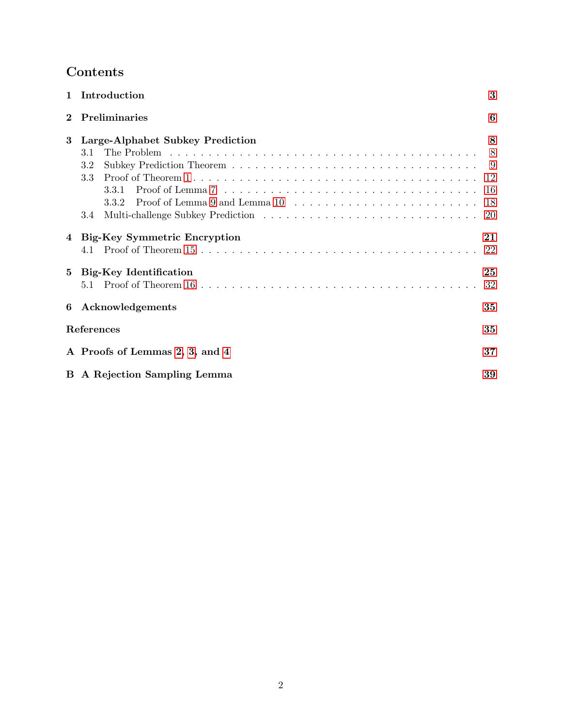## Contents

| $\mathbf{1}$    | Introduction                              | 3              |  |  |  |
|-----------------|-------------------------------------------|----------------|--|--|--|
| $\bf{2}$        | Preliminaries                             | 6              |  |  |  |
| 3               | Large-Alphabet Subkey Prediction          | 8              |  |  |  |
|                 | 3.1                                       | 8 <sup>8</sup> |  |  |  |
|                 | 3.2                                       |                |  |  |  |
|                 | 3.3                                       |                |  |  |  |
|                 | 3.3.1                                     | -16            |  |  |  |
|                 |                                           | 18             |  |  |  |
|                 | 3.4                                       | 20             |  |  |  |
| 4               | <b>Big-Key Symmetric Encryption</b>       | 21             |  |  |  |
|                 | 4.1                                       | 22             |  |  |  |
| $5\phantom{.0}$ | <b>Big-Key Identification</b>             | 25             |  |  |  |
|                 |                                           | 32             |  |  |  |
| 6               | Acknowledgements                          | 35             |  |  |  |
|                 | References                                | 35             |  |  |  |
|                 | 37<br>A Proofs of Lemmas 2, 3, and 4      |                |  |  |  |
|                 | <b>B</b> A Rejection Sampling Lemma<br>39 |                |  |  |  |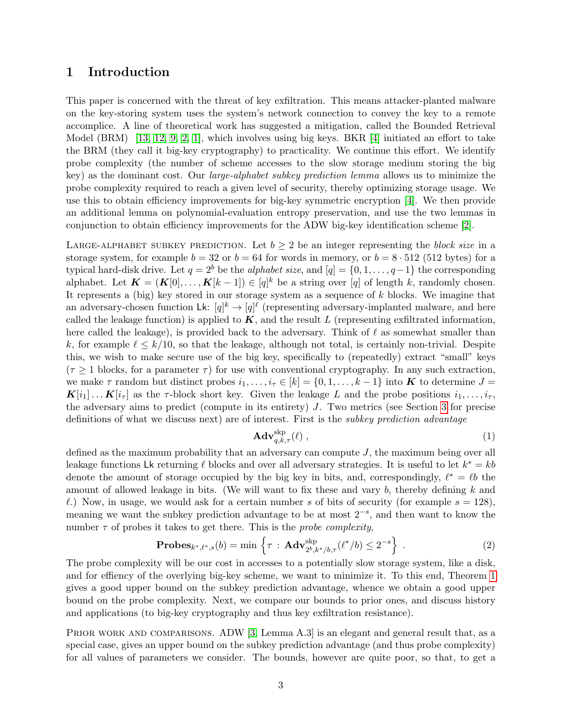## <span id="page-2-1"></span><span id="page-2-0"></span>1 Introduction

This paper is concerned with the threat of key exfiltration. This means attacker-planted malware on the key-storing system uses the system's network connection to convey the key to a remote accomplice. A line of theoretical work has suggested a mitigation, called the Bounded Retrieval Model (BRM) [\[13,](#page-35-0) [12,](#page-35-1) [9,](#page-35-2) [2,](#page-34-1) [1\]](#page-34-2), which involves using big keys. BKR [\[4\]](#page-34-3) initiated an effort to take the BRM (they call it big-key cryptography) to practicality. We continue this effort. We identify probe complexity (the number of scheme accesses to the slow storage medium storing the big key) as the dominant cost. Our large-alphabet subkey prediction lemma allows us to minimize the probe complexity required to reach a given level of security, thereby optimizing storage usage. We use this to obtain efficiency improvements for big-key symmetric encryption [\[4\]](#page-34-3). We then provide an additional lemma on polynomial-evaluation entropy preservation, and use the two lemmas in conjunction to obtain efficiency improvements for the ADW big-key identification scheme [\[2\]](#page-34-1).

LARGE-ALPHABET SUBKEY PREDICTION. Let  $b \geq 2$  be an integer representing the block size in a storage system, for example  $b = 32$  or  $b = 64$  for words in memory, or  $b = 8 \cdot 512$  (512 bytes) for a typical hard-disk drive. Let  $q = 2^b$  be the *alphabet size*, and  $[q] = \{0, 1, \ldots, q-1\}$  the corresponding alphabet. Let  $\mathbf{K} = (\mathbf{K}[0], \ldots, \mathbf{K}[k-1]) \in [q]^k$  be a string over [q] of length k, randomly chosen. It represents a (big) key stored in our storage system as a sequence of  $k$  blocks. We imagine that an adversary-chosen function Lk:  $[q]^k \to [q]^{\ell}$  (representing adversary-implanted malware, and here called the leakage function) is applied to  $K$ , and the result L (representing exfiltrated information, here called the leakage), is provided back to the adversary. Think of  $\ell$  as somewhat smaller than k, for example  $\ell \leq k/10$ , so that the leakage, although not total, is certainly non-trivial. Despite this, we wish to make secure use of the big key, specifically to (repeatedly) extract "small" keys  $(\tau \geq 1)$  blocks, for a parameter  $\tau$ ) for use with conventional cryptography. In any such extraction, we make  $\tau$  random but distinct probes  $i_1, \ldots, i_{\tau} \in [k] = \{0, 1, \ldots, k-1\}$  into **K** to determine  $J =$  $\mathbf{K}[i_1] \dots \mathbf{K}[i_\tau]$  as the  $\tau$ -block short key. Given the leakage L and the probe positions  $i_1, \dots, i_\tau$ , the adversary aims to predict (compute in its entirety) J. Two metrics (see Section [3](#page-7-0) for precise definitions of what we discuss next) are of interest. First is the subkey prediction advantage

$$
\mathbf{Adv}_{q,k,\tau}^{\text{skp}}(\ell) ,\qquad \qquad (1)
$$

defined as the maximum probability that an adversary can compute  $J$ , the maximum being over all leakage functions Lk returning  $\ell$  blocks and over all adversary strategies. It is useful to let  $k^* = kb$ denote the amount of storage occupied by the big key in bits, and, correspondingly,  $\ell^* = \ell b$  the amount of allowed leakage in bits. (We will want to fix these and vary  $b$ , thereby defining  $k$  and  $\ell$ .) Now, in usage, we would ask for a certain number s of bits of security (for example  $s = 128$ ), meaning we want the subkey prediction advantage to be at most  $2^{-s}$ , and then want to know the number  $\tau$  of probes it takes to get there. This is the *probe complexity*,

**Probes**<sub>k\*,\ell^\*,s</sub>(b) = min 
$$
\left\{\tau : \mathbf{Adv}_{2^b,k^*/b,\tau}^{\text{skip}}(\ell^*/b) \leq 2^{-s}\right\}
$$
. (2)

The probe complexity will be our cost in accesses to a potentially slow storage system, like a disk, and for effiency of the overlying big-key scheme, we want to minimize it. To this end, Theorem [1](#page-8-1) gives a good upper bound on the subkey prediction advantage, whence we obtain a good upper bound on the probe complexity. Next, we compare our bounds to prior ones, and discuss history and applications (to big-key cryptography and thus key exfiltration resistance).

PRIOR WORK AND COMPARISONS. ADW [\[3,](#page-34-4) Lemma A.3] is an elegant and general result that, as a special case, gives an upper bound on the subkey prediction advantage (and thus probe complexity) for all values of parameters we consider. The bounds, however are quite poor, so that, to get a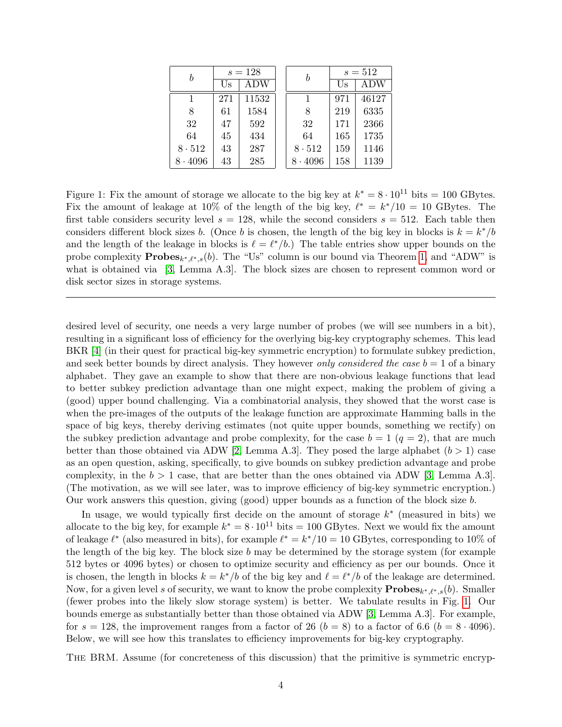<span id="page-3-1"></span>

| b              | $s = 128$ |       |  | b             | $s = 512$ |       |  |
|----------------|-----------|-------|--|---------------|-----------|-------|--|
|                | ADW<br>Us |       |  |               | Us        | ADW   |  |
|                | 271       | 11532 |  |               | 971       | 46127 |  |
| 8              | 61        | 1584  |  | 8             | 219       | 6335  |  |
| 32             | 47        | 592   |  | 32            | 171       | 2366  |  |
| 64             | 45        | 434   |  | 64            | 165       | 1735  |  |
| 8.512          | 43        | 287   |  | $8 \cdot 512$ | 159       | 1146  |  |
| $8 \cdot 4096$ | 43        | 285   |  | .4096         | 158       | 1139  |  |

<span id="page-3-0"></span>Figure 1: Fix the amount of storage we allocate to the big key at  $k^* = 8 \cdot 10^{11}$  bits = 100 GBytes. Fix the amount of leakage at 10% of the length of the big key,  $\ell^* = k^*/10 = 10$  GBytes. The first table considers security level  $s = 128$ , while the second considers  $s = 512$ . Each table then considers different block sizes b. (Once b is chosen, the length of the big key in blocks is  $k = k^*/b$ and the length of the leakage in blocks is  $\ell = \ell^*/b$ .) The table entries show upper bounds on the probe complexity  $\mathbf{Probes}_{k^*,\ell^*,s}(b)$ . The "Us" column is our bound via Theorem [1,](#page-8-1) and "ADW" is what is obtained via [\[3,](#page-34-4) Lemma A.3]. The block sizes are chosen to represent common word or disk sector sizes in storage systems.

desired level of security, one needs a very large number of probes (we will see numbers in a bit), resulting in a significant loss of efficiency for the overlying big-key cryptography schemes. This lead BKR [\[4\]](#page-34-3) (in their quest for practical big-key symmetric encryption) to formulate subkey prediction, and seek better bounds by direct analysis. They however only considered the case  $b = 1$  of a binary alphabet. They gave an example to show that there are non-obvious leakage functions that lead to better subkey prediction advantage than one might expect, making the problem of giving a (good) upper bound challenging. Via a combinatorial analysis, they showed that the worst case is when the pre-images of the outputs of the leakage function are approximate Hamming balls in the space of big keys, thereby deriving estimates (not quite upper bounds, something we rectify) on the subkey prediction advantage and probe complexity, for the case  $b = 1$  ( $q = 2$ ), that are much better than those obtained via ADW [\[2,](#page-34-1) Lemma A.3]. They posed the large alphabet  $(b > 1)$  case as an open question, asking, specifically, to give bounds on subkey prediction advantage and probe complexity, in the  $b > 1$  case, that are better than the ones obtained via ADW [\[3,](#page-34-4) Lemma A.3]. (The motivation, as we will see later, was to improve efficiency of big-key symmetric encryption.) Our work answers this question, giving (good) upper bounds as a function of the block size b.

In usage, we would typically first decide on the amount of storage  $k^*$  (measured in bits) we allocate to the big key, for example  $k^* = 8 \cdot 10^{11}$  bits = 100 GBytes. Next we would fix the amount of leakage  $\ell^*$  (also measured in bits), for example  $\ell^* = k^*/10 = 10$  GBytes, corresponding to 10% of the length of the big key. The block size b may be determined by the storage system (for example 512 bytes or 4096 bytes) or chosen to optimize security and efficiency as per our bounds. Once it is chosen, the length in blocks  $k = k^*/b$  of the big key and  $\ell = \ell^*/b$  of the leakage are determined. Now, for a given level s of security, we want to know the probe complexity  $\mathbf{Probes}_{k^*,\ell^*,s}(b)$ . Smaller (fewer probes into the likely slow storage system) is better. We tabulate results in Fig. [1.](#page-3-0) Our bounds emerge as substantially better than those obtained via ADW [\[3,](#page-34-4) Lemma A.3]. For example, for  $s = 128$ , the improvement ranges from a factor of 26 ( $b = 8$ ) to a factor of 6.6 ( $b = 8 \cdot 4096$ ). Below, we will see how this translates to efficiency improvements for big-key cryptography.

The BRM. Assume (for concreteness of this discussion) that the primitive is symmetric encryp-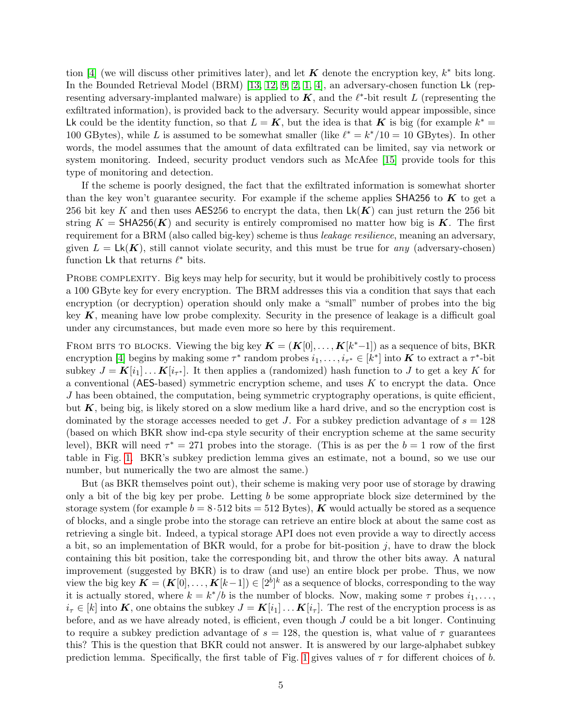<span id="page-4-0"></span>tion [\[4\]](#page-34-3) (we will discuss other primitives later), and let  $\boldsymbol{K}$  denote the encryption key,  $k^*$  bits long. In the Bounded Retrieval Model (BRM) [\[13,](#page-35-0) [12,](#page-35-1) [9,](#page-35-2) [2,](#page-34-1) [1,](#page-34-2) [4\]](#page-34-3), an adversary-chosen function Lk (representing adversary-implanted malware) is applied to  $K$ , and the  $\ell^*$ -bit result L (representing the exfiltrated information), is provided back to the adversary. Security would appear impossible, since Lk could be the identity function, so that  $L = K$ , but the idea is that K is big (for example  $k^* =$ 100 GBytes), while L is assumed to be somewhat smaller (like  $\ell^* = k^*/10 = 10$  GBytes). In other words, the model assumes that the amount of data exfiltrated can be limited, say via network or system monitoring. Indeed, security product vendors such as McAfee [\[15\]](#page-35-3) provide tools for this type of monitoring and detection.

If the scheme is poorly designed, the fact that the exfiltrated information is somewhat shorter than the key won't guarantee security. For example if the scheme applies SHA256 to  $\boldsymbol{K}$  to get a 256 bit key K and then uses AES256 to encrypt the data, then  $Lk(K)$  can just return the 256 bit string  $K = \mathsf{SHA256}(K)$  and security is entirely compromised no matter how big is K. The first requirement for a BRM (also called big-key) scheme is thus *leakage resilience*, meaning an adversary, given  $L = Lk(K)$ , still cannot violate security, and this must be true for any (adversary-chosen) function Lk that returns  $\ell^*$  bits.

PROBE COMPLEXITY. Big keys may help for security, but it would be prohibitively costly to process a 100 GByte key for every encryption. The BRM addresses this via a condition that says that each encryption (or decryption) operation should only make a "small" number of probes into the big key  $K$ , meaning have low probe complexity. Security in the presence of leakage is a difficult goal under any circumstances, but made even more so here by this requirement.

FROM BITS TO BLOCKS. Viewing the big key  $\mathbf{K} = (\mathbf{K}[0], \ldots, \mathbf{K}[k^* - 1])$  as a sequence of bits, BKR encryption [\[4\]](#page-34-3) begins by making some  $\tau^*$  random probes  $i_1, \ldots, i_{\tau^*} \in [k^*]$  into **K** to extract a  $\tau^*$ -bit subkey  $J = K[i_1] \dots K[i_{\tau^*}]$ . It then applies a (randomized) hash function to J to get a key K for a conventional (AES-based) symmetric encryption scheme, and uses K to encrypt the data. Once  $J$  has been obtained, the computation, being symmetric cryptography operations, is quite efficient, but  $K$ , being big, is likely stored on a slow medium like a hard drive, and so the encryption cost is dominated by the storage accesses needed to get J. For a subkey prediction advantage of  $s = 128$ (based on which BKR show ind-cpa style security of their encryption scheme at the same security level), BKR will need  $\tau^* = 271$  probes into the storage. (This is as per the  $b = 1$  row of the first table in Fig. [1.](#page-3-0) BKR's subkey prediction lemma gives an estimate, not a bound, so we use our number, but numerically the two are almost the same.)

But (as BKR themselves point out), their scheme is making very poor use of storage by drawing only a bit of the big key per probe. Letting b be some appropriate block size determined by the storage system (for example  $b = 8.512$  bits = 512 Bytes), K would actually be stored as a sequence of blocks, and a single probe into the storage can retrieve an entire block at about the same cost as retrieving a single bit. Indeed, a typical storage API does not even provide a way to directly access a bit, so an implementation of BKR would, for a probe for bit-position  $j$ , have to draw the block containing this bit position, take the corresponding bit, and throw the other bits away. A natural improvement (suggested by BKR) is to draw (and use) an entire block per probe. Thus, we now view the big key  $\mathbf{K} = (\mathbf{K}[0], \ldots, \mathbf{K}[k-1]) \in [2^b]^k$  as a sequence of blocks, corresponding to the way it is actually stored, where  $k = k^*/b$  is the number of blocks. Now, making some  $\tau$  probes  $i_1, \ldots,$  $i_{\tau} \in [k]$  into K, one obtains the subkey  $J = K[i_1] \dots K[i_{\tau}]$ . The rest of the encryption process is as before, and as we have already noted, is efficient, even though J could be a bit longer. Continuing to require a subkey prediction advantage of  $s = 128$ , the question is, what value of  $\tau$  guarantees this? This is the question that BKR could not answer. It is answered by our large-alphabet subkey prediction lemma. Specifically, the first table of Fig. [1](#page-3-0) gives values of  $\tau$  for different choices of b.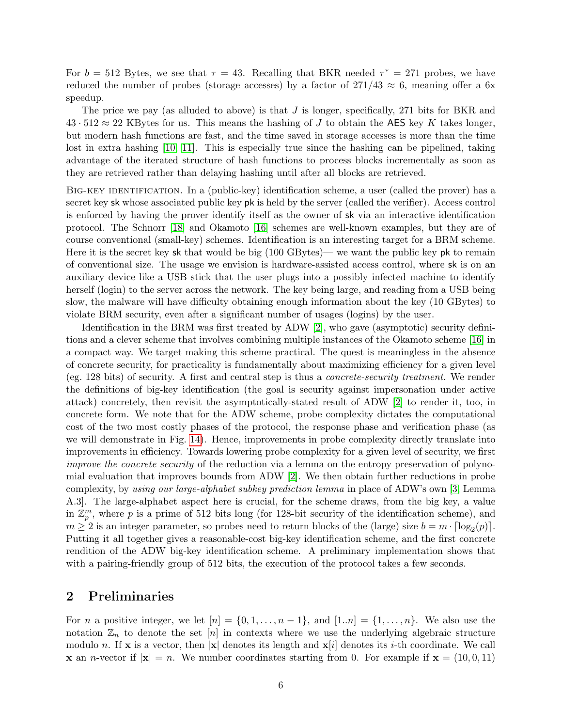<span id="page-5-1"></span>For  $b = 512$  Bytes, we see that  $\tau = 43$ . Recalling that BKR needed  $\tau^* = 271$  probes, we have reduced the number of probes (storage accesses) by a factor of  $271/43 \approx 6$ , meaning offer a 6x speedup.

The price we pay (as alluded to above) is that  $J$  is longer, specifically, 271 bits for BKR and  $43 \cdot 512 \approx 22$  KBytes for us. This means the hashing of J to obtain the AES key K takes longer. but modern hash functions are fast, and the time saved in storage accesses is more than the time lost in extra hashing [\[10,](#page-35-4) [11\]](#page-35-5). This is especially true since the hashing can be pipelined, taking advantage of the iterated structure of hash functions to process blocks incrementally as soon as they are retrieved rather than delaying hashing until after all blocks are retrieved.

Big-key identification. In a (public-key) identification scheme, a user (called the prover) has a secret key sk whose associated public key pk is held by the server (called the verifier). Access control is enforced by having the prover identify itself as the owner of sk via an interactive identification protocol. The Schnorr [\[18\]](#page-35-6) and Okamoto [\[16\]](#page-35-7) schemes are well-known examples, but they are of course conventional (small-key) schemes. Identification is an interesting target for a BRM scheme. Here it is the secret key sk that would be big (100 GBytes)— we want the public key pk to remain of conventional size. The usage we envision is hardware-assisted access control, where sk is on an auxiliary device like a USB stick that the user plugs into a possibly infected machine to identify herself (login) to the server across the network. The key being large, and reading from a USB being slow, the malware will have difficulty obtaining enough information about the key (10 GBytes) to violate BRM security, even after a significant number of usages (logins) by the user.

Identification in the BRM was first treated by ADW [\[2\]](#page-34-1), who gave (asymptotic) security definitions and a clever scheme that involves combining multiple instances of the Okamoto scheme [\[16\]](#page-35-7) in a compact way. We target making this scheme practical. The quest is meaningless in the absence of concrete security, for practicality is fundamentally about maximizing efficiency for a given level (eg. 128 bits) of security. A first and central step is thus a concrete-security treatment. We render the definitions of big-key identification (the goal is security against impersonation under active attack) concretely, then revisit the asymptotically-stated result of ADW [\[2\]](#page-34-1) to render it, too, in concrete form. We note that for the ADW scheme, probe complexity dictates the computational cost of the two most costly phases of the protocol, the response phase and verification phase (as we will demonstrate in Fig. [14\)](#page-28-1). Hence, improvements in probe complexity directly translate into improvements in efficiency. Towards lowering probe complexity for a given level of security, we first improve the concrete security of the reduction via a lemma on the entropy preservation of polynomial evaluation that improves bounds from ADW [\[2\]](#page-34-1). We then obtain further reductions in probe complexity, by using our large-alphabet subkey prediction lemma in place of ADW's own [\[3,](#page-34-4) Lemma A.3]. The large-alphabet aspect here is crucial, for the scheme draws, from the big key, a value in  $\mathbb{Z}_p^m$ , where p is a prime of 512 bits long (for 128-bit security of the identification scheme), and  $m \geq 2$  is an integer parameter, so probes need to return blocks of the (large) size  $b = m \cdot \lceil \log_2(p) \rceil$ . Putting it all together gives a reasonable-cost big-key identification scheme, and the first concrete rendition of the ADW big-key identification scheme. A preliminary implementation shows that with a pairing-friendly group of 512 bits, the execution of the protocol takes a few seconds.

### <span id="page-5-0"></span>2 Preliminaries

For *n* a positive integer, we let  $[n] = \{0, 1, \ldots, n-1\}$ , and  $[1..n] = \{1, \ldots, n\}$ . We also use the notation  $\mathbb{Z}_n$  to denote the set  $[n]$  in contexts where we use the underlying algebraic structure modulo n. If x is a vector, then  $|x|$  denotes its length and  $x[i]$  denotes its *i*-th coordinate. We call **x** an *n*-vector if  $|\mathbf{x}| = n$ . We number coordinates starting from 0. For example if  $\mathbf{x} = (10, 0, 11)$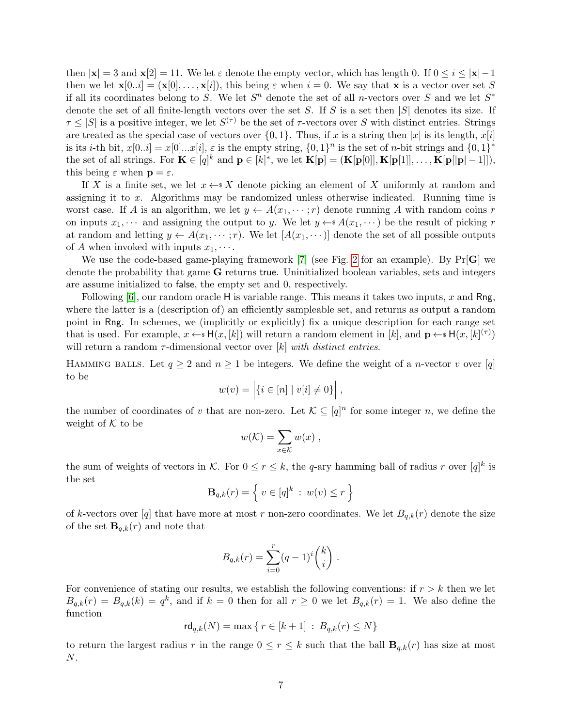<span id="page-6-0"></span>then  $|x| = 3$  and  $x[2] = 11$ . We let  $\varepsilon$  denote the empty vector, which has length 0. If  $0 \le i \le |x| - 1$ then we let  $\mathbf{x}[0..i] = (\mathbf{x}[0], \ldots, \mathbf{x}[i]),$  this being  $\varepsilon$  when  $i = 0$ . We say that x is a vector over set S if all its coordinates belong to S. We let  $S<sup>n</sup>$  denote the set of all *n*-vectors over S and we let  $S<sup>*</sup>$ denote the set of all finite-length vectors over the set S. If S is a set then  $|S|$  denotes its size. If  $\tau \leq |S|$  is a positive integer, we let  $S^{(\tau)}$  be the set of  $\tau$ -vectors over S with distinct entries. Strings are treated as the special case of vectors over  $\{0, 1\}$ . Thus, if x is a string then |x| is its length,  $x[i]$ is its *i*-th bit,  $x[0..i] = x[0]...x[i], \varepsilon$  is the empty string,  $\{0,1\}^n$  is the set of *n*-bit strings and  $\{0,1\}^*$ the set of all strings. For  $\mathbf{K} \in [q]^k$  and  $\mathbf{p} \in [k]^*$ , we let  $\mathbf{K}[\mathbf{p}] = (\mathbf{K}[\mathbf{p}[0]], \mathbf{K}[\mathbf{p}[1]], \dots, \mathbf{K}[\mathbf{p}[[\mathbf{p}]-1]])$ , this being  $\varepsilon$  when  $\mathbf{p} = \varepsilon$ .

If X is a finite set, we let  $x \leftarrow^* X$  denote picking an element of X uniformly at random and assigning it to x. Algorithms may be randomized unless otherwise indicated. Running time is worst case. If A is an algorithm, we let  $y \leftarrow A(x_1, \dots, r)$  denote running A with random coins r on inputs  $x_1, \dots$  and assigning the output to y. We let  $y \leftarrow s A(x_1, \dots)$  be the result of picking r at random and letting  $y \leftarrow A(x_1, \dots; r)$ . We let  $[A(x_1, \dots)]$  denote the set of all possible outputs of A when invoked with inputs  $x_1, \cdots$ .

We use the code-based game-playing framework  $[7]$  (see Fig. [2](#page-7-2) for an example). By  $Pr[G]$  we denote the probability that game G returns true. Uninitialized boolean variables, sets and integers are assume initialized to false, the empty set and 0, respectively.

Following  $[6]$ , our random oracle H is variable range. This means it takes two inputs, x and Rng, where the latter is a (description of) an efficiently sampleable set, and returns as output a random point in Rng. In schemes, we (implicitly or explicitly) fix a unique description for each range set that is used. For example,  $x \leftarrow s \mathsf{H}(x,[k])$  will return a random element in  $[k]$ , and  $\mathbf{p} \leftarrow s \mathsf{H}(x,[k]^{(\tau)})$ will return a random  $\tau$ -dimensional vector over [k] with distinct entries.

HAMMING BALLS. Let  $q \geq 2$  and  $n \geq 1$  be integers. We define the weight of a *n*-vector v over [q] to be

$$
w(v) = |\{i \in [n] \mid v[i] \neq 0\}|,
$$

the number of coordinates of v that are non-zero. Let  $\mathcal{K} \subseteq [q]^n$  for some integer n, we define the weight of  $K$  to be

$$
w(\mathcal{K}) = \sum_{x \in \mathcal{K}} w(x) ,
$$

the sum of weights of vectors in K. For  $0 \le r \le k$ , the q-ary hamming ball of radius r over  $[q]^k$  is the set

$$
\mathbf{B}_{q,k}(r) = \left\{ v \in [q]^k : w(v) \le r \right\}
$$

of k-vectors over [q] that have more at most r non-zero coordinates. We let  $B_{q,k}(r)$  denote the size of the set  $\mathbf{B}_{q,k}(r)$  and note that

$$
B_{q,k}(r) = \sum_{i=0}^{r} (q-1)^{i} {k \choose i}.
$$

For convenience of stating our results, we establish the following conventions: if  $r > k$  then we let  $B_{q,k}(r) = B_{q,k}(k) = q^k$ , and if  $k = 0$  then for all  $r \ge 0$  we let  $B_{q,k}(r) = 1$ . We also define the function

$$
rd_{q,k}(N) = \max\{ r \in [k+1] \, : \, B_{q,k}(r) \le N \}
$$

to return the largest radius r in the range  $0 \le r \le k$  such that the ball  $\mathbf{B}_{q,k}(r)$  has size at most N.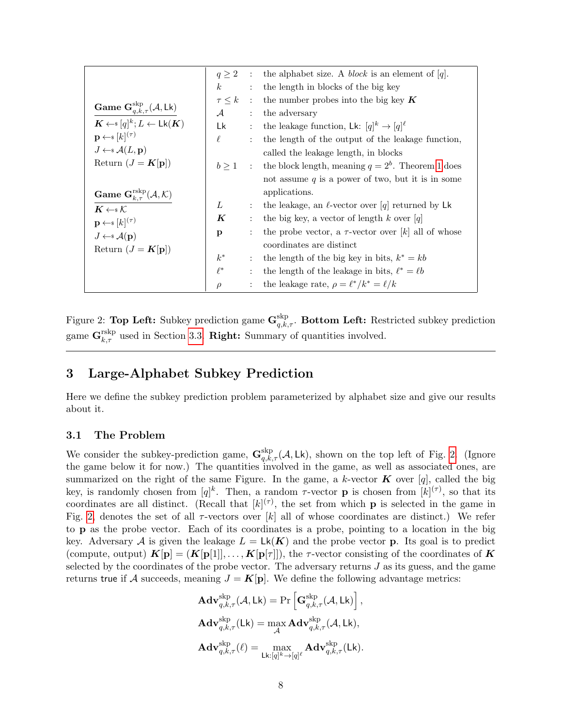|                                                                      | q > 2            |                           | : the alphabet size. A <i>block</i> is an element of [q]. |
|----------------------------------------------------------------------|------------------|---------------------------|-----------------------------------------------------------|
|                                                                      | $\boldsymbol{k}$ | $\ddot{\cdot}$            | the length in blocks of the big key                       |
|                                                                      |                  |                           | $\tau \leq k$ : the number probes into the big key K      |
| Game $\mathbf{G}^{\text{skip}}_{q,k,\tau}(\mathcal{A},\mathsf{Lk})$  | $\mathcal A$     | $\mathbb{R}^{\mathbb{Z}}$ | the adversary                                             |
| $\mathbf{K} \leftarrow s[q]^k; L \leftarrow \mathsf{Lk}(\mathbf{K})$ | Lk               | $\mathbb{C}^{\times}$     | the leakage function, Lk: $[q]^k \rightarrow [q]^{\ell}$  |
| $\mathbf{p} \leftarrow \s{k}$ $(k^{(\tau)}$                          | $\ell$           | $\div$                    | the length of the output of the leakage function,         |
| $J \leftarrow \mathcal{A}(L, \mathbf{p})$                            |                  |                           | called the leakage length, in blocks                      |
| Return $(J = K[\mathbf{p}])$                                         | $b \geq 1$       |                           | : the block length, meaning $q = 2b$ . Theorem 1 does     |
|                                                                      |                  |                           | not assume $q$ is a power of two, but it is in some       |
| Game $G_{k,\tau}^{rskp}(A, K)$                                       |                  |                           | applications.                                             |
| $K \leftarrow \mathcal{K}$                                           | L                | $\ddot{\cdot}$            | the leakage, an $\ell$ -vector over [q] returned by Lk    |
| $\mathbf{p} \leftarrow \{ [k](\tau)$                                 | $\boldsymbol{K}$ | $\ddot{\cdot}$            | the big key, a vector of length k over [q]                |
| $J \leftarrow \mathcal{A}(\mathbf{p})$                               | p                | $\ddot{\cdot}$            | the probe vector, a $\tau$ -vector over [k] all of whose  |
| Return $(J = K[\mathbf{p}])$                                         |                  |                           | coordinates are distinct                                  |
|                                                                      | $k^*$            | $\ddot{\phantom{a}}$      | the length of the big key in bits, $k^* = kb$             |
|                                                                      | $\ell^*$         | $\ddot{\cdot}$            | the length of the leakage in bits, $\ell^* = \ell b$      |
|                                                                      | $\rho$           |                           | the leakage rate, $\rho = \ell^* / k^* = \ell / k$        |

<span id="page-7-2"></span>Figure 2: Top Left: Subkey prediction game  $\mathbf{G}^{\text{skp}}_{q,k,\tau}$ . Bottom Left: Restricted subkey prediction game  $\mathbf{G}_{k,\tau}^{\text{rskp}}$  used in Section [3.3.](#page-11-0) **Right:** Summary of quantities involved.

## <span id="page-7-0"></span>3 Large-Alphabet Subkey Prediction

Here we define the subkey prediction problem parameterized by alphabet size and give our results about it.

#### <span id="page-7-1"></span>3.1 The Problem

We consider the subkey-prediction game,  $\mathbf{G}^{\text{skp}}_{q,k,\tau}(\mathcal{A}, \mathsf{Lk})$ , shown on the top left of Fig. [2.](#page-7-2) (Ignore the game below it for now.) The quantities involved in the game, as well as associated ones, are summarized on the right of the same Figure. In the game, a k-vector  $K$  over [q], called the big key, is randomly chosen from  $[q]^k$ . Then, a random  $\tau$ -vector **p** is chosen from  $[k]^{(\tau)}$ , so that its coordinates are all distinct. (Recall that  $[k]^{(\tau)}$ , the set from which **p** is selected in the game in Fig. [2,](#page-7-2) denotes the set of all  $\tau$ -vectors over [k] all of whose coordinates are distinct.) We refer to p as the probe vector. Each of its coordinates is a probe, pointing to a location in the big key. Adversary A is given the leakage  $L = Lk(K)$  and the probe vector p. Its goal is to predict (compute, output)  $\mathbf{K}[\mathbf{p}] = (\mathbf{K}[\mathbf{p}[1]], \dots, \mathbf{K}[\mathbf{p}[\tau]]),$  the  $\tau$ -vector consisting of the coordinates of  $\mathbf{K}$ selected by the coordinates of the probe vector. The adversary returns  $J$  as its guess, and the game returns true if A succeeds, meaning  $J = K[\mathbf{p}]$ . We define the following advantage metrics:

$$
\begin{aligned} \mathbf{Adv}_{q,k,\tau}^{\mathrm{skp}}(\mathcal{A},\mathsf{Lk}) &= \Pr\left[\mathbf{G}_{q,k,\tau}^{\mathrm{skp}}(\mathcal{A},\mathsf{Lk})\right],\\ \mathbf{Adv}_{q,k,\tau}^{\mathrm{skp}}(\mathsf{Lk}) &= \max_{\mathcal{A}} \mathbf{Adv}_{q,k,\tau}^{\mathrm{skp}}(\mathcal{A},\mathsf{Lk}),\\ \mathbf{Adv}_{q,k,\tau}^{\mathrm{skp}}(\ell) &= \max_{\mathsf{Lk}: [q]^k \rightarrow [q]^{\ell}} \mathbf{Adv}_{q,k,\tau}^{\mathrm{skp}}(\mathsf{Lk}). \end{aligned}
$$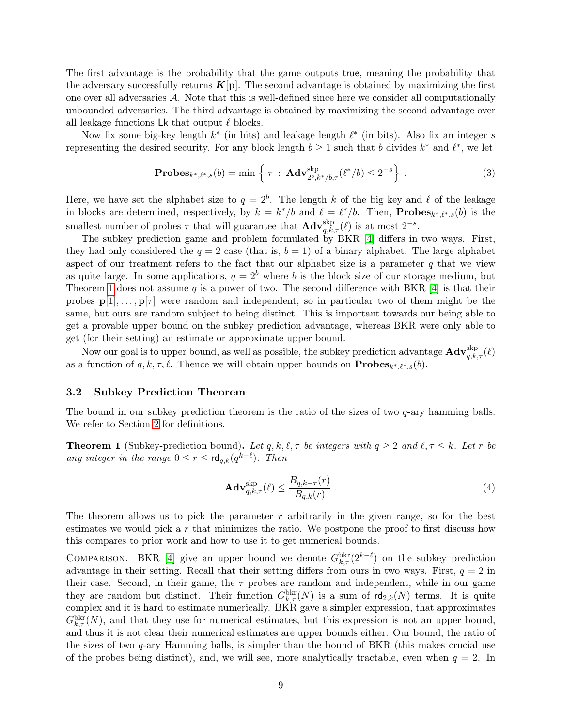<span id="page-8-4"></span>The first advantage is the probability that the game outputs true, meaning the probability that the adversary successfully returns  $K[\mathbf{p}]$ . The second advantage is obtained by maximizing the first one over all adversaries A. Note that this is well-defined since here we consider all computationally unbounded adversaries. The third advantage is obtained by maximizing the second advantage over all leakage functions Lk that output  $\ell$  blocks.

Now fix some big-key length  $k^*$  (in bits) and leakage length  $\ell^*$  (in bits). Also fix an integer s representing the desired security. For any block length  $b \ge 1$  such that b divides  $k^*$  and  $\ell^*$ , we let

<span id="page-8-2"></span>**Probes**<sub>k\*,\ell\*,s</sub>(b) = min 
$$
\{ \tau : \mathbf{Adv}_{2^b,k^*/b,\tau}^{skp}(\ell^*/b) \leq 2^{-s} \}
$$
. (3)

Here, we have set the alphabet size to  $q = 2^b$ . The length k of the big key and l of the leakage in blocks are determined, respectively, by  $k = k^*/b$  and  $\ell = \ell^*/b$ . Then, **Probes**<sub> $k^*, \ell^*, s(b)$  is the</sub> smallest number of probes  $\tau$  that will guarantee that  $\mathbf{Adv}_{q,k,\tau}^{\text{skip}}(\ell)$  is at most  $2^{-s}$ .

The subkey prediction game and problem formulated by BKR [\[4\]](#page-34-3) differs in two ways. First, they had only considered the  $q = 2$  case (that is,  $b = 1$ ) of a binary alphabet. The large alphabet aspect of our treatment refers to the fact that our alphabet size is a parameter  $q$  that we view as quite large. In some applications,  $q = 2<sup>b</sup>$  where b is the block size of our storage medium, but Theorem [1](#page-8-1) does not assume q is a power of two. The second difference with BKR [\[4\]](#page-34-3) is that their probes  $p[1], \ldots, p[\tau]$  were random and independent, so in particular two of them might be the same, but ours are random subject to being distinct. This is important towards our being able to get a provable upper bound on the subkey prediction advantage, whereas BKR were only able to get (for their setting) an estimate or approximate upper bound.

Now our goal is to upper bound, as well as possible, the subkey prediction advantage  $\mathbf{Adv}_{q,k,\tau}^{\text{skp}}(\ell)$ as a function of  $q, k, \tau, \ell$ . Thence we will obtain upper bounds on  $\mathbf{Probes}_{k^*,\ell^*,s}(b)$ .

#### <span id="page-8-0"></span>3.2 Subkey Prediction Theorem

The bound in our subkey prediction theorem is the ratio of the sizes of two  $q$ -ary hamming balls. We refer to Section [2](#page-5-0) for definitions.

<span id="page-8-1"></span>**Theorem 1** (Subkey-prediction bound). Let  $q, k, \ell, \tau$  be integers with  $q \geq 2$  and  $\ell, \tau \leq k$ . Let r be any integer in the range  $0 \le r \le \mathsf{rd}_{q,k}(q^{k-\ell})$ . Then

<span id="page-8-3"></span>
$$
\mathbf{Adv}_{q,k,\tau}^{\text{skip}}(\ell) \le \frac{B_{q,k-\tau}(r)}{B_{q,k}(r)}\,. \tag{4}
$$

The theorem allows us to pick the parameter  $r$  arbitrarily in the given range, so for the best estimates we would pick a r that minimizes the ratio. We postpone the proof to first discuss how this compares to prior work and how to use it to get numerical bounds.

COMPARISON. BKR [\[4\]](#page-34-3) give an upper bound we denote  $G_{k,\tau}^{\text{bkr}}(2^{k-\ell})$  on the subkey prediction advantage in their setting. Recall that their setting differs from ours in two ways. First,  $q = 2$  in their case. Second, in their game, the  $\tau$  probes are random and independent, while in our game they are random but distinct. Their function  $G_{k,\tau}^{\text{bkr}}(N)$  is a sum of  $\text{rd}_{2,k}(N)$  terms. It is quite complex and it is hard to estimate numerically. BKR gave a simpler expression, that approximates  $G_{k,\tau}^{\text{bkr}}(N)$ , and that they use for numerical estimates, but this expression is not an upper bound, and thus it is not clear their numerical estimates are upper bounds either. Our bound, the ratio of the sizes of two q-ary Hamming balls, is simpler than the bound of BKR (this makes crucial use of the probes being distinct), and, we will see, more analytically tractable, even when  $q = 2$ . In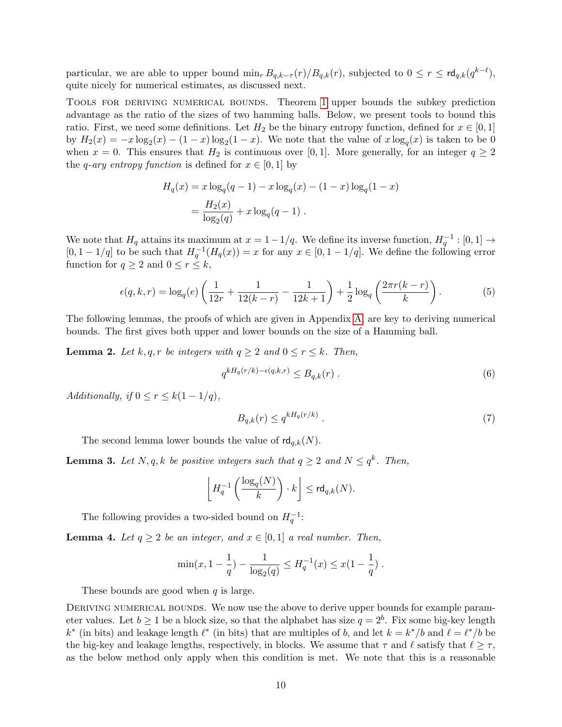particular, we are able to upper bound  $\min_r B_{q,k-\tau}(r)/B_{q,k}(r)$ , subjected to  $0 \leq r \leq \text{rd}_{q,k}(q^{k-\ell}),$ quite nicely for numerical estimates, as discussed next.

Tools for deriving numerical bounds. Theorem [1](#page-8-1) upper bounds the subkey prediction advantage as the ratio of the sizes of two hamming balls. Below, we present tools to bound this ratio. First, we need some definitions. Let  $H_2$  be the binary entropy function, defined for  $x \in [0,1]$ by  $H_2(x) = -x \log_2(x) - (1-x) \log_2(1-x)$ . We note that the value of  $x \log_q(x)$  is taken to be 0 when  $x = 0$ . This ensures that  $H_2$  is continuous over [0, 1]. More generally, for an integer  $q \ge 2$ the *q*-ary entropy function is defined for  $x \in [0, 1]$  by

$$
H_q(x) = x \log_q(q-1) - x \log_q(x) - (1-x) \log_q(1-x)
$$
  
= 
$$
\frac{H_2(x)}{\log_2(q)} + x \log_q(q-1).
$$

We note that  $H_q$  attains its maximum at  $x = 1 - 1/q$ . We define its inverse function,  $H_q^{-1} : [0, 1] \rightarrow$  $[0, 1-1/q]$  to be such that  $H_q^{-1}(H_q(x)) = x$  for any  $x \in [0, 1-1/q]$ . We define the following error function for  $q \ge 2$  and  $0 \le r \le k$ ,

$$
\epsilon(q,k,r) = \log_q(e) \left( \frac{1}{12r} + \frac{1}{12(k-r)} - \frac{1}{12k+1} \right) + \frac{1}{2} \log_q \left( \frac{2\pi r(k-r)}{k} \right). \tag{5}
$$

The following lemmas, the proofs of which are given in Appendix [A,](#page-36-0) are key to deriving numerical bounds. The first gives both upper and lower bounds on the size of a Hamming ball.

<span id="page-9-0"></span>**Lemma 2.** Let k, q, r be integers with  $q \ge 2$  and  $0 \le r \le k$ . Then,

<span id="page-9-3"></span>
$$
q^{kH_q(r/k) - \epsilon(q,k,r)} \le B_{q,k}(r) \tag{6}
$$

Additionally, if  $0 \le r \le k(1 - 1/q)$ ,

<span id="page-9-4"></span>
$$
B_{q,k}(r) \le q^{kH_q(r/k)} \tag{7}
$$

The second lemma lower bounds the value of  $\text{rd}_{q,k}(N)$ .

<span id="page-9-1"></span>**Lemma 3.** Let N, q, k be positive integers such that  $q \geq 2$  and  $N \leq q^k$ . Then,

$$
\left\lfloor H_q^{-1}\left(\frac{\log_q(N)}{k}\right) \cdot k \right\rfloor \leq \mathsf{rd}_{q,k}(N).
$$

The following provides a two-sided bound on  $H_q^{-1}$ :

<span id="page-9-2"></span>**Lemma 4.** Let  $q \ge 2$  be an integer, and  $x \in [0,1]$  a real number. Then,

$$
\min(x, 1 - \frac{1}{q}) - \frac{1}{\log_2(q)} \le H_q^{-1}(x) \le x(1 - \frac{1}{q}).
$$

These bounds are good when  $q$  is large.

DERIVING NUMERICAL BOUNDS. We now use the above to derive upper bounds for example parameter values. Let  $b \ge 1$  be a block size, so that the alphabet has size  $q = 2^b$ . Fix some big-key length k<sup>\*</sup> (in bits) and leakage length  $\ell^*$  (in bits) that are multiples of b, and let  $k = k^*/b$  and  $\ell = \ell^*/b$  be the big-key and leakage lengths, respectively, in blocks. We assume that  $\tau$  and  $\ell$  satisfy that  $\ell \geq \tau$ , as the below method only apply when this condition is met. We note that this is a reasonable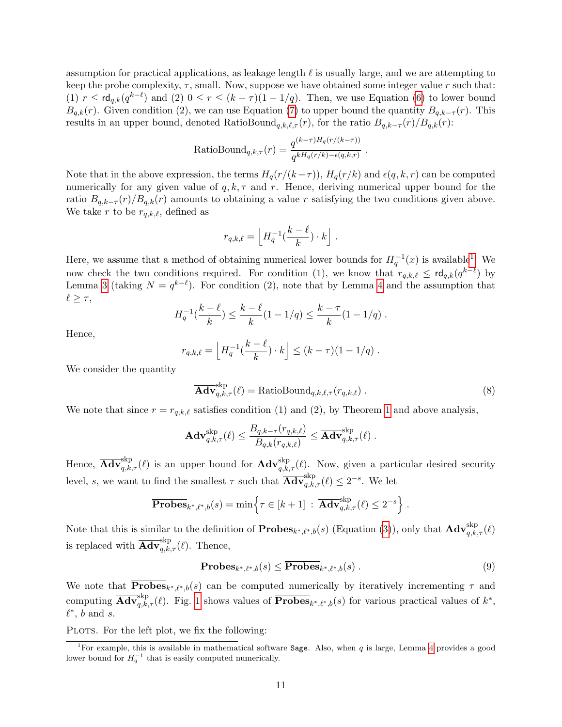assumption for practical applications, as leakage length  $\ell$  is usually large, and we are attempting to keep the probe complexity,  $\tau$ , small. Now, suppose we have obtained some integer value r such that: (1)  $r \leq \mathsf{rd}_{q,k}(q^{k-\ell})$  and (2)  $0 \leq r \leq (k-\tau)(1-1/q)$ . Then, we use Equation [\(6\)](#page-9-3) to lower bound  $B_{q,k}(r)$ . Given condition (2), we can use Equation [\(7\)](#page-9-4) to upper bound the quantity  $B_{q,k-\tau}(r)$ . This results in an upper bound, denoted RatioBound<sub>q,k, $\ell, \tau(r)$ </sub>, for the ratio  $B_{q,k-\tau}(r)/B_{q,k}(r)$ :

RatioBound<sub>q,k,\tau</sub>(r) = 
$$
\frac{q^{(k-\tau)H_q(r/(k-\tau))}}{q^{kH_q(r/k)-\epsilon(q,k,r)}}.
$$

Note that in the above expression, the terms  $H_q(r/(k-\tau))$ ,  $H_q(r/k)$  and  $\epsilon(q, k, r)$  can be computed numerically for any given value of  $q, k, \tau$  and r. Hence, deriving numerical upper bound for the ratio  $B_{q,k-\tau}(r)/B_{q,k}(r)$  amounts to obtaining a value r satisfying the two conditions given above. We take r to be  $r_{q,k,\ell}$ , defined as

$$
r_{q,k,\ell} = \left\lfloor H_q^{-1}(\frac{k-\ell}{k}) \cdot k \right\rfloor.
$$

Here, we assume that a method of obtaining numerical lower bounds for  $H_q^{-1}(x)$  $H_q^{-1}(x)$  $H_q^{-1}(x)$  is available<sup>1</sup>. We now check the two conditions required. For condition (1), we know that  $r_{q,k,\ell} \leq \mathsf{rd}_{q,k}(q^{k-\ell})$  by Lemma [3](#page-9-1) (taking  $N = q^{k-\ell}$ ). For condition (2), note that by Lemma [4](#page-9-2) and the assumption that  $\ell \geq \tau$ ,

$$
H_q^{-1}(\frac{k-\ell}{k}) \le \frac{k-\ell}{k}(1-1/q) \le \frac{k-\tau}{k}(1-1/q).
$$

Hence,

$$
r_{q,k,\ell} = \left\lfloor H_q^{-1}\left(\frac{k-\ell}{k}\right) \cdot k \right\rfloor \le (k-\tau)(1-1/q) .
$$

We consider the quantity

$$
\overline{\mathbf{Adv}}_{q,k,\tau}^{\text{skp}}(\ell) = \text{RatioBound}_{q,k,\ell,\tau}(r_{q,k,\ell}) . \tag{8}
$$

We note that since  $r = r_{q,k,\ell}$  satisfies condition (1) and (2), by Theorem [1](#page-8-1) and above analysis,

$$
\mathbf{Adv}_{q,k,\tau}^{\mathrm{skp}}(\ell) \leq \frac{B_{q,k-\tau}(r_{q,k,\ell})}{B_{q,k}(r_{q,k,\ell})} \leq \overline{\mathbf{Adv}}_{q,k,\tau}^{\mathrm{skp}}(\ell) .
$$

Hence,  $\overline{\mathbf{Adv}}_{q,k,\tau}^{\text{skp}}(\ell)$  is an upper bound for  $\mathbf{Adv}_{q,k,\tau}^{\text{skp}}(\ell)$ . Now, given a particular desired security level, s, we want to find the smallest  $\tau$  such that  $\overline{\mathbf{Adv}}_{q,k,\tau}^{\text{skp}}(\ell) \leq 2^{-s}$ . We let

$$
\overline{\mathbf{Probes}}_{k^*,\ell^*,b}(s) = \min\left\{\tau \in [k+1] : \overline{\mathbf{Adv}}_{q,k,\tau}^{\text{skp}}(\ell) \leq 2^{-s}\right\}.
$$

Note that this is similar to the definition of  $\mathbf{Probes}_{k^*,\ell^*,b}(s)$  (Equation [\(3\)](#page-8-2)), only that  $\mathbf{Adv}_{q,k,\tau}^{\text{skp}}(\ell)$ is replaced with  $\overline{\mathbf{Adv}}_{q,k,\tau}^{\text{skip}}(\ell)$ . Thence,

$$
\mathbf{Probes}_{k^*,\ell^*,b}(s) \leq \overline{\mathbf{Probes}_{k^*,\ell^*,b}}(s) \tag{9}
$$

We note that **Probes**<sub> $k^*,\ell^*,b(s)$  can be computed numerically by iteratively incrementing  $\tau$  and</sub> computing  $\overline{\mathbf{Adv}}_{q,k,\tau}^{skip}(\ell)$ . Fig. [1](#page-3-0) shows values of  $\overline{\mathbf{Probes}}_{k^*,\ell^*,b}(s)$  for various practical values of  $k^*$ ,  $\ell^*, b$  and s.

PLOTS. For the left plot, we fix the following:

<span id="page-10-0"></span><sup>&</sup>lt;sup>1</sup>For example, this is available in mathematical software **Sage**. Also, when  $q$  is large, Lemma [4](#page-9-2) provides a good lower bound for  $H_q^{-1}$  that is easily computed numerically.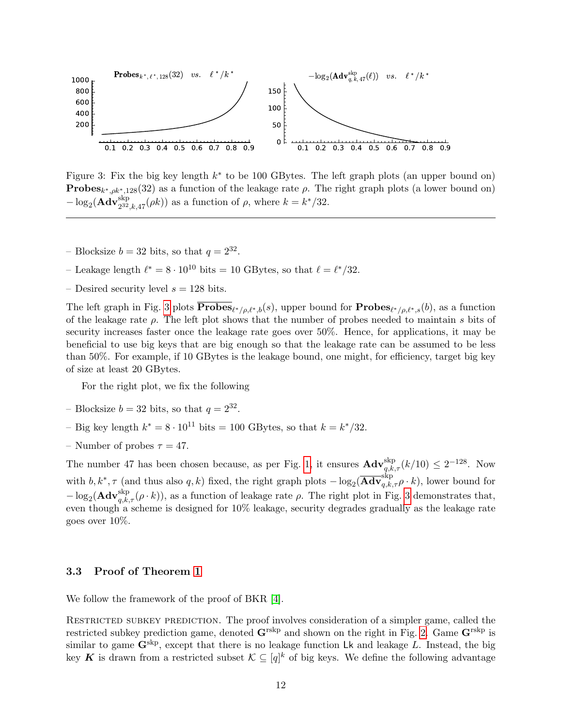<span id="page-11-2"></span>

<span id="page-11-1"></span>Figure 3: Fix the big key length  $k^*$  to be 100 GBytes. The left graph plots (an upper bound on) **Probes**<sub>k<sup>\*</sup>, $\rho k^*$ ,128(32) as a function of the leakage rate  $\rho$ . The right graph plots (a lower bound on)</sub>  $-\log_2(\mathbf{Adv}_{2^{32},k,47}^{\text{skp}}(\rho k))$  as a function of  $\rho$ , where  $k = k^*/32$ .

- Blocksize  $b = 32$  bits, so that  $q = 2^{32}$ .
- Leakage length  $\ell^* = 8 \cdot 10^{10}$  bits = 10 GBytes, so that  $\ell = \ell^*/32$ .
- Desired security level  $s = 128$  bits.

The left graph in Fig. [3](#page-11-1) plots  $\mathbf{Probes}_{\ell^*/\rho,\ell^*,b}(s)$ , upper bound for  $\mathbf{Probes}_{\ell^*/\rho,\ell^*,s}(b)$ , as a function of the leakage rate  $\rho$ . The left plot shows that the number of probes needed to maintain s bits of security increases faster once the leakage rate goes over 50%. Hence, for applications, it may be beneficial to use big keys that are big enough so that the leakage rate can be assumed to be less than 50%. For example, if 10 GBytes is the leakage bound, one might, for efficiency, target big key of size at least 20 GBytes.

For the right plot, we fix the following

- Blocksize  $b = 32$  bits, so that  $q = 2^{32}$ .
- Big key length  $k^* = 8 \cdot 10^{11}$  bits = 100 GBytes, so that  $k = k^*/32$ .
- Number of probes  $\tau = 47$ .

The number 47 has been chosen because, as per Fig. [1,](#page-3-0) it ensures  $\mathbf{Adv}_{q,k,\tau}^{\text{skp}}(k/10) \leq 2^{-128}$ . Now with  $b, k^*, \tau$  (and thus also q, k) fixed, the right graph plots  $-\log_2(\overline{\mathbf{Adv}}_{q,k,\tau}^{\text{skp}} \rho \cdot k)$ , lower bound for  $-\log_2(\mathbf{Adv}_{q,k,\tau}^{\text{skp}}(\rho \cdot k))$ , as a function of leakage rate  $\rho$ . The right plot in Fig. [3](#page-11-1) demonstrates that, even though a scheme is designed for  $10\%$  leakage, security degrades gradually as the leakage rate goes over 10%.

#### <span id="page-11-0"></span>3.3 Proof of Theorem [1](#page-8-1)

We follow the framework of the proof of BKR [\[4\]](#page-34-3).

RESTRICTED SUBKEY PREDICTION. The proof involves consideration of a simpler game, called the restricted subkey prediction game, denoted  $\mathbf{G}^{\text{rskp}}$  and shown on the right in Fig. [2.](#page-7-2) Game  $\mathbf{G}^{\text{rskp}}$  is similar to game  $\mathbf{G}^{\text{skp}}$ , except that there is no leakage function Lk and leakage L. Instead, the big key K is drawn from a restricted subset  $\mathcal{K} \subseteq [q]^k$  of big keys. We define the following advantage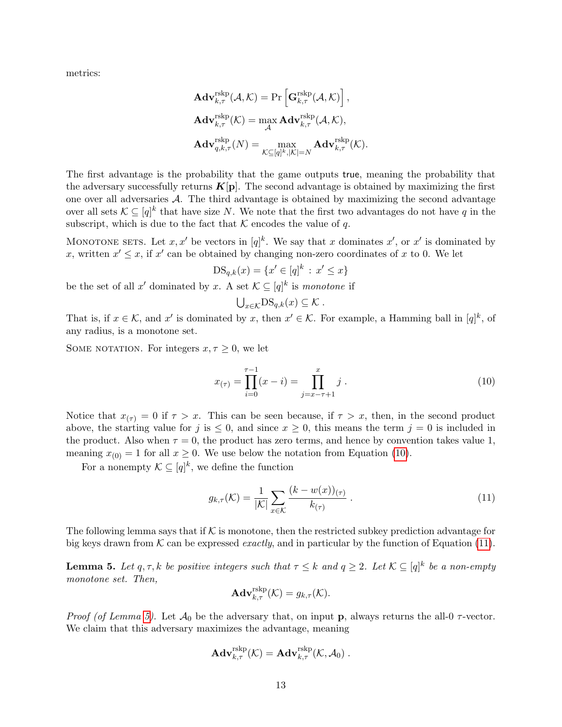metrics:

$$
\begin{aligned} &\mathbf{Adv}_{k,\tau}^{\text{rskp}}(\mathcal{A},\mathcal{K}) = \Pr\left[\mathbf{G}_{k,\tau}^{\text{rskp}}(\mathcal{A},\mathcal{K})\right],\\ &\mathbf{Adv}_{k,\tau}^{\text{rskp}}(\mathcal{K}) = \max_{\mathcal{A}} \mathbf{Adv}_{k,\tau}^{\text{rskp}}(\mathcal{A},\mathcal{K}),\\ &\mathbf{Adv}_{q,k,\tau}^{\text{rskp}}(N) = \max_{\mathcal{K}\subseteq [q]^k,|\mathcal{K}|=N} \mathbf{Adv}_{k,\tau}^{\text{rskp}}(\mathcal{K}). \end{aligned}
$$

The first advantage is the probability that the game outputs true, meaning the probability that the adversary successfully returns  $K[\mathbf{p}]$ . The second advantage is obtained by maximizing the first one over all adversaries  $A$ . The third advantage is obtained by maximizing the second advantage over all sets  $\mathcal{K} \subseteq [q]^k$  that have size N. We note that the first two advantages do not have q in the subscript, which is due to the fact that  $K$  encodes the value of q.

MONOTONE SETS. Let x, x' be vectors in  $[q]^k$ . We say that x dominates x', or x' is dominated by x, written  $x' \leq x$ , if  $x'$  can be obtained by changing non-zero coordinates of x to 0. We let

$$
DS_{q,k}(x) = \{x' \in [q]^k : x' \le x\}
$$

be the set of all x' dominated by x. A set  $\mathcal{K} \subseteq [q]^k$  is monotone if

$$
\bigcup_{x\in\mathcal{K}}\text{DS}_{q,k}(x)\subseteq\mathcal{K}.
$$

That is, if  $x \in \mathcal{K}$ , and x' is dominated by x, then  $x' \in \mathcal{K}$ . For example, a Hamming ball in  $[q]^k$ , of any radius, is a monotone set.

SOME NOTATION. For integers  $x, \tau \geq 0$ , we let

<span id="page-12-0"></span>
$$
x_{(\tau)} = \prod_{i=0}^{\tau-1} (x - i) = \prod_{j=x-\tau+1}^{x} j.
$$
 (10)

Notice that  $x_{(\tau)} = 0$  if  $\tau > x$ . This can be seen because, if  $\tau > x$ , then, in the second product above, the starting value for j is  $\leq 0$ , and since  $x \geq 0$ , this means the term  $j = 0$  is included in the product. Also when  $\tau = 0$ , the product has zero terms, and hence by convention takes value 1, meaning  $x_{(0)} = 1$  for all  $x \ge 0$ . We use below the notation from Equation [\(10\)](#page-12-0).

For a nonempty  $\mathcal{K} \subseteq [q]^k$ , we define the function

<span id="page-12-1"></span>
$$
g_{k,\tau}(\mathcal{K}) = \frac{1}{|\mathcal{K}|} \sum_{x \in \mathcal{K}} \frac{(k - w(x))_{(\tau)}}{k_{(\tau)}}.
$$
\n(11)

The following lemma says that if  $K$  is monotone, then the restricted subkey prediction advantage for big keys drawn from  $K$  can be expressed *exactly*, and in particular by the function of Equation [\(11\)](#page-12-1).

<span id="page-12-2"></span>**Lemma 5.** Let  $q, \tau, k$  be positive integers such that  $\tau \leq k$  and  $q \geq 2$ . Let  $\mathcal{K} \subseteq [q]^k$  be a non-empty monotone set. Then,

$$
\mathbf{Adv}_{k,\tau}^{\mathrm{rskp}}(\mathcal{K}) = g_{k,\tau}(\mathcal{K}).
$$

*Proof (of Lemma [5\)](#page-12-2).* Let  $\mathcal{A}_0$  be the adversary that, on input **p**, always returns the all-0  $\tau$ -vector. We claim that this adversary maximizes the advantage, meaning

$$
\mathbf{Adv}_{k,\tau}^{\mathrm{rskp}}(\mathcal{K}) = \mathbf{Adv}_{k,\tau}^{\mathrm{rskp}}(\mathcal{K}, \mathcal{A}_0) .
$$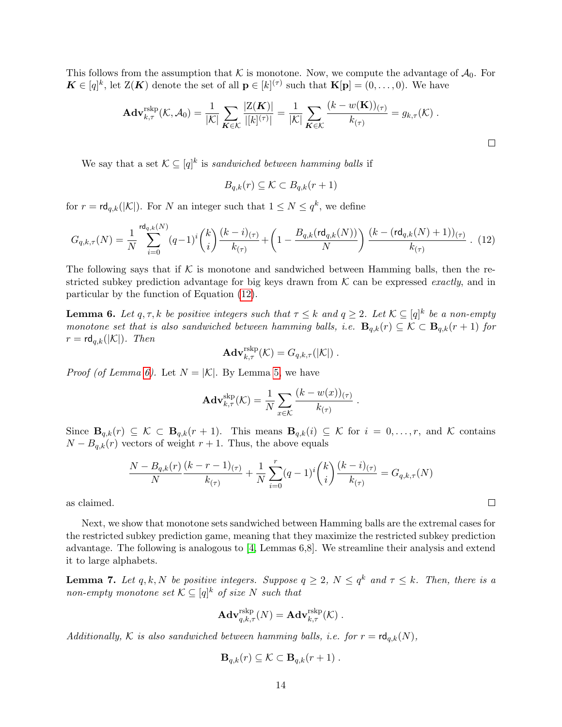<span id="page-13-3"></span>This follows from the assumption that K is monotone. Now, we compute the advantage of  $\mathcal{A}_0$ . For  $\mathbf{K} \in [q]^k$ , let  $\mathbf{Z}(\mathbf{K})$  denote the set of all  $p \in [k]^{(\tau)}$  such that  $\mathbf{K}[p] = (0, \ldots, 0)$ . We have

$$
\mathbf{Adv}_{k,\tau}^{\mathrm{rskp}}(\mathcal{K},\mathcal{A}_0) = \frac{1}{|\mathcal{K}|} \sum_{\mathbf{K}\in\mathcal{K}} \frac{|Z(\mathbf{K})|}{|[k]^{(\tau)}|} = \frac{1}{|\mathcal{K}|} \sum_{\mathbf{K}\in\mathcal{K}} \frac{(k-w(\mathbf{K}))_{(\tau)}}{k_{(\tau)}} = g_{k,\tau}(\mathcal{K}) .
$$

We say that a set  $\mathcal{K} \subseteq [q]^k$  is sandwiched between hamming balls if

$$
B_{q,k}(r) \subseteq \mathcal{K} \subset B_{q,k}(r+1)
$$

for  $r = \mathsf{rd}_{q,k}(|\mathcal{K}|)$ . For N an integer such that  $1 \leq N \leq q^k$ , we define

<span id="page-13-1"></span>
$$
G_{q,k,\tau}(N) = \frac{1}{N} \sum_{i=0}^{\text{rd}_{q,k}(N)} (q-1)^i \binom{k}{i} \frac{(k-i)_{(\tau)}}{k_{(\tau)}} + \left(1 - \frac{B_{q,k}(\text{rd}_{q,k}(N))}{N}\right) \frac{(k - (\text{rd}_{q,k}(N) + 1))_{(\tau)}}{k_{(\tau)}}. (12)
$$

The following says that if K is monotone and sandwiched between Hamming balls, then the restricted subkey prediction advantage for big keys drawn from  $K$  can be expressed *exactly*, and in particular by the function of Equation [\(12\)](#page-13-1).

<span id="page-13-2"></span>**Lemma 6.** Let  $q, \tau, k$  be positive integers such that  $\tau \leq k$  and  $q \geq 2$ . Let  $\mathcal{K} \subseteq [q]^k$  be a non-empty monotone set that is also sandwiched between hamming balls, i.e.  $\mathbf{B}_{q,k}(r) \subseteq \mathcal{K} \subset \mathbf{B}_{q,k}(r+1)$  for  $r = \mathsf{rd}_{q,k}(|\mathcal{K}|)$ . Then

$$
\mathbf{Adv}_{k,\tau}^{\mathrm{rskp}}(\mathcal{K})=G_{q,k,\tau}(|\mathcal{K}|)\ .
$$

*Proof (of Lemma [6\)](#page-13-2).* Let  $N = |\mathcal{K}|$ . By Lemma [5,](#page-12-2) we have

$$
\mathbf{Adv}_{k,\tau}^{\mathrm{skip}}(\mathcal{K}) = \frac{1}{N} \sum_{x \in \mathcal{K}} \frac{(k - w(x))_{(\tau)}}{k_{(\tau)}}.
$$

Since  $\mathbf{B}_{q,k}(r) \subseteq \mathcal{K} \subset \mathbf{B}_{q,k}(r+1)$ . This means  $\mathbf{B}_{q,k}(i) \subseteq \mathcal{K}$  for  $i = 0, \ldots, r$ , and  $\mathcal{K}$  contains  $N - B_{q,k}(r)$  vectors of weight  $r + 1$ . Thus, the above equals

$$
\frac{N - B_{q,k}(r)}{N} \frac{(k - r - 1)_{(\tau)}}{k_{(\tau)}} + \frac{1}{N} \sum_{i=0}^{r} (q - 1)^i {k \choose i} \frac{(k - i)_{(\tau)}}{k_{(\tau)}} = G_{q,k,\tau}(N)
$$

as claimed.

Next, we show that monotone sets sandwiched between Hamming balls are the extremal cases for the restricted subkey prediction game, meaning that they maximize the restricted subkey prediction advantage. The following is analogous to [\[4,](#page-34-3) Lemmas 6,8]. We streamline their analysis and extend it to large alphabets.

<span id="page-13-0"></span>**Lemma 7.** Let q, k, N be positive integers. Suppose  $q \geq 2$ ,  $N \leq q^k$  and  $\tau \leq k$ . Then, there is a non-empty monotone set  $\mathcal{K} \subseteq [q]^k$  of size N such that

$$
\mathbf{Adv}_{q,k,\tau}^{\text{rskp}}(N) = \mathbf{Adv}_{k,\tau}^{\text{rskp}}(\mathcal{K}) .
$$

Additionally, K is also sandwiched between hamming balls, i.e. for  $r = \text{rd}_{q,k}(N)$ ,

$$
\mathbf{B}_{q,k}(r) \subseteq \mathcal{K} \subset \mathbf{B}_{q,k}(r+1) .
$$

 $\Box$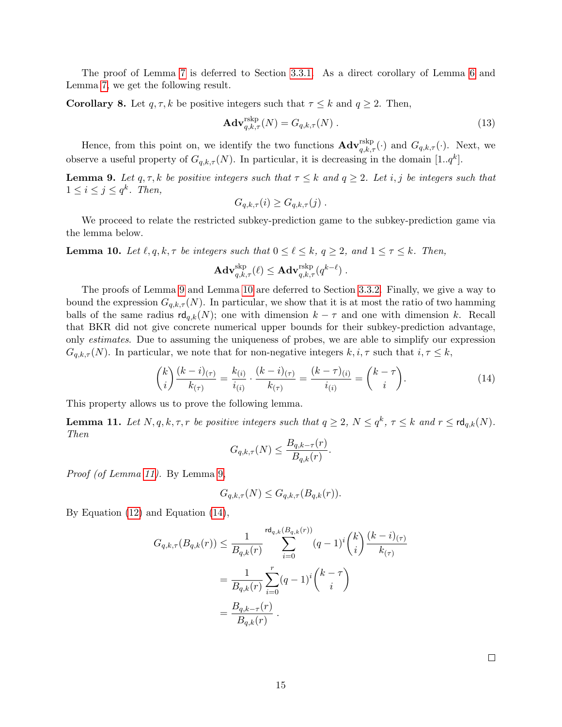The proof of Lemma [7](#page-13-0) is deferred to Section [3.3.1.](#page-15-0) As a direct corollary of Lemma [6](#page-13-2) and Lemma [7,](#page-13-0) we get the following result.

<span id="page-14-4"></span>**Corollary 8.** Let  $q, \tau, k$  be positive integers such that  $\tau \leq k$  and  $q \geq 2$ . Then,

$$
\mathbf{Adv}_{q,k,\tau}^{\text{rskp}}(N) = G_{q,k,\tau}(N) \,. \tag{13}
$$

Hence, from this point on, we identify the two functions  $\mathbf{Adv}_{q,k,\tau}^{\text{rskip}}(\cdot)$  and  $G_{q,k,\tau}(\cdot)$ . Next, we observe a useful property of  $G_{q,k,\tau}(N)$ . In particular, it is decreasing in the domain  $[1..q^k]$ .

<span id="page-14-0"></span>**Lemma 9.** Let  $q, \tau, k$  be positive integers such that  $\tau \leq k$  and  $q \geq 2$ . Let i, j be integers such that  $1 \leq i \leq j \leq q^k$ . Then,

$$
G_{q,k,\tau}(i) \geq G_{q,k,\tau}(j) .
$$

We proceed to relate the restricted subkey-prediction game to the subkey-prediction game via the lemma below.

<span id="page-14-1"></span>**Lemma 10.** Let  $\ell, q, k, \tau$  be integers such that  $0 \leq \ell \leq k$ ,  $q \geq 2$ , and  $1 \leq \tau \leq k$ . Then,

$$
\mathbf{Adv}_{q,k,\tau}^{\rm skp}(\ell) \leq \mathbf{Adv}_{q,k,\tau}^{\rm rskp}(q^{k-\ell})\;.
$$

The proofs of Lemma [9](#page-14-0) and Lemma [10](#page-14-1) are deferred to Section [3.3.2.](#page-17-0) Finally, we give a way to bound the expression  $G_{q,k,\tau}(N)$ . In particular, we show that it is at most the ratio of two hamming balls of the same radius  $\mathsf{rd}_{q,k}(N)$ ; one with dimension  $k - \tau$  and one with dimension k. Recall that BKR did not give concrete numerical upper bounds for their subkey-prediction advantage, only estimates. Due to assuming the uniqueness of probes, we are able to simplify our expression  $G_{q,k,\tau}(N)$ . In particular, we note that for non-negative integers  $k, i, \tau$  such that  $i, \tau \leq k$ ,

<span id="page-14-3"></span>
$$
\binom{k}{i}\frac{(k-i)_{(\tau)}}{k_{(\tau)}} = \frac{k_{(i)}}{i_{(i)}} \cdot \frac{(k-i)_{(\tau)}}{k_{(\tau)}} = \frac{(k-\tau)_{(i)}}{i_{(i)}} = \binom{k-\tau}{i}.\tag{14}
$$

This property allows us to prove the following lemma.

<span id="page-14-2"></span>**Lemma 11.** Let  $N, q, k, \tau, r$  be positive integers such that  $q \geq 2$ ,  $N \leq q^k$ ,  $\tau \leq k$  and  $r \leq \text{rd}_{q,k}(N)$ . Then

$$
G_{q,k,\tau}(N) \le \frac{B_{q,k-\tau}(r)}{B_{q,k}(r)}.
$$

Proof (of Lemma [11\)](#page-14-2). By Lemma [9,](#page-14-0)

$$
G_{q,k,\tau}(N) \le G_{q,k,\tau}(B_{q,k}(r)).
$$

By Equation [\(12\)](#page-13-1) and Equation [\(14\)](#page-14-3),

$$
G_{q,k,\tau}(B_{q,k}(r)) \le \frac{1}{B_{q,k}(r)} \sum_{i=0}^{\text{rd}_{q,k}(B_{q,k}(r))} (q-1)^i {k \choose i} \frac{(k-i)_{(\tau)}}{k_{(\tau)}}
$$

$$
= \frac{1}{B_{q,k}(r)} \sum_{i=0}^r (q-1)^i {k-\tau \choose i}
$$

$$
= \frac{B_{q,k-\tau}(r)}{B_{q,k}(r)}.
$$

 $\Box$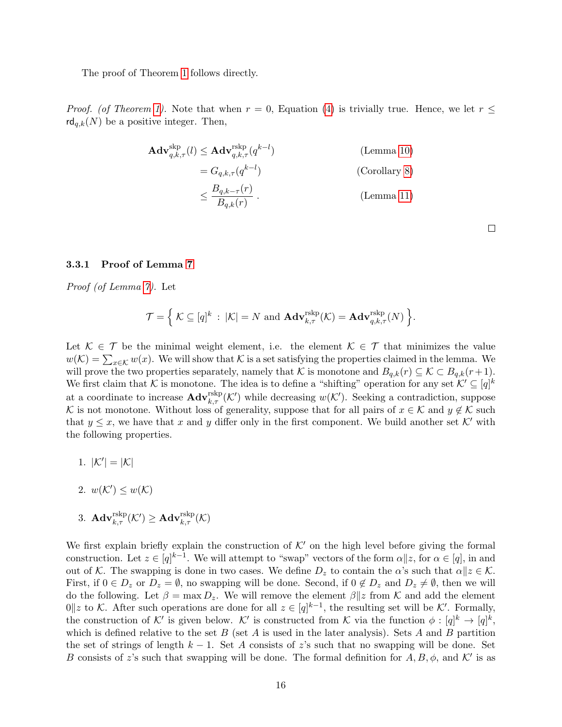The proof of Theorem [1](#page-8-1) follows directly.

*Proof.* (of Theorem [1\)](#page-8-1). Note that when  $r = 0$ , Equation [\(4\)](#page-8-3) is trivially true. Hence, we let  $r \leq$  $\mathsf{rd}_{q,k}(N)$  be a positive integer. Then,

$$
\mathbf{Adv}_{q,k,\tau}^{\text{skip}}(l) \leq \mathbf{Adv}_{q,k,\tau}^{\text{rskip}}(q^{k-l})
$$
 (Lemma 10)  

$$
= G_{q,k,\tau}(q^{k-l})
$$
 (Corollary 8)  

$$
\leq \frac{B_{q,k-\tau}(r)}{B_{q,k}(r)}.
$$
 (Lemma 11)

 $\Box$ 

#### <span id="page-15-0"></span>3.3.1 Proof of Lemma [7](#page-13-0)

Proof (of Lemma [7\)](#page-13-0). Let

$$
\mathcal{T} = \Big\{ \mathcal{K} \subseteq [q]^k \, : \, |\mathcal{K}| = N \text{ and } \mathbf{Adv}_{k,\tau}^{\text{rskp}}(\mathcal{K}) = \mathbf{Adv}_{q,k,\tau}^{\text{rskp}}(N) \Big\}.
$$

Let  $\mathcal{K} \in \mathcal{T}$  be the minimal weight element, i.e. the element  $\mathcal{K} \in \mathcal{T}$  that minimizes the value  $w(\mathcal{K}) = \sum_{x \in \mathcal{K}} w(x)$ . We will show that  $\mathcal{K}$  is a set satisfying the properties claimed in the lemma. We will prove the two properties separately, namely that K is monotone and  $B_{q,k}(r) \subseteq K \subset B_{q,k}(r+1)$ . We first claim that K is monotone. The idea is to define a "shifting" operation for any set  $K' \subseteq [q]^k$ at a coordinate to increase  $\mathbf{Adv}_{k,\tau}^{\text{rskp}}(\mathcal{K}')$  while decreasing  $w(\mathcal{K}')$ . Seeking a contradiction, suppose K is not monotone. Without loss of generality, suppose that for all pairs of  $x \in \mathcal{K}$  and  $y \notin \mathcal{K}$  such that  $y \leq x$ , we have that x and y differ only in the first component. We build another set K' with the following properties.

- 1.  $|K'| = |K|$
- 2.  $w(\mathcal{K}') \leq w(\mathcal{K})$
- $\mathbb{E} \text{Ad}\mathbf{v}_{k,\tau}^{\text{rskip}}(\mathcal{K}')\geq \mathbf{Ad}\mathbf{v}_{k,\tau}^{\text{rskip}}(\mathcal{K}).$

We first explain briefly explain the construction of  $K'$  on the high level before giving the formal construction. Let  $z \in [q]^{k-1}$ . We will attempt to "swap" vectors of the form  $\alpha || z$ , for  $\alpha \in [q]$ , in and out of K. The swapping is done in two cases. We define  $D_z$  to contain the  $\alpha$ 's such that  $\alpha || z \in \mathcal{K}$ . First, if  $0 \in D_z$  or  $D_z = \emptyset$ , no swapping will be done. Second, if  $0 \notin D_z$  and  $D_z \neq \emptyset$ , then we will do the following. Let  $\beta = \max D_z$ . We will remove the element  $\beta || z$  from K and add the element 0||z to K. After such operations are done for all  $z \in [q]^{k-1}$ , the resulting set will be K'. Formally, the construction of K' is given below. K' is constructed from K via the function  $\phi: [q]^k \to [q]^k$ , which is defined relative to the set B (set A is used in the later analysis). Sets A and B partition the set of strings of length  $k - 1$ . Set A consists of z's such that no swapping will be done. Set B consists of z's such that swapping will be done. The formal definition for  $A, B, \phi$ , and K' is as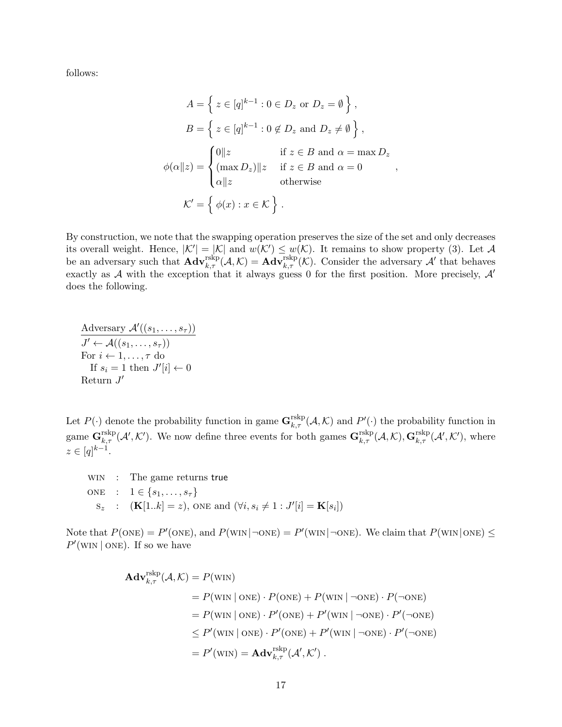follows:

$$
A = \left\{ z \in [q]^{k-1} : 0 \in D_z \text{ or } D_z = \emptyset \right\},
$$
  
\n
$$
B = \left\{ z \in [q]^{k-1} : 0 \notin D_z \text{ and } D_z \neq \emptyset \right\},\
$$
  
\n
$$
\phi(\alpha || z) = \begin{cases} 0 || z & \text{if } z \in B \text{ and } \alpha = \max D_z \\ (\max D_z) || z & \text{if } z \in B \text{ and } \alpha = 0 \\ \alpha || z & \text{otherwise} \end{cases}
$$
  
\n
$$
\mathcal{K}' = \left\{ \phi(x) : x \in \mathcal{K} \right\}.
$$

By construction, we note that the swapping operation preserves the size of the set and only decreases its overall weight. Hence,  $|K'| = |K|$  and  $w(K') \leq w(K)$ . It remains to show property (3). Let A be an adversary such that  $\mathbf{Adv}_{k,\tau}^{\text{rskip}}(\mathcal{A},\mathcal{K}) = \mathbf{Adv}_{k,\tau}^{\text{rskip}}(\mathcal{K})$ . Consider the adversary  $\mathcal{A}'$  that behaves exactly as  $A$  with the exception that it always guess 0 for the first position. More precisely,  $A'$ does the following.

$$
\frac{\text{Adversary }\mathcal{A}'((s_1,\ldots,s_{\tau}))}{J' \leftarrow \mathcal{A}((s_1,\ldots,s_{\tau}))} \n\text{For } i \leftarrow 1,\ldots,\tau \text{ do} \n\text{If } s_i = 1 \text{ then } J'[i] \leftarrow 0 \n\text{Return } J'
$$

Let  $P(\cdot)$  denote the probability function in game  $\mathbf{G}_{k,\tau}^{\text{rskip}}(\mathcal{A},\mathcal{K})$  and  $P'(\cdot)$  the probability function in  ${}_{k,\tau}^{\text{rskp}}(\mathcal{A},\mathcal{K})$  and  $F$ game  $\mathbf{G}_{k,\tau}^{\text{rskp}}(\mathcal{A}',\mathcal{K}')$ . We now define three events for both games  $\mathbf{G}_{k,\tau}^{\text{rskp}}(\mathcal{A},\mathcal{K}),\mathbf{G}_{k,\tau}^{\text{rskp}}(\mathcal{A}',\mathcal{K}'),$  where  $z \in [q]^{k-1}.$ 

WIN: The game returns true

\n
$$
\begin{aligned}\n\text{ONE:} \quad & \text{I} \in \{s_1, \ldots, s_\tau\} \\
& \text{s}_z: \quad (\mathbf{K}[1..k] = z), \text{ ONE and } (\forall i, s_i \neq 1: J'[i] = \mathbf{K}[s_i])\n\end{aligned}
$$

Note that  $P(\text{ONE}) = P'(\text{ONE})$ , and  $P(\text{WIN}|\neg \text{ONE}) = P'(\text{WIN}|\neg \text{ONE})$ . We claim that  $P(\text{WIN}|\text{ONE}) \le$  $P'(\text{WIN} \mid \text{ONE})$ . If so we have

$$
\mathbf{Adv}_{k,\tau}^{\text{rskip}}(\mathcal{A},\mathcal{K}) = P(\text{WIN})
$$
  
=  $P(\text{WIN} | \text{ONE}) \cdot P(\text{ONE}) + P(\text{WIN} | \neg \text{ONE}) \cdot P(\neg \text{ONE})$   
=  $P(\text{WIN} | \text{ONE}) \cdot P'(\text{ONE}) + P'(\text{WIN} | \neg \text{ONE}) \cdot P'(\neg \text{ONE})$   
 $\leq P'(\text{WIN} | \text{ONE}) \cdot P'(\text{ONE}) + P'(\text{WIN} | \neg \text{ONE}) \cdot P'(\neg \text{ONE})$   
=  $P'(\text{WIN}) = \mathbf{Adv}_{k,\tau}^{\text{rskip}}(\mathcal{A}',\mathcal{K}')$ .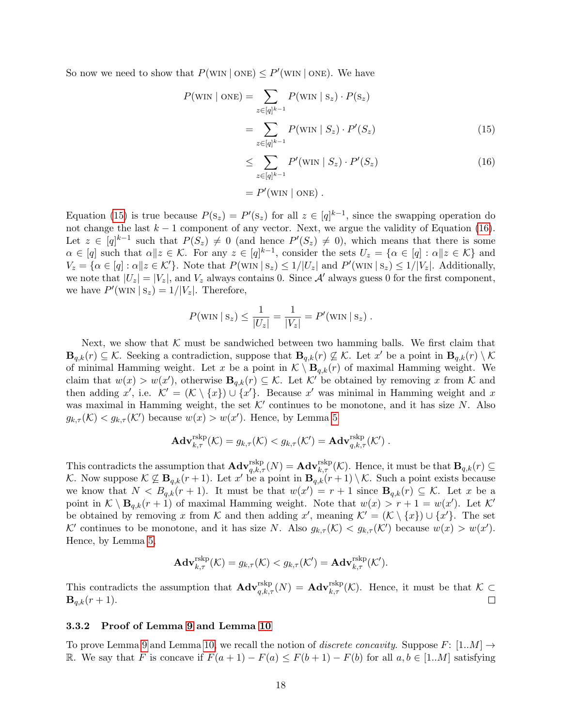So now we need to show that  $P(\text{WIN} \mid \text{ONE}) \le P'(\text{WIN} \mid \text{ONE})$ . We have

$$
P(\text{WIN} \mid \text{ONE}) = \sum_{z \in [q]^{k-1}} P(\text{WIN} \mid S_z) \cdot P(S_z)
$$

$$
= \sum_{z \in [q]^{k-1}} P(\text{WIN} \mid S_z) \cdot P'(S_z) \tag{15}
$$

<span id="page-17-2"></span><span id="page-17-1"></span>
$$
\leq \sum_{z \in [q]^{k-1}} P'(\text{WIN} \mid S_z) \cdot P'(S_z) \tag{16}
$$

$$
= P'(\text{win} | \text{one}) .
$$

Equation [\(15\)](#page-17-1) is true because  $P(S_z) = P'(S_z)$  for all  $z \in [q]^{k-1}$ , since the swapping operation do not change the last  $k - 1$  component of any vector. Next, we argue the validity of Equation [\(16\)](#page-17-2). Let  $z \in [q]^{k-1}$  such that  $P(S_z) \neq 0$  (and hence  $P'(S_z) \neq 0$ ), which means that there is some  $\alpha \in [q]$  such that  $\alpha || z \in \mathcal{K}$ . For any  $z \in [q]^{k-1}$ , consider the sets  $U_z = \{ \alpha \in [q] : \alpha || z \in \mathcal{K} \}$  and  $V_z = \{ \alpha \in [q] : \alpha || z \in \mathcal{K}' \}.$  Note that  $P(\text{WIN} \mid s_z) \leq 1/|U_z|$  and  $P'(\text{WIN} \mid s_z) \leq 1/|V_z|$ . Additionally, we note that  $|U_z| = |V_z|$ , and  $V_z$  always contains 0. Since A' always guess 0 for the first component, we have  $P'(\text{WIN} \mid \text{s}_z) = 1/|V_z|$ . Therefore,

$$
P(\text{WIN} | \text{S}_z) \le \frac{1}{|U_z|} = \frac{1}{|V_z|} = P'(\text{WIN} | \text{S}_z).
$$

Next, we show that  $K$  must be sandwiched between two hamming balls. We first claim that  $\mathbf{B}_{q,k}(r) \subseteq \mathcal{K}$ . Seeking a contradiction, suppose that  $\mathbf{B}_{q,k}(r) \not\subseteq \mathcal{K}$ . Let x' be a point in  $\mathbf{B}_{q,k}(r) \setminus \mathcal{K}$ of minimal Hamming weight. Let x be a point in  $\mathcal{K} \setminus \mathbf{B}_{q,k}(r)$  of maximal Hamming weight. We claim that  $w(x) > w(x')$ , otherwise  $B_{q,k}(r) \subseteq K$ . Let K' be obtained by removing x from K and then adding x', i.e.  $\mathcal{K}' = (\mathcal{K} \setminus \{x\}) \cup \{x'\}.$  Because x' was minimal in Hamming weight and x was maximal in Hamming weight, the set  $K'$  continues to be monotone, and it has size N. Also  $g_{k,\tau}(\mathcal{K}) < g_{k,\tau}(\mathcal{K}')$  because  $w(x) > w(x')$ . Hence, by Lemma [5](#page-12-2)

$$
\mathbf{Adv}_{k,\tau}^{\mathrm{rskp}}(\mathcal{K}) = g_{k,\tau}(\mathcal{K}) < g_{k,\tau}(\mathcal{K}') = \mathbf{Adv}_{q,k,\tau}^{\mathrm{rskp}}(\mathcal{K}') \ .
$$

This contradicts the assumption that  $\mathbf{Adv}_{q,k,\tau}^{\text{rskp}}(N) = \mathbf{Adv}_{k,\tau}^{\text{rskp}}(\mathcal{K})$ . Hence, it must be that  $\mathbf{B}_{q,k}(r) \subseteq$ K. Now suppose  $\mathcal{K} \not\subseteq \mathbf{B}_{q,k}(r+1)$ . Let  $x'$  be a point in  $\mathbf{B}_{q,k}(r+1) \setminus \mathcal{K}$ . Such a point exists because we know that  $N < B_{q,k}(r+1)$ . It must be that  $w(x') = r+1$  since  $\mathbf{B}_{q,k}(r) \subseteq \mathcal{K}$ . Let x be a point in  $\mathcal{K} \setminus \mathbf{B}_{q,k}(r+1)$  of maximal Hamming weight. Note that  $w(x) > r+1 = w(x')$ . Let  $\mathcal{K}'$ be obtained by removing x from K and then adding x', meaning  $\mathcal{K}' = (\mathcal{K} \setminus \{x\}) \cup \{x'\}.$  The set K' continues to be monotone, and it has size N. Also  $g_{k,\tau}(\mathcal{K}) < g_{k,\tau}(\mathcal{K}')$  because  $w(x) > w(x')$ . Hence, by Lemma [5,](#page-12-2)

$$
\mathbf{Adv}_{k,\tau}^{\mathrm{rskp}}(\mathcal{K}) = g_{k,\tau}(\mathcal{K}) < g_{k,\tau}(\mathcal{K}') = \mathbf{Adv}_{k,\tau}^{\mathrm{rskp}}(\mathcal{K}').
$$

This contradicts the assumption that  $\mathbf{Adv}_{q,k,\tau}^{\text{rskp}}(N) = \mathbf{Adv}_{k,\tau}^{\text{rskp}}(\mathcal{K})$ . Hence, it must be that  $\mathcal{K} \subset$  ${\bf B}_{q,k}(r+1).$ 

#### <span id="page-17-0"></span>3.3.2 Proof of Lemma [9](#page-14-0) and Lemma [10](#page-14-1)

To prove Lemma [9](#page-14-0) and Lemma [10,](#page-14-1) we recall the notion of *discrete concavity*. Suppose F:  $[1..M] \rightarrow$ R. We say that F is concave if  $F(a+1) - F(a) \leq F(b+1) - F(b)$  for all  $a, b \in [1..M]$  satisfying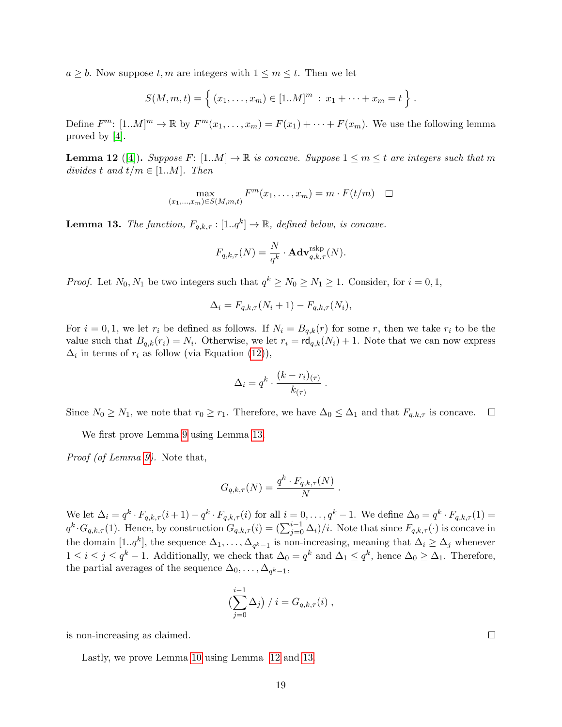<span id="page-18-2"></span> $a \geq b$ . Now suppose  $t, m$  are integers with  $1 \leq m \leq t$ . Then we let

$$
S(M, m, t) = \left\{ (x_1, \ldots, x_m) \in [1..M]^m : x_1 + \cdots + x_m = t \right\}.
$$

Define  $F^m$ :  $[1..M]^m \to \mathbb{R}$  by  $F^m(x_1,...,x_m) = F(x_1) + \cdots + F(x_m)$ . We use the following lemma proved by [\[4\]](#page-34-3).

<span id="page-18-1"></span>**Lemma 12** ([\[4\]](#page-34-3)). Suppose F:  $[1..M] \to \mathbb{R}$  is concave. Suppose  $1 \leq m \leq t$  are integers such that m divides t and  $t/m \in [1..M]$ . Then

$$
\max_{(x_1,\ldots,x_m)\in S(M,m,t)} F^m(x_1,\ldots,x_m) = m \cdot F(t/m) \quad \Box
$$

<span id="page-18-0"></span>**Lemma 13.** The function,  $F_{q,k,\tau} : [1..q^k] \to \mathbb{R}$ , defined below, is concave.

$$
F_{q,k,\tau}(N) = \frac{N}{q^k} \cdot \mathbf{Adv}_{q,k,\tau}^{\text{rskp}}(N).
$$

*Proof.* Let  $N_0, N_1$  be two integers such that  $q^k \ge N_0 \ge N_1 \ge 1$ . Consider, for  $i = 0, 1$ ,

$$
\Delta_i = F_{q,k,\tau}(N_i + 1) - F_{q,k,\tau}(N_i),
$$

For  $i = 0, 1$ , we let  $r_i$  be defined as follows. If  $N_i = B_{q,k}(r)$  for some r, then we take  $r_i$  to be the value such that  $B_{q,k}(r_i) = N_i$ . Otherwise, we let  $r_i = \mathsf{rd}_{q,k}(N_i) + 1$ . Note that we can now express  $\Delta_i$  in terms of  $r_i$  as follow (via Equation [\(12\)](#page-13-1)),

$$
\Delta_i = q^k \cdot \frac{(k - r_i)_{(\tau)}}{k_{(\tau)}}.
$$

Since  $N_0 \ge N_1$ , we note that  $r_0 \ge r_1$ . Therefore, we have  $\Delta_0 \le \Delta_1$  and that  $F_{q,k,\tau}$  is concave.  $\Box$ 

We first prove Lemma [9](#page-14-0) using Lemma [13.](#page-18-0)

Proof (of Lemma [9\)](#page-14-0). Note that,

$$
G_{q,k,\tau}(N) = \frac{q^k \cdot F_{q,k,\tau}(N)}{N}.
$$

We let  $\Delta_i = q^k \cdot F_{q,k,\tau}(i+1) - q^k \cdot F_{q,k,\tau}(i)$  for all  $i = 0, \ldots, q^k - 1$ . We define  $\Delta_0 = q^k \cdot F_{q,k,\tau}(1) =$  $q^k \cdot G_{q,k,\tau}(1)$ . Hence, by construction  $G_{q,k,\tau}(i) = (\sum_{j=0}^{i-1} \Delta_i)/i$ . Note that since  $F_{q,k,\tau}(\cdot)$  is concave in the domain  $[1..q^k]$ , the sequence  $\Delta_1, \ldots, \Delta_{q^k-1}$  is non-increasing, meaning that  $\Delta_i \geq \Delta_j$  whenever  $1 \leq i \leq j \leq q^k - 1$ . Additionally, we check that  $\Delta_0 = q^k$  and  $\Delta_1 \leq q^k$ , hence  $\Delta_0 \geq \Delta_1$ . Therefore, the partial averages of the sequence  $\Delta_0, \ldots, \Delta_{q^k-1},$ 

$$
\left(\sum_{j=0}^{i-1} \Delta_j\right) / i = G_{q,k,\tau}(i) ,
$$

is non-increasing as claimed.

Lastly, we prove Lemma [10](#page-14-1) using Lemma [12](#page-18-1) and [13.](#page-18-0)

 $\Box$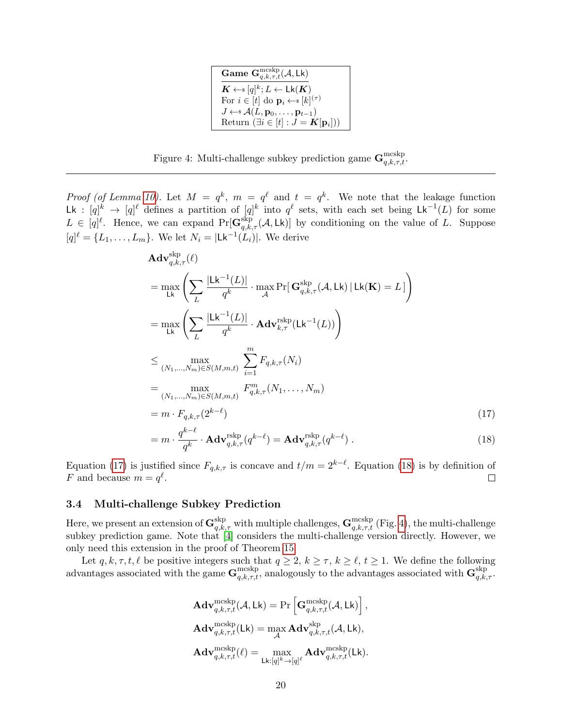| Game $\mathbf{G}_{q,k,\tau,t}^{\text{mcskp}}(\mathcal{A},\mathsf{Lk})$              |
|-------------------------------------------------------------------------------------|
| $\mathbf{K} \leftarrow$ s [q] <sup>k</sup> ; $L \leftarrow \mathsf{Lk}(\mathbf{K})$ |
| For $i \in [t]$ do $\mathbf{p}_i \leftarrow s [k]^{(\tau)}$                         |
| $J \leftarrow \mathcal{A}(L, \mathbf{p}_0, \dots, \mathbf{p}_{t-1})$                |
| Return $(\exists i \in [t] : J = K[\mathbf{p}_i])$                                  |

<span id="page-19-4"></span><span id="page-19-3"></span>Figure 4: Multi-challenge subkey prediction game  $\mathbf{G}_{q,k,\tau,t}^{\text{mcskp}}$ .

*Proof (of Lemma [10\)](#page-14-1).* Let  $M = q^k$ ,  $m = q^{\ell}$  and  $t = q^k$ . We note that the leakage function Lk :  $[q]^k \to [q]^{\ell}$  defines a partition of  $[q]^k$  into  $q^{\ell}$  sets, with each set being  $\mathsf{Lk}^{-1}(L)$  for some  $L \in [q]^{\ell}$ . Hence, we can expand  $\Pr[\mathbf{G}^{\text{skip}}_{q,k,\tau}(\mathcal{A}, \mathsf{Lk})]$  by conditioning on the value of L. Suppose  $[q]^\ell = \{L_1, \ldots, L_m\}$ . We let  $N_i = |\mathsf{Lk}^{-1}(L_i)|$ . We derive

$$
\mathbf{Adv}_{q,k,\tau}^{\text{skp}}(\ell)
$$
\n
$$
= \max_{\mathsf{L}\mathsf{k}} \left( \sum_{L} \frac{|\mathsf{L}\mathsf{k}^{-1}(L)|}{q^k} \cdot \max_{\mathcal{A}} \Pr[\mathbf{G}_{q,k,\tau}^{\text{skp}}(\mathcal{A}, \mathsf{L}\mathsf{k}) | \mathsf{L}\mathsf{k}(\mathbf{K}) = L] \right)
$$
\n
$$
= \max_{\mathsf{L}\mathsf{k}} \left( \sum_{L} \frac{|\mathsf{L}\mathsf{k}^{-1}(L)|}{q^k} \cdot \mathbf{Adv}_{k,\tau}^{\text{rskp}}(\mathsf{L}\mathsf{k}^{-1}(L)) \right)
$$
\n
$$
\leq \max_{(N_1, \dots, N_m) \in S(M, m, t)} \sum_{i=1}^m F_{q,k,\tau}(N_i)
$$
\n
$$
= \max_{(N_1, \dots, N_m) \in S(M, m, t)} F_{q,k,\tau}^m(N_1, \dots, N_m)
$$
\n
$$
= m \cdot F_{q,k,\tau}(2^{k-\ell})
$$
\n
$$
= m \cdot \int_{q,k-\ell}^{q-\ell} \cdot \mathbf{Adv}^{\text{rskp}}(q^{k-\ell}) = \mathbf{Adv}^{\text{rskp}}(q^{k-\ell})
$$
\n(17)

<span id="page-19-1"></span>
$$
= m \cdot \frac{q^{\epsilon}}{q^k} \cdot \mathbf{Adv}_{q,k,\tau}^{\text{rskip}}(q^{k-\ell}) = \mathbf{Adv}_{q,k,\tau}^{\text{rskip}}(q^{k-\ell}). \tag{18}
$$

Equation [\(17\)](#page-19-1) is justified since  $F_{q,k,\tau}$  is concave and  $t/m = 2^{k-\ell}$ . Equation [\(18\)](#page-19-2) is by definition of F and because  $m = q^{\ell}$ .  $\Box$ 

#### <span id="page-19-0"></span>3.4 Multi-challenge Subkey Prediction

Here, we present an extension of  $\mathbf{G}^{\text{skp}}_{q,k,\tau}$  with multiple challenges,  $\mathbf{G}^{\text{mcskp}}_{q,k,\tau,t}$  (Fig. [4\)](#page-19-3), the multi-challenge subkey prediction game. Note that [\[4\]](#page-34-3) considers the multi-challenge version directly. However, we only need this extension in the proof of Theorem [15.](#page-21-0)

Let  $q, k, \tau, t, \ell$  be positive integers such that  $q \geq 2, k \geq \tau, k \geq \ell, t \geq 1$ . We define the following advantages associated with the game  $\mathbf{G}_{q,k,\tau,t}^{\text{mcsky}}$ , analogously to the advantages associated with  $\mathbf{G}_{q,k,\tau}^{\text{sky}}$ .

<span id="page-19-2"></span>
$$
\begin{aligned} &\mathbf{Adv}_{q,k,\tau,t}^{\mathrm{mcskp}}(\mathcal{A},\mathsf{Lk})=\Pr\left[\mathbf{G}_{q,k,\tau,t}^{\mathrm{mcskp}}(\mathcal{A},\mathsf{Lk})\right],\\ &\mathbf{Adv}_{q,k,\tau,t}^{\mathrm{mcskp}}(\mathsf{Lk})=\max_{\mathcal{A}}\mathbf{Adv}_{q,k,\tau,t}^{\mathrm{skp}}(\mathcal{A},\mathsf{Lk}),\\ &\mathbf{Adv}_{q,k,\tau,t}^{\mathrm{mcskp}}(\ell)=\max_{\mathsf{Lk}: [q]^k\rightarrow [q]^{\ell}}\mathbf{Adv}_{q,k,\tau,t}^{\mathrm{mcskp}}(\mathsf{Lk}). \end{aligned}
$$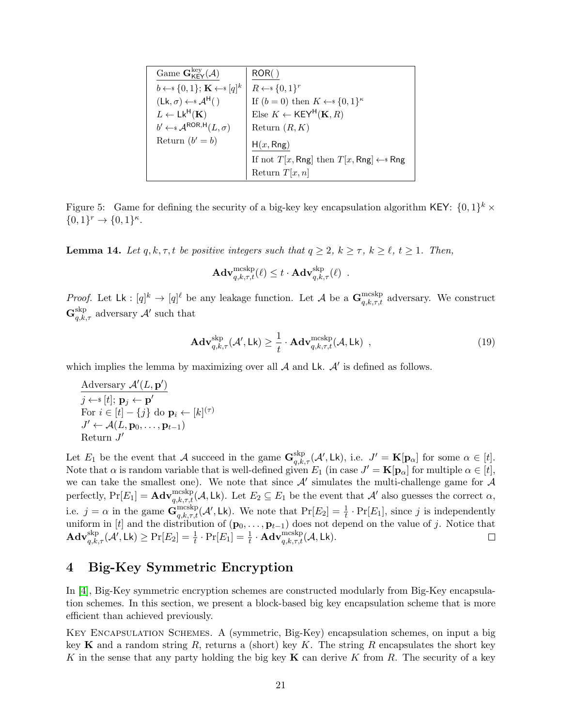<span id="page-20-3"></span>

| Game $\mathbf{G}_{\mathsf{KEY}}^{\text{key}}(\mathcal{A})$  | ROR()                                                    |
|-------------------------------------------------------------|----------------------------------------------------------|
| $b \leftarrow \{0,1\}; \mathbf{K} \leftarrow \{q\}^k$       | $R \leftarrow \{0,1\}^r$                                 |
| $(Lk, \sigma) \leftarrow s \mathcal{A}^{H}()$               | If $(b = 0)$ then $K \leftarrow \{0,1\}^{\kappa}$        |
| $L \leftarrow Lk^{\mathsf{H}}(\mathbf{K})$                  | Else $K \leftarrow \text{KEY}^{\text{H}}(\mathbf{K}, R)$ |
| $b' \leftarrow \mathcal{A}^{\text{ROR},\text{H}}(L,\sigma)$ | Return $(R, K)$                                          |
| Return $(b' = b)$                                           | H(x, Rng)                                                |
|                                                             | If not $T[x, Rng]$ then $T[x, Rng] \leftarrow$ Rng       |
|                                                             | Return $T[x, n]$                                         |

<span id="page-20-1"></span>Figure 5: Game for defining the security of a big-key key encapsulation algorithm KEY:  $\{0,1\}^k$  ×  ${0,1}^r \rightarrow {0,1}^{\kappa}.$ 

<span id="page-20-2"></span>**Lemma 14.** Let q, k,  $\tau$ , t be positive integers such that  $q \geq 2$ ,  $k \geq \tau$ ,  $k \geq \ell$ ,  $t \geq 1$ . Then,

$$
\mathbf{Adv}_{q,k,\tau,t}^{\rm mcskp}(\ell) \leq t \cdot \mathbf{Adv}_{q,k,\tau}^{\rm skp}(\ell) \enspace .
$$

*Proof.* Let  $L\mathbf{k}: [q]^k \to [q]^{\ell}$  be any leakage function. Let A be a  $\mathbf{G}_{q,k,\tau,t}^{\text{mcshp}}$  adversary. We construct  $\mathbf{G}^{\text{skp}}_{q,k,\tau}$  adversary  $\mathcal{A}'$  such that

$$
\mathbf{Adv}_{q,k,\tau}^{\text{skip}}(\mathcal{A}',\mathsf{Lk}) \geq \frac{1}{t} \cdot \mathbf{Adv}_{q,k,\tau,t}^{\text{mcskp}}(\mathcal{A},\mathsf{Lk}) ,
$$
\n(19)

which implies the lemma by maximizing over all  $A$  and Lk.  $A'$  is defined as follows.

Adversary  $\mathcal{A}'(L, \mathbf{p}')$  $j \leftarrow \{[t]; \, \mathbf{p}_j \leftarrow \mathbf{p}^\prime$ For  $i \in [t] - \{j\}$  do  $\mathbf{p}_i \leftarrow [k]^{(\tau)}$  $J' \leftarrow \mathcal{A}(L, \mathbf{p}_0, \dots, \mathbf{p}_{t-1})$ Return  $J'$ 

Let  $E_1$  be the event that A succeed in the game  $\mathbf{G}_{q,k,\tau}^{\text{skp}}(\mathcal{A}', \mathsf{Lk})$ , i.e.  $J' = \mathbf{K}[\mathbf{p}_{\alpha}]$  for some  $\alpha \in [t]$ . Note that  $\alpha$  is random variable that is well-defined given  $E_1$  (in case  $J' = \mathbf{K}[\mathbf{p}_{\alpha}]$  for multiple  $\alpha \in [t],$ we can take the smallest one). We note that since  $A'$  simulates the multi-challenge game for  $A$ perfectly,  $Pr[E_1] = \mathbf{Adv}_{q,k,\tau,t}^{\text{mcskp}}(\mathcal{A}, \mathsf{Lk})$ . Let  $E_2 \subseteq E_1$  be the event that  $\mathcal{A}'$  also guesses the correct  $\alpha$ , i.e.  $j = \alpha$  in the game  $\mathbf{G}_{q,k,\tau,t}^{\text{mcskp}}(\mathcal{A}', \mathsf{Lk})$ . We note that  $\Pr[E_2] = \frac{1}{t} \cdot \Pr[E_1]$ , since j is independently uniform in [t] and the distribution of  $(\mathbf{p}_0, \ldots, \mathbf{p}_{t-1})$  does not depend on the value of j. Notice that  $\mathbf{Adv}_{q,k,\tau}^{\mathrm{skp}}(\mathcal{A}',\mathsf{Lk}) \geq \Pr[E_2] = \frac{1}{t} \cdot \Pr[E_1] = \frac{1}{t} \cdot \mathbf{Adv}_{q,k,\tau,t}^{\mathrm{mcskp}}(\mathcal{A},\mathsf{Lk}).$  $\Box$ 

## <span id="page-20-0"></span>4 Big-Key Symmetric Encryption

In [\[4\]](#page-34-3), Big-Key symmetric encryption schemes are constructed modularly from Big-Key encapsulation schemes. In this section, we present a block-based big key encapsulation scheme that is more efficient than achieved previously.

Key Encapsulation Schemes. A (symmetric, Big-Key) encapsulation schemes, on input a big key K and a random string R, returns a (short) key K. The string R encapsulates the short key K in the sense that any party holding the big key  $\bf{K}$  can derive K from R. The security of a key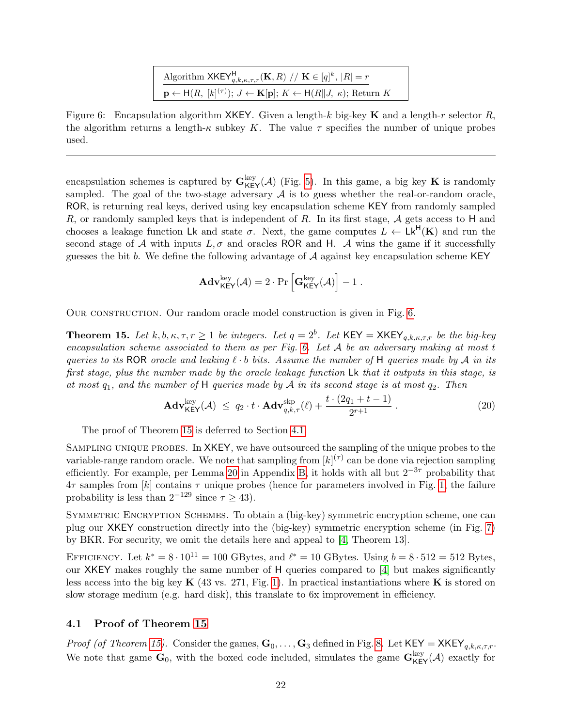| Algorithm $\mathsf{XKEY}_{q,k,\kappa,\tau,r}^{\mathsf{H}}(\mathbf{K},R) \ // \ \mathbf{K} \in [q]^k,  R  = r$                             |
|-------------------------------------------------------------------------------------------------------------------------------------------|
| $\mathbf{p} \leftarrow \mathsf{H}(R, [k]^{(\tau)}); J \leftarrow \mathbf{K}[\mathbf{p}]; K \leftarrow \mathsf{H}(R  J, \kappa);$ Return K |

<span id="page-21-3"></span><span id="page-21-2"></span>Figure 6: Encapsulation algorithm XKEY. Given a length-k big-key K and a length-r selector R, the algorithm returns a length- $\kappa$  subkey K. The value  $\tau$  specifies the number of unique probes used.

encapsulation schemes is captured by  $\mathbf{G}_{\mathsf{KEY}}^{\text{key}}(\mathcal{A})$  (Fig. [5\)](#page-20-1). In this game, a big key **K** is randomly sampled. The goal of the two-stage adversary  $A$  is to guess whether the real-or-random oracle, ROR, is returning real keys, derived using key encapsulation scheme KEY from randomly sampled R, or randomly sampled keys that is independent of R. In its first stage,  $\mathcal A$  gets access to H and chooses a leakage function Lk and state  $\sigma$ . Next, the game computes  $L \leftarrow \mathsf{Lk}^{\mathsf{H}}(\mathbf{K})$  and run the second stage of A with inputs  $L, \sigma$  and oracles ROR and H. A wins the game if it successfully guesses the bit b. We define the following advantage of  $A$  against key encapsulation scheme KEY

$$
\mathbf{Adv}_{\mathsf{KEY}}^{\mathrm{key}}(\mathcal{A}) = 2 \cdot \Pr\left[\mathbf{G}_{\mathsf{KEY}}^{\mathrm{key}}(\mathcal{A})\right] - 1 ~.
$$

Our construction. Our random oracle model construction is given in Fig. [6.](#page-21-2)

<span id="page-21-0"></span>**Theorem 15.** Let  $k, b, \kappa, \tau, r \ge 1$  be integers. Let  $q = 2^b$ . Let  $\text{KEY} = \text{XKEY}_{q,k,\kappa,\tau,r}$  be the big-key encapsulation scheme associated to them as per Fig. [6.](#page-21-2) Let  $A$  be an adversary making at most t queries to its ROR oracle and leaking  $\ell \cdot b$  bits. Assume the number of H queries made by A in its first stage, plus the number made by the oracle leakage function Lk that it outputs in this stage, is at most  $q_1$ , and the number of H queries made by A in its second stage is at most  $q_2$ . Then

$$
\mathbf{Adv}_{\mathsf{KEY}}^{\text{key}}(\mathcal{A}) \ \leq \ q_2 \cdot t \cdot \mathbf{Adv}_{q,k,\tau}^{\text{skip}}(\ell) + \frac{t \cdot (2q_1 + t - 1)}{2^{r+1}} \,. \tag{20}
$$

The proof of Theorem [15](#page-21-0) is deferred to Section [4.1.](#page-21-1)

Sampling unique probes. In XKEY, we have outsourced the sampling of the unique probes to the variable-range random oracle. We note that sampling from  $[k]^{(\tau)}$  can be done via rejection sampling efficiently. For example, per Lemma [20](#page-39-0) in Appendix [B,](#page-38-0) it holds with all but  $2^{-3\tau}$  probability that  $4\tau$  samples from [k] contains  $\tau$  unique probes (hence for parameters involved in Fig. [1,](#page-3-0) the failure probability is less than  $2^{-129}$  since  $\tau \ge 43$ ).

SYMMETRIC ENCRYPTION SCHEMES. To obtain a (big-key) symmetric encryption scheme, one can plug our XKEY construction directly into the (big-key) symmetric encryption scheme (in Fig. [7\)](#page-22-0) by BKR. For security, we omit the details here and appeal to [\[4,](#page-34-3) Theorem 13].

EFFICIENCY. Let  $k^* = 8 \cdot 10^{11} = 100$  GBytes, and  $\ell^* = 10$  GBytes. Using  $b = 8 \cdot 512 = 512$  Bytes, our XKEY makes roughly the same number of H queries compared to [\[4\]](#page-34-3) but makes significantly less access into the big key  $\mathbf{K}$  (43 vs. 271, Fig. [1\)](#page-3-0). In practical instantiations where  $\mathbf{K}$  is stored on slow storage medium (e.g. hard disk), this translate to 6x improvement in efficiency.

#### <span id="page-21-1"></span>4.1 Proof of Theorem [15](#page-21-0)

*Proof (of Theorem [15\)](#page-21-0).* Consider the games,  $\mathbf{G}_0, \ldots, \mathbf{G}_3$  defined in Fig. [8.](#page-22-1) Let  $KEY = XKEY_{q,k,\kappa,\tau,r}$ . We note that game  $\mathbf{G}_0$ , with the boxed code included, simulates the game  $\mathbf{G}_{\mathsf{KEY}}^{\text{key}}(\mathcal{A})$  exactly for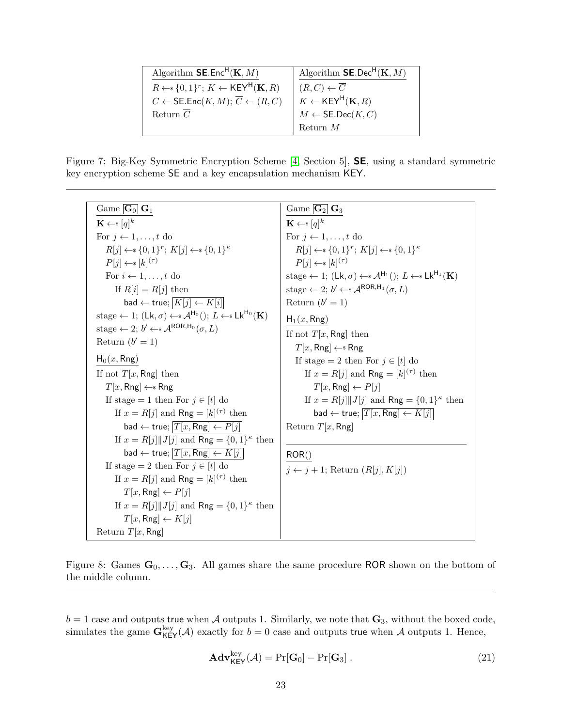<span id="page-22-3"></span>

| Algorithm $\mathsf{SE}.\mathsf{Enc}^{\mathsf{H}}(\mathbf{K},M)$                | Algorithm $\mathsf{SE}.\mathsf{Dec}^\mathsf{H}(\mathbf{K},M)$                                                                                                                              |
|--------------------------------------------------------------------------------|--------------------------------------------------------------------------------------------------------------------------------------------------------------------------------------------|
| $R \leftarrow \{0,1\}^r$ ; $K \leftarrow \text{KEY}^{\text{H}}(\mathbf{K}, R)$ | $\left  \begin{array}{l} (R,C) \leftarrow \overline{C} \\ K \leftarrow \mathsf{KEY}^{\mathsf{H}}({\mathbf K},R) \\ M \leftarrow \mathsf{SE}.\mathsf{Dec}(K,C) \end{array} \right. \right.$ |
| $C \leftarrow \mathsf{SE}.\mathsf{Enc}(K,M);\overline{C} \leftarrow (R,C)$     |                                                                                                                                                                                            |
| Return $\overline{C}$                                                          |                                                                                                                                                                                            |
|                                                                                | Return $M$                                                                                                                                                                                 |

<span id="page-22-0"></span>Figure 7: Big-Key Symmetric Encryption Scheme [\[4,](#page-34-3) Section 5], SE, using a standard symmetric key encryption scheme SE and a key encapsulation mechanism KEY.

| Game $\mathbf{G}_0 \mid \mathbf{G}_1$                                                                                                   | Game $\boxed{\textbf{G}_2}$ $\textbf{G}_3$                                                                                             |
|-----------------------------------------------------------------------------------------------------------------------------------------|----------------------------------------------------------------------------------------------------------------------------------------|
| $\mathbf{K} \leftarrow s [q]^k$                                                                                                         | $\mathbf{K} \leftarrow s [q]^k$                                                                                                        |
| For $j \leftarrow 1, \ldots, t$ do                                                                                                      | For $i \leftarrow 1, \ldots, t$ do                                                                                                     |
| $R[j] \leftarrow \{0,1\}^r$ ; $K[j] \leftarrow \{0,1\}^{\kappa}$                                                                        | $R[j] \leftarrow \{0,1\}^r$ ; $K[j] \leftarrow \{0,1\}^{\kappa}$                                                                       |
| $P[j] \leftarrow \{k\}^{(\tau)}$                                                                                                        | $P[j] \leftarrow s [k]^{(\tau)}$                                                                                                       |
| For $i \leftarrow 1, \ldots, t$ do                                                                                                      | stage $\leftarrow$ 1; (Lk, $\sigma$ ) $\leftarrow$ s $\mathcal{A}^{H_1}$ (); $L \leftarrow$ s Lk <sup>H<sub>1</sub></sup> ( <b>K</b> ) |
| If $R[i] = R[j]$ then                                                                                                                   | stage $\leftarrow$ 2; $b' \leftarrow \mathcal{A}^{\text{ROR},H_1}(\sigma, L)$                                                          |
| bad $\leftarrow$ true; $\overline{K[j] \leftarrow K[i]}$                                                                                | Return $(b' = 1)$                                                                                                                      |
| stage $\leftarrow$ 1; (Lk, $\sigma$ ) $\leftarrow$ s $\mathcal{A}^{H_0}$ (); $L \leftarrow$ s Lk <sup>H</sup> <sup>0</sup> ( <b>K</b> ) | $H_1(x, Rng)$                                                                                                                          |
| stage $\leftarrow$ 2; $b' \leftarrow \mathcal{A}^{\text{ROR},\text{H}_0}(\sigma,L)$                                                     | If not $T[x, Rng]$ then                                                                                                                |
| Return $(b' = 1)$                                                                                                                       | $T[x, Rng] \leftarrow$ Rng                                                                                                             |
| $H_0(x, Rng)$                                                                                                                           | If stage = 2 then For $j \in [t]$ do                                                                                                   |
| If not $T[x, Rng]$ then                                                                                                                 | If $x = R[j]$ and Rng = $[k]^{(\tau)}$ then                                                                                            |
| $T[x, Rng] \leftarrow$ Rng                                                                                                              | $T[x, Rng] \leftarrow P[i]$                                                                                                            |
| If stage = 1 then For $j \in [t]$ do                                                                                                    | If $x = R[j]$ , $J[j]$ and Rng = $\{0,1\}^{\kappa}$ then                                                                               |
| If $x = R[j]$ and Rng = $[k]^{(\tau)}$ then                                                                                             | bad $\leftarrow$ true; $\overline{T[x,\text{Rng}] \leftarrow K[j]}$                                                                    |
| bad $\leftarrow$ true; $ T[x, \text{Rng}] \leftarrow P[j] $                                                                             | Return $T[x, Rng]$                                                                                                                     |
| If $x = R[j]   J[j]$ and Rng = $\{0,1\}^{\kappa}$ then                                                                                  |                                                                                                                                        |
| bad $\leftarrow$ true; $\boxed{T[x,\mathsf{Rng}] \leftarrow K[j]}$                                                                      | ROR()                                                                                                                                  |
| If stage = 2 then For $j \in [t]$ do                                                                                                    | $j \leftarrow j + 1$ ; Return $(R[j], K[j])$                                                                                           |
| If $x = R[j]$ and Rng = $[k]^{(\tau)}$ then                                                                                             |                                                                                                                                        |
| $T[x, Rng] \leftarrow P[i]$                                                                                                             |                                                                                                                                        |
| If $x = R[j]$ , If $j$ and Rng = $\{0,1\}^{\kappa}$ then                                                                                |                                                                                                                                        |
| $T[x, Rng] \leftarrow K[i]$                                                                                                             |                                                                                                                                        |
| Return $T[x, Rng]$                                                                                                                      |                                                                                                                                        |

<span id="page-22-1"></span>Figure 8: Games  $\mathbf{G}_0, \ldots, \mathbf{G}_3$ . All games share the same procedure ROR shown on the bottom of the middle column.

 $b = 1$  case and outputs true when A outputs 1. Similarly, we note that  $\mathbf{G}_3$ , without the boxed code, simulates the game  $\mathbf{G}_{\mathsf{KEY}}^{\text{key}}(\mathcal{A})$  exactly for  $b=0$  case and outputs true when  $\mathcal{A}$  outputs 1. Hence,

<span id="page-22-2"></span>
$$
\mathbf{Adv}_{\mathsf{KEY}}^{\text{key}}(\mathcal{A}) = \Pr[\mathbf{G}_0] - \Pr[\mathbf{G}_3] . \tag{21}
$$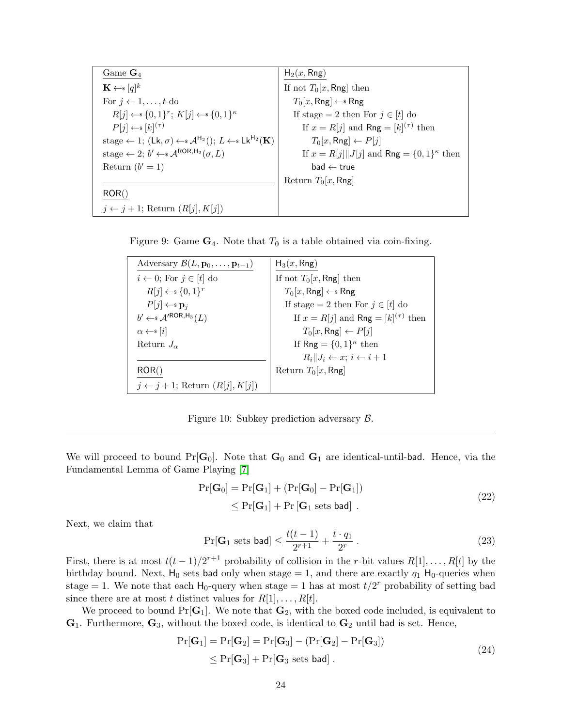<span id="page-23-5"></span>

| Game $\mathbf{G}_4$                                                                                                                    | $H_2(x, Rng)$                                            |
|----------------------------------------------------------------------------------------------------------------------------------------|----------------------------------------------------------|
| $\mathbf{K} \leftarrow s [q]^k$                                                                                                        | If not $T_0[x, Rng]$ then                                |
| For $i \leftarrow 1, \ldots, t$ do                                                                                                     | $T_0[x, \text{Rng}] \leftarrow \text{Rng}$               |
| $R[j] \leftarrow \{0,1\}^r$ ; $K[j] \leftarrow \{0,1\}^{\kappa}$                                                                       | If stage = 2 then For $j \in [t]$ do                     |
| $P[j] \leftarrow \{k\}^{(\tau)}$                                                                                                       | If $x = R[j]$ and Rng = $[k]^{(\tau)}$ then              |
| stage $\leftarrow$ 1; (Lk, $\sigma$ ) $\leftarrow$ s $\mathcal{A}^{H_2}$ (); $L \leftarrow$ s Lk <sup>H<sub>2</sub></sup> ( <b>K</b> ) | $T_0[x, \text{Rng}] \leftarrow P[j]$                     |
| stage $\leftarrow$ 2; $b' \leftarrow \mathcal{A}^{\text{ROR},H_2}(\sigma, L)$                                                          | If $x = R[j]    J[j]$ and Rng = $\{0, 1\}^{\kappa}$ then |
| Return $(b' = 1)$                                                                                                                      | $bad \leftarrow true$                                    |
|                                                                                                                                        | Return $T_0[x, Rng]$                                     |
| ROR()                                                                                                                                  |                                                          |
| $j \leftarrow j + 1$ ; Return $(R[j], K[j])$                                                                                           |                                                          |

<span id="page-23-3"></span>Figure 9: Game  $\mathbf{G}_4$ . Note that  $T_0$  is a table obtained via coin-fixing.

| Adversary $\mathcal{B}(L, \mathbf{p}_0, \ldots, \mathbf{p}_{t-1})$ | $H_3(x, Rng)$                               |
|--------------------------------------------------------------------|---------------------------------------------|
| $i \leftarrow 0$ ; For $j \in [t]$ do                              | If not $T_0[x, Rng]$ then                   |
| $R[j] \leftarrow \{0,1\}^r$                                        | $T_0[x, Rng] \leftarrow$ Rng                |
| $P[j] \leftarrow \mathbf{s} \mathbf{p}_i$                          | If stage = 2 then For $j \in [t]$ do        |
| $b' \leftarrow \mathcal{A}'^{ROR,H_3}(L)$                          | If $x = R[j]$ and Rng = $[k]^{(\tau)}$ then |
| $\alpha \leftarrow s [i]$                                          | $T_0[x, \text{Rng}] \leftarrow P[j]$        |
| Return $J_{\alpha}$                                                | If Rng = $\{0,1\}^{\kappa}$ then            |
|                                                                    | $R_i  J_i \leftarrow x; i \leftarrow i+1$   |
| ROR()                                                              | Return $T_0[x, Rng]$                        |
| $j \leftarrow j + 1$ ; Return $(R[j], K[j])$                       |                                             |

<span id="page-23-4"></span>Figure 10: Subkey prediction adversary B.

We will proceed to bound  $Pr[G_0]$ . Note that  $G_0$  and  $G_1$  are identical-until-bad. Hence, via the Fundamental Lemma of Game Playing [\[7\]](#page-35-8)

$$
Pr[\mathbf{G}_0] = Pr[\mathbf{G}_1] + (Pr[\mathbf{G}_0] - Pr[\mathbf{G}_1])
$$
  
\n
$$
\leq Pr[\mathbf{G}_1] + Pr[\mathbf{G}_1 \text{ sets bad}].
$$
\n(22)

<span id="page-23-0"></span>Next, we claim that

<span id="page-23-1"></span>
$$
\Pr[\mathbf{G}_1 \text{ sets bad}] \le \frac{t(t-1)}{2^{r+1}} + \frac{t \cdot q_1}{2^r} \,. \tag{23}
$$

First, there is at most  $t(t-1)/2^{r+1}$  probability of collision in the r-bit values  $R[1], \ldots, R[t]$  by the birthday bound. Next,  $H_0$  sets bad only when stage = 1, and there are exactly  $q_1$  H<sub>0</sub>-queries when stage = 1. We note that each  $H_0$ -query when stage = 1 has at most  $t/2^r$  probability of setting bad since there are at most t distinct values for  $R[1], \ldots, R[t]$ .

<span id="page-23-2"></span>We proceed to bound  $Pr[G_1]$ . We note that  $G_2$ , with the boxed code included, is equivalent to  $\mathbf{G}_1$ . Furthermore,  $\mathbf{G}_3$ , without the boxed code, is identical to  $\mathbf{G}_2$  until bad is set. Hence,

$$
Pr[\mathbf{G}_1] = Pr[\mathbf{G}_2] = Pr[\mathbf{G}_3] - (Pr[\mathbf{G}_2] - Pr[\mathbf{G}_3])
$$
  
\n
$$
\leq Pr[\mathbf{G}_3] + Pr[\mathbf{G}_3 \text{ sets bad}].
$$
\n(24)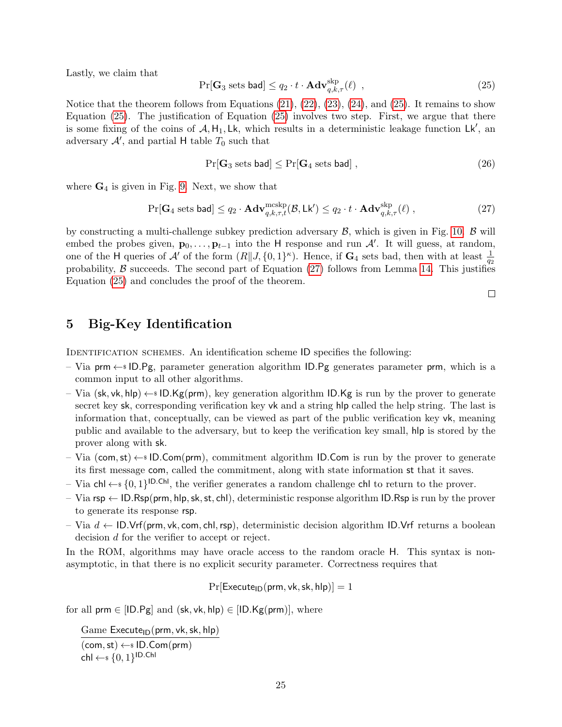Lastly, we claim that

<span id="page-24-1"></span>
$$
\Pr[\mathbf{G}_3 \text{ sets bad}] \le q_2 \cdot t \cdot \mathbf{Adv}_{q,k,\tau}^{\text{skp}}(\ell) ,
$$
\n(25)

Notice that the theorem follows from Equations  $(21), (22), (23), (24),$  $(21), (22), (23), (24),$  $(21), (22), (23), (24),$  $(21), (22), (23), (24),$  $(21), (22), (23), (24),$  $(21), (22), (23), (24),$  $(21), (22), (23), (24),$  $(21), (22), (23), (24),$  and  $(25)$ . It remains to show Equation [\(25\)](#page-24-1). The justification of Equation [\(25\)](#page-24-1) involves two step. First, we argue that there is some fixing of the coins of  $A, H_1, Lk$ , which results in a deterministic leakage function  $Lk'$ , and adversary  $\mathcal{A}'$ , and partial H table  $T_0$  such that

$$
Pr[G_3 \text{ sets bad}] \le Pr[G_4 \text{ sets bad}], \qquad (26)
$$

where  $G_4$  is given in Fig. [9.](#page-23-3) Next, we show that

<span id="page-24-2"></span>
$$
\Pr[\mathbf{G}_4 \text{ sets bad}] \le q_2 \cdot \mathbf{Adv}_{q,k,\tau,t}^{\text{mcskp}}(\mathcal{B}, \mathsf{Lk}') \le q_2 \cdot t \cdot \mathbf{Adv}_{q,k,\tau}^{\text{skp}}(\ell) ,
$$
\n(27)

by constructing a multi-challenge subkey prediction adversary  $\mathcal{B}$ , which is given in Fig. [10.](#page-23-4)  $\mathcal{B}$  will embed the probes given,  $\mathbf{p}_0, \ldots, \mathbf{p}_{t-1}$  into the H response and run  $\mathcal{A}'$ . It will guess, at random, one of the H queries of A' of the form  $(R||J, \{0,1\}^{\kappa})$ . Hence, if  $G_4$  sets bad, then with at least  $\frac{1}{q_2}$ probability,  $\beta$  succeeds. The second part of Equation [\(27\)](#page-24-2) follows from Lemma [14.](#page-20-2) This justifies Equation [\(25\)](#page-24-1) and concludes the proof of the theorem.

 $\Box$ 

## <span id="page-24-0"></span>5 Big-Key Identification

IDENTIFICATION SCHEMES. An identification scheme ID specifies the following:

- Via prm  $\leftarrow$  ID.Pg, parameter generation algorithm ID.Pg generates parameter prm, which is a common input to all other algorithms.
- Via (sk, vk, hlp)  $\leftarrow$  ID.Kg(prm), key generation algorithm ID.Kg is run by the prover to generate secret key sk, corresponding verification key vk and a string hlp called the help string. The last is information that, conceptually, can be viewed as part of the public verification key vk, meaning public and available to the adversary, but to keep the verification key small, hlp is stored by the prover along with sk.
- Via (com, st)  $\leftarrow$  ID.Com(prm), commitment algorithm ID.Com is run by the prover to generate its first message com, called the commitment, along with state information st that it saves.
- Via chl ←  $\{0,1\}^{|D.Chl|}$ , the verifier generates a random challenge chl to return to the prover.
- Via  $\mathsf{rsp} \leftarrow \mathsf{ID}.\mathsf{Rsp}(\mathsf{prm},\mathsf{hlp},\mathsf{sk},\mathsf{st},\mathsf{chl})$ , deterministic response algorithm ID.Rsp is run by the prover to generate its response rsp.
- Via  $d$  ← ID.Vrf(prm, vk, com, chl, rsp), deterministic decision algorithm ID.Vrf returns a boolean decision d for the verifier to accept or reject.

In the ROM, algorithms may have oracle access to the random oracle H. This syntax is nonasymptotic, in that there is no explicit security parameter. Correctness requires that

 $Pr[Execute_{ID}(prm, vk, sk, hlp)] = 1$ 

for all prm  $\in$  [ID.Pg] and (sk, vk, hlp)  $\in$  [ID.Kg(prm)], where

Game  $Execute_{ID}(prm, vk, sk, hlp)$  $(\textsf{com}, \textsf{st}) \leftarrow \textsf{s} \textsf{ID}.\textsf{Com}(\textsf{prm})$  $\mathsf{chl} \leftarrow \mathsf{s}\{0,1\}^{\mathsf{ID}.\mathsf{Chl}}$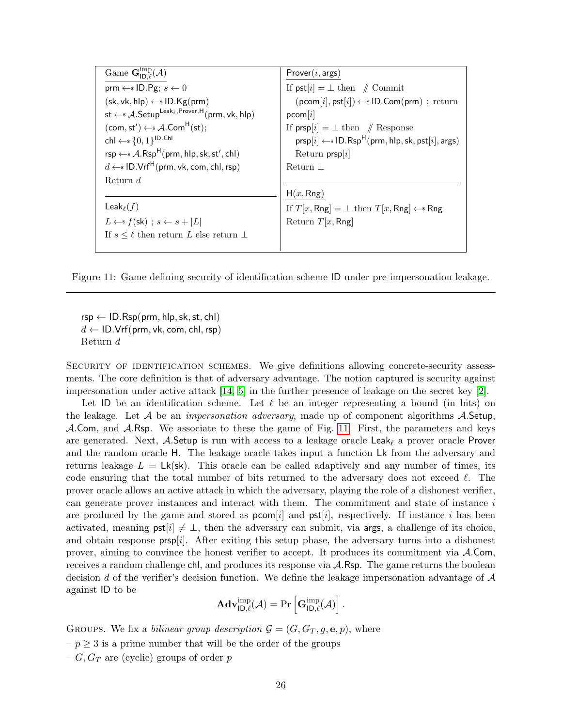<span id="page-25-1"></span>

| Game $\mathbf{G}_{\mathsf{ID}\ \ell}^{\mathrm{imp}}(\mathcal{A})$                                      | Prover(i, args)                                                                                                                    |
|--------------------------------------------------------------------------------------------------------|------------------------------------------------------------------------------------------------------------------------------------|
| prm $\leftarrow$ ID.Pg; $s \leftarrow 0$                                                               | If $\mathsf{pst}[i] = \perp \mathsf{then} \quad \mathsf{//} \quad \mathsf{Commit}$                                                 |
| $(\mathsf{sk}, \mathsf{vk}, \mathsf{hlp}) \leftarrow \mathsf{s} \mathsf{ID}.\mathsf{Kg}(\mathsf{prm})$ | $(\mathsf{pcom}[i], \mathsf{pst}[i]) \leftarrow \{ \mathsf{s} \mid \mathsf{D}.\mathsf{Com}(\mathsf{prim}) \; : \; \mathsf{return}$ |
| st $\leftarrow$ <i>s</i> A. Setup <sup>Leak<sub>ℓ</sub>, Prover, H<sub>(prm, vk, hlp)</sub></sup>      | pcom[i]                                                                                                                            |
| $(\text{com}, \text{st}') \leftarrow \text{A}.\text{Com}^H(\text{st});$                                | If $prsp[i] = \perp$ then // Response                                                                                              |
| chl $\leftarrow$ $\{0,1\}^{ D.Chl }$                                                                   | $prsp[i] \leftarrow s ID.Rsp^H(prm, hlp, sk, pst[i], args)$                                                                        |
| $rsp \leftarrow * A.Rsp^H(prm, hlp, sk, st', chl)$                                                     | Return $prsp[i]$                                                                                                                   |
| $d \leftarrow s \text{ ID.Vrf}^H(\text{prm}, \text{vk}, \text{com}, \text{chl}, \text{rsp})$           | Return $\perp$                                                                                                                     |
| Return $d$                                                                                             |                                                                                                                                    |
|                                                                                                        | H(x, Rng)                                                                                                                          |
| Leak $_{\ell}(f)$                                                                                      | If $T[x, Rng] = \perp$ then $T[x, Rng] \leftarrow$ Rng                                                                             |
| $L \leftarrow s f(\mathsf{sk})$ ; $s \leftarrow s +  L $                                               | Return $T[x, Rng]$                                                                                                                 |
| If $s \leq \ell$ then return L else return $\perp$                                                     |                                                                                                                                    |
|                                                                                                        |                                                                                                                                    |

<span id="page-25-0"></span>Figure 11: Game defining security of identification scheme ID under pre-impersonation leakage.

 $rsp \leftarrow ID.Rsp(prm, hlp, sk, st, chl)$  $d \leftarrow \text{ID.Vrf(prm, vk, com, chl, rsp)}$ Return d

SECURITY OF IDENTIFICATION SCHEMES. We give definitions allowing concrete-security assessments. The core definition is that of adversary advantage. The notion captured is security against impersonation under active attack [\[14,](#page-35-10) [5\]](#page-35-11) in the further presence of leakage on the secret key [\[2\]](#page-34-1).

Let ID be an identification scheme. Let  $\ell$  be an integer representing a bound (in bits) on the leakage. Let A be an *impersonation adversary*, made up of component algorithms  $\mathcal{A}$ . Setup, A.Com, and A.Rsp. We associate to these the game of Fig. [11.](#page-25-0) First, the parameters and keys are generated. Next, A.Setup is run with access to a leakage oracle Leak<sub> $\ell$ </sub> a prover oracle Prover and the random oracle H. The leakage oracle takes input a function Lk from the adversary and returns leakage  $L = Lk(\text{sk})$ . This oracle can be called adaptively and any number of times, its code ensuring that the total number of bits returned to the adversary does not exceed  $\ell$ . The prover oracle allows an active attack in which the adversary, playing the role of a dishonest verifier, can generate prover instances and interact with them. The commitment and state of instance i are produced by the game and stored as  $\mathsf{pcom}[i]$  and  $\mathsf{pst}[i]$ , respectively. If instance i has been activated, meaning  $\mathsf{pst}[i] \neq \bot$ , then the adversary can submit, via args, a challenge of its choice. and obtain response  $prsp[i]$ . After exiting this setup phase, the adversary turns into a dishonest prover, aiming to convince the honest verifier to accept. It produces its commitment via A.Com, receives a random challenge chl, and produces its response via A.Rsp. The game returns the boolean decision d of the verifier's decision function. We define the leakage impersonation advantage of  $\mathcal A$ against ID to be

$$
\mathbf{Adv}_{\mathsf{ID},\ell}^{\mathrm{imp}}(\mathcal{A})=\mathrm{Pr}\left[\mathbf{G}_{\mathsf{ID},\ell}^{\mathrm{imp}}(\mathcal{A})\right].
$$

GROUPS. We fix a *bilinear group description*  $\mathcal{G} = (G, G_T, g, \mathbf{e}, p)$ , where  $-p \geq 3$  is a prime number that will be the order of the groups –  $G, G_T$  are (cyclic) groups of order p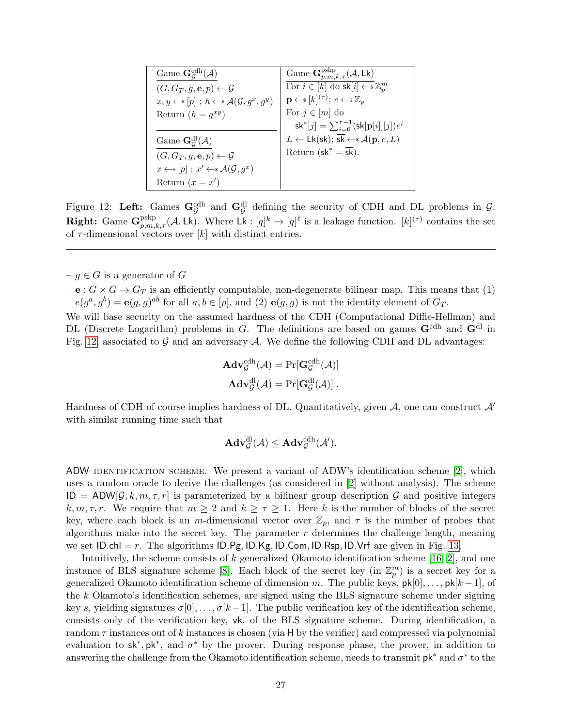<span id="page-26-1"></span>

| Game $\mathbf{G}_G^{\{\rm cdh}}(\mathcal{A})$                                 | Game $\mathbf{G}_{n,m,k,\tau}^{\text{pskp}}(\mathcal{A}, \mathsf{Lk})$                                     |
|-------------------------------------------------------------------------------|------------------------------------------------------------------------------------------------------------|
| $(G, G_T, g, \mathbf{e}, p) \leftarrow \mathcal{G}$                           | For $i \in [k]$ do $\textsf{sk}[i] \leftarrow \mathbb{Z}_n^m$                                              |
| $x, y \leftarrow s [p]$ ; $h \leftarrow s \mathcal{A}(\mathcal{G}, g^x, g^y)$ | $\mathbf{p} \leftarrow \{ [k]^{(\tau)} \colon e \leftarrow \{ \mathbb{Z}_n \}$                             |
| Return $(h = g^{xy})$                                                         | For $j \in [m]$ do                                                                                         |
|                                                                               | $\mathsf{sk}^*[j] = \sum_{i=0}^{\tau-1} (\mathsf{sk}[\mathbf{p}[i]][j]) e^i$                               |
| Game $\mathbf{G}_{\mathcal{G}}^{\mathrm{dl}}(\mathcal{A})$                    | $L \leftarrow Lk(\mathsf{sk}); \overline{\mathsf{sk}} \leftarrow \mathsf{s} \mathcal{A}(\mathbf{p}, e, L)$ |
| $(G, G_T, g, \mathbf{e}, p) \leftarrow \mathcal{G}$                           | Return ( $sk^* = \overline{sk}$ ).                                                                         |
| $x \leftarrow s [p]$ ; $x' \leftarrow s \mathcal{A}(\mathcal{G}, g^x)$        |                                                                                                            |
| Return $(x = x')$                                                             |                                                                                                            |

<span id="page-26-0"></span>Figure 12: Left: Games  $\mathbf{G}_{\mathcal{G}}^{\text{cdh}}$  and  $\mathbf{G}_{\mathcal{G}}^{\text{dl}}$  defining the security of CDH and DL problems in  $\mathcal{G}$ . **Right:** Game  $\mathbf{G}_{p,m,k,\tau}^{\text{pskp}}(\mathcal{A}, \mathsf{Lk})$ . Where  $\mathsf{Lk}: [q]^k \to [q]^{\ell}$  is a leakage function.  $[k]^{(\tau)}$  contains the set of  $\tau$ -dimensional vectors over  $[k]$  with distinct entries.

 $-g \in G$  is a generator of G

 $-$  e :  $G \times G \rightarrow G_T$  is an efficiently computable, non-degenerate bilinear map. This means that (1)  $e(g^a, g^b) = \mathbf{e}(g, g)^{ab}$  for all  $a, b \in [p]$ , and (2)  $\mathbf{e}(g, g)$  is not the identity element of  $G_T$ .

We will base security on the assumed hardness of the CDH (Computational Diffie-Hellman) and DL (Discrete Logarithm) problems in G. The definitions are based on games  $\mathbf{G}^{\text{cdh}}$  and  $\mathbf{G}^{\text{dl}}$  in Fig. [12,](#page-26-0) associated to  $G$  and an adversary  $A$ . We define the following CDH and DL advantages:

$$
\mathbf{Adv}_{\mathcal{G}}^{\text{cdh}}(\mathcal{A}) = \Pr[\mathbf{G}_{\mathcal{G}}^{\text{cdh}}(\mathcal{A})]
$$

$$
\mathbf{Adv}_{\mathcal{G}}^{\text{dl}}(\mathcal{A}) = \Pr[\mathbf{G}_{\mathcal{G}}^{\text{dl}}(\mathcal{A})].
$$

Hardness of CDH of course implies hardness of DL. Quantitatively, given  $A$ , one can construct  $A'$ with similar running time such that

$$
\mathbf{Adv}_{\mathcal{G}}^{\mathrm{dl}}(\mathcal{A}) \leq \mathbf{Adv}_{\mathcal{G}}^{\mathrm{cdh}}(\mathcal{A}').
$$

ADW IDENTIFICATION SCHEME. We present a variant of ADW's identification scheme  $[2]$ , which uses a random oracle to derive the challenges (as considered in [\[2\]](#page-34-1) without analysis). The scheme  $ID = ADW[\mathcal{G}, k, m, \tau, r]$  is parameterized by a bilinear group description  $\mathcal{G}$  and positive integers k,  $m, \tau, r$ . We require that  $m \geq 2$  and  $k \geq \tau \geq 1$ . Here k is the number of blocks of the secret key, where each block is an m-dimensional vector over  $\mathbb{Z}_p$ , and  $\tau$  is the number of probes that algorithms make into the secret key. The parameter  $r$  determines the challenge length, meaning we set  $|D-ch| = r$ . The algorithms  $|D.Pg, ID.Kg, ID.Com, ID.Rsp, ID.Vrf$  are given in Fig. [13.](#page-27-0)

Intuitively, the scheme consists of k generalized Okamoto identification scheme [\[16,](#page-35-7) [2\]](#page-34-1), and one instance of BLS signature scheme [\[8\]](#page-35-12). Each block of the secret key (in  $\mathbb{Z}_p^m$ ) is a secret key for a generalized Okamoto identification scheme of dimension m. The public keys,  $pk[0], \ldots, pk[k-1]$ , of the k Okamoto's identification schemes, are signed using the BLS signature scheme under signing key s, yielding signatures  $\sigma[0], \ldots, \sigma[k-1]$ . The public verification key of the identification scheme, consists only of the verification key, vk, of the BLS signature scheme. During identification, a random  $\tau$  instances out of k instances is chosen (via H by the verifier) and compressed via polynomial evaluation to sk<sup>\*</sup>,  $pk^*$ , and  $\sigma^*$  by the prover. During response phase, the prover, in addition to answering the challenge from the Okamoto identification scheme, needs to transmit  $pk^*$  and  $\sigma^*$  to the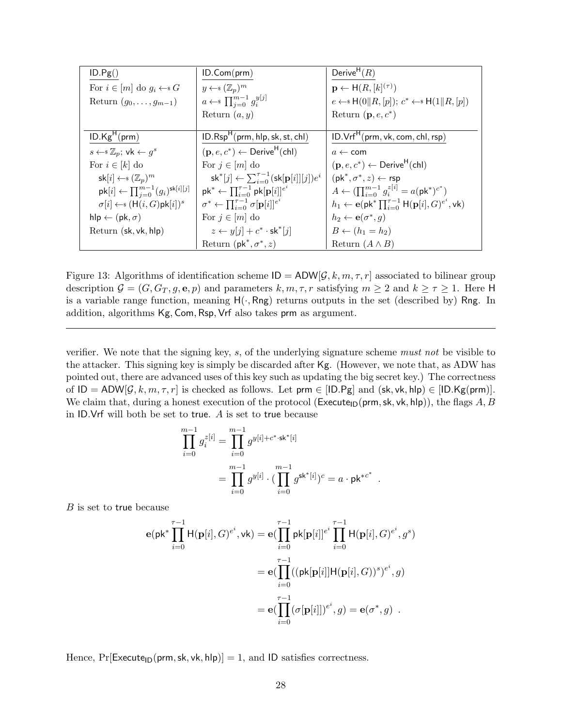| ID.Pg()                                                                 | ID.Com(prm)                                                                          | Derive <sup>H</sup> $(R)$                                                                              |
|-------------------------------------------------------------------------|--------------------------------------------------------------------------------------|--------------------------------------------------------------------------------------------------------|
| For $i \in [m]$ do $g_i \leftarrow s G$                                 | $y \leftarrow \in (\mathbb{Z}_p)^m$                                                  | $\mathbf{p} \leftarrow \mathsf{H}(R,[k]^{(\tau)})$                                                     |
| Return $(g_0, \ldots, g_{m-1})$                                         | $a \leftarrow \mathbb{S} \prod_{i=0}^{m-1} g_i^{y[j]}$                               | $e \leftarrow * H(0  R, [p]); c^* \leftarrow * H(1  R, [p])$                                           |
|                                                                         | Return $(a, y)$                                                                      | Return $(p, e, c^*)$                                                                                   |
|                                                                         |                                                                                      |                                                                                                        |
| ID.Kg <sup>H</sup> (prm)                                                | $ID.RspH(prm, hlp, sk, st, chl)$                                                     | $ID.VrfH(prm, vk, com, chl, rsp)$                                                                      |
| $s \leftarrow \mathbb{Z}_p$ ; vk $\leftarrow g^s$                       | $(\mathbf{p}, e, c^*) \leftarrow$ Derive <sup>H</sup> (chl)                          | $a \leftarrow$ com                                                                                     |
| For $i \in [k]$ do                                                      | For $j \in [m]$ do                                                                   | $(\mathbf{p}, e, c^*) \leftarrow$ Derive <sup>H</sup> (chl)                                            |
| $\mathsf{sk}[i] \leftarrow \{(\mathbb{Z}_p)^m\}$                        | $\mathsf{sk}^*[j] \leftarrow \sum_{i=0}^{\tau-1} (\mathsf{sk}[\mathbf{p}[i]][j])e^i$ | $(\mathsf{pk}^*, \sigma^*, z) \leftarrow \mathsf{rsp}$                                                 |
| $\mathsf{pk}[i] \leftarrow \prod_{j=0}^{m-1} (g_i)^{\mathsf{sk}[i][j]}$ | $\mathsf{pk}^* \leftarrow \prod_{i=0}^{\tau-1} \mathsf{pk}[\mathbf{p}[i]]^{e^i}$     | $A \leftarrow (\prod_{i=0}^{m-1} g_i^{z[i]} = a(\mathsf{pk}^*)^{c^*})$                                 |
| $\sigma[i] \leftarrow \{ \mathsf{H}(i, G) \mathsf{pk}[i] \}^s$          | $\sigma^* \leftarrow \prod_{i=0}^{\tau-1} \sigma[\mathbf{p}[i]]^{e^i}$               | $h_1 \leftarrow e(\mathsf{pk}^* \prod_{i=0}^{\tau-1} \mathsf{H}(\mathbf{p}[i], G)^{e^i}, \mathsf{vk})$ |
| $hlp \leftarrow (pk, \sigma)$                                           | For $j \in [m]$ do                                                                   | $h_2 \leftarrow \mathbf{e}(\sigma^*, q)$                                                               |
| Return (sk, vk, hlp)                                                    | $z \leftarrow y[j] + c^* \cdot$ sk <sup>*</sup> [j]                                  | $B \leftarrow (h_1 = h_2)$                                                                             |
|                                                                         | Return ( $pk^*, \sigma^*, z$ )                                                       | Return $(A \wedge B)$                                                                                  |

<span id="page-27-0"></span>Figure 13: Algorithms of identification scheme  $ID = ADW[G, k, m, \tau, r]$  associated to bilinear group description  $\mathcal{G} = (G, G_T, g, e, p)$  and parameters  $k, m, \tau, r$  satisfying  $m \geq 2$  and  $k \geq \tau \geq 1$ . Here H is a variable range function, meaning  $H(\cdot, Rng)$  returns outputs in the set (described by) Rng. In addition, algorithms Kg, Com, Rsp, Vrf also takes prm as argument.

verifier. We note that the signing key, s, of the underlying signature scheme must not be visible to the attacker. This signing key is simply be discarded after Kg. (However, we note that, as ADW has pointed out, there are advanced uses of this key such as updating the big secret key.) The correctness of  $ID = ADW[\mathcal{G}, k, m, \tau, r]$  is checked as follows. Let prm  $\in$  [ID.Pg] and (sk, vk, hlp)  $\in$  [ID.Kg(prm)]. We claim that, during a honest execution of the protocol (Execute<sub>ID</sub>(prm, sk, vk, hlp)), the flags A, B in ID.Vrf will both be set to true. A is set to true because

$$
\prod_{i=0}^{m-1} g_i^{z[i]} = \prod_{i=0}^{m-1} g^{y[i]+c^* \cdot sk^*[i]}
$$
  
= 
$$
\prod_{i=0}^{m-1} g^{y[i]} \cdot (\prod_{i=0}^{m-1} g^{sk^*[i]})^c = a \cdot pk^{*c^*}.
$$

B is set to true because

$$
\mathbf{e}(\mathbf{p}\mathbf{k}^*)\prod_{i=0}^{\tau-1}\mathsf{H}(\mathbf{p}[i],G)^{e^i},\mathsf{vk}) = \mathbf{e}(\prod_{i=0}^{\tau-1}\mathsf{pk}[\mathbf{p}[i]]^{e^i}\prod_{i=0}^{\tau-1}\mathsf{H}(\mathbf{p}[i],G)^{e^i},g^s)
$$

$$
= \mathbf{e}(\prod_{i=0}^{\tau-1}((\mathsf{pk}[\mathbf{p}[i]]\mathsf{H}(\mathbf{p}[i],G))^{s})^{e^i},g)
$$

$$
= \mathbf{e}(\prod_{i=0}^{\tau-1}(\sigma[\mathbf{p}[i]])^{e^i},g) = \mathbf{e}(\sigma^*,g) .
$$

Hence,  $Pr[Execute_{ID}(prm, sk, vk, hlp)] = 1$ , and ID satisfies correctness.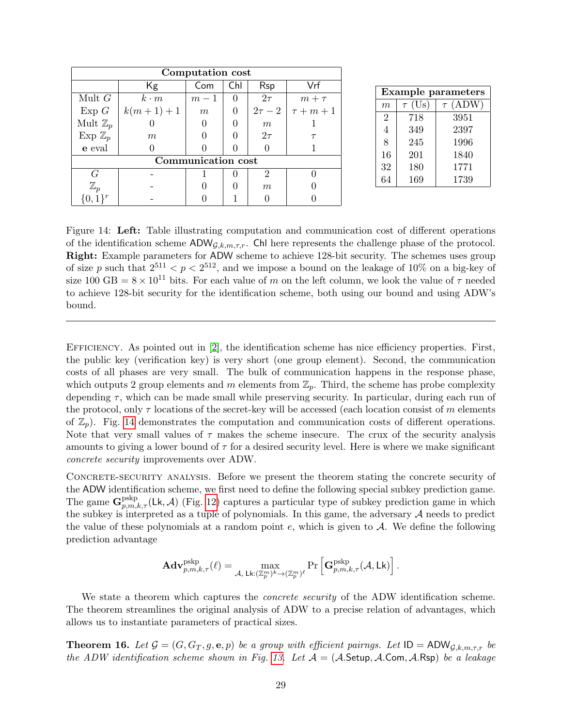<span id="page-28-2"></span>

|                     |             | Computation cost |          |                  |            |
|---------------------|-------------|------------------|----------|------------------|------------|
|                     |             |                  |          |                  |            |
|                     | Kg          | Com              | Chl      | <b>Rsp</b>       | Vrf        |
| Mult $G$            | $k \cdot m$ | $m-1$            | $\theta$ | $2\tau$          | $m + \tau$ |
| Exp G               | $k(m+1)+1$  | m                |          | $2\tau-2$        | $\tau+m+1$ |
| Mult $\mathbb{Z}_p$ |             |                  |          | $\boldsymbol{m}$ |            |
| Exp $\mathbb{Z}_p$  | m           |                  |          | $2\tau$          |            |
| e eval              |             |                  |          |                  |            |
| Communication cost  |             |                  |          |                  |            |
| G                   |             |                  |          |                  |            |
| $\mathbb{Z}_p$      |             |                  |          | $\boldsymbol{m}$ |            |
|                     |             |                  |          |                  |            |

| <b>Example parameters</b> |             |                 |  |  |
|---------------------------|-------------|-----------------|--|--|
| m                         | $\tau$ (Us) | (ADW)<br>$\tau$ |  |  |
| $\overline{2}$            | 718         | 3951            |  |  |
| $\overline{4}$            | 349         | 2397            |  |  |
| 8                         | 245         | 1996            |  |  |
| 16                        | 201         | 1840            |  |  |
| 32                        | 180         | 1771            |  |  |
| 64                        | 169         | 1739            |  |  |

<span id="page-28-1"></span>Figure 14: Left: Table illustrating computation and communication cost of different operations of the identification scheme  $ADW_{G,k,m,\tau,r}$ . Chl here represents the challenge phase of the protocol. Right: Example parameters for ADW scheme to achieve 128-bit security. The schemes uses group of size p such that  $2^{511} < p < 2^{512}$ , and we impose a bound on the leakage of 10% on a big-key of size 100 GB =  $8 \times 10^{11}$  bits. For each value of m on the left column, we look the value of  $\tau$  needed to achieve 128-bit security for the identification scheme, both using our bound and using ADW's bound.

Efficiency. As pointed out in [\[2\]](#page-34-1), the identification scheme has nice efficiency properties. First, the public key (verification key) is very short (one group element). Second, the communication costs of all phases are very small. The bulk of communication happens in the response phase, which outputs 2 group elements and m elements from  $\mathbb{Z}_p$ . Third, the scheme has probe complexity depending  $\tau$ , which can be made small while preserving security. In particular, during each run of the protocol, only  $\tau$  locations of the secret-key will be accessed (each location consist of m elements of  $\mathbb{Z}_p$ ). Fig. [14](#page-28-1) demonstrates the computation and communication costs of different operations. Note that very small values of  $\tau$  makes the scheme insecure. The crux of the security analysis amounts to giving a lower bound of  $\tau$  for a desired security level. Here is where we make significant concrete security improvements over ADW.

CONCRETE-SECURITY ANALYSIS. Before we present the theorem stating the concrete security of the ADW identification scheme, we first need to define the following special subkey prediction game. The game  $\mathbf{G}_{p,m,k,\tau}^{\text{pskp}}(\mathsf{Lk},\mathcal{A})$  (Fig. [12\)](#page-26-0) captures a particular type of subkey prediction game in which the subkey is interpreted as a tuple of polynomials. In this game, the adversary  $A$  needs to predict the value of these polynomials at a random point  $e$ , which is given to  $A$ . We define the following prediction advantage

$$
\mathbf{Adv}_{p,m,k,\tau}^{\mathrm{pskp}}(\ell) = \max_{\mathcal{A}, \; \mathsf{Lk}: (\mathbb{Z}_p^m)^k \rightarrow (\mathbb{Z}_p^m)^{\ell}} \Pr\left[\mathbf{G}_{p,m,k,\tau}^{\mathrm{pskp}}(\mathcal{A},\mathsf{Lk})\right].
$$

We state a theorem which captures the *concrete security* of the ADW identification scheme. The theorem streamlines the original analysis of ADW to a precise relation of advantages, which allows us to instantiate parameters of practical sizes.

<span id="page-28-0"></span>**Theorem 16.** Let  $\mathcal{G} = (G, G_T, g, e, p)$  be a group with efficient pairngs. Let  $ID = ADW_{G,k,m,\tau,r}$  be the ADW identification scheme shown in Fig. [13.](#page-27-0) Let  $\mathcal{A} = (\mathcal{A}.\mathsf{Setup}, \mathcal{A}.\mathsf{Com}, \mathcal{A}.\mathsf{Rsp})$  be a leakage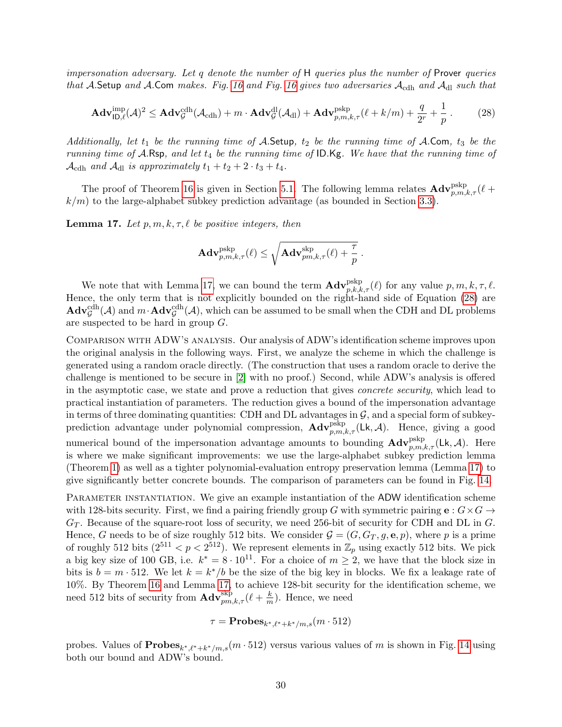<span id="page-29-2"></span>impersonation adversary. Let q denote the number of  $H$  queries plus the number of Prover queries that A.Setup and A.Com makes. Fig. [16](#page-33-0) and Fig. 16 gives two adversaries  $A_{\text{cdh}}$  and  $A_{\text{dl}}$  such that

<span id="page-29-1"></span>
$$
\mathbf{Adv}_{\mathsf{ID},\ell}^{\text{imp}}(\mathcal{A})^2 \leq \mathbf{Adv}_{\mathcal{G}}^{\text{cdh}}(\mathcal{A}_{\text{cdh}}) + m \cdot \mathbf{Adv}_{\mathcal{G}}^{\text{dl}}(\mathcal{A}_{\text{dl}}) + \mathbf{Adv}_{p,m,k,\tau}^{\text{pskp}}(\ell+k/m) + \frac{q}{2^r} + \frac{1}{p}.
$$
 (28)

Additionally, let  $t_1$  be the running time of A.Setup,  $t_2$  be the running time of A.Com,  $t_3$  be the running time of  $\mathcal{A}$ .Rsp, and let  $t_4$  be the running time of ID.Kg. We have that the running time of  $\mathcal{A}_{\text{cdh}}$  and  $\mathcal{A}_{\text{dl}}$  is approximately  $t_1 + t_2 + 2 \cdot t_3 + t_4$ .

The proof of Theorem [16](#page-28-0) is given in Section [5.1.](#page-31-0) The following lemma relates  $\mathbf{Adv}_{p,m,k,\tau}^{\text{pskp}}(\ell +$  $k/m$ ) to the large-alphabet subkey prediction advantage (as bounded in Section [3.3\)](#page-11-0).

<span id="page-29-0"></span>**Lemma 17.** Let  $p, m, k, \tau, \ell$  be positive integers, then

$$
\mathbf{Adv}_{p,m,k,\tau}^{\mathrm{pskp}}(\ell) \leq \sqrt{\mathbf{Adv}_{pm,k,\tau}^{\mathrm{skip}}(\ell) + \frac{\tau}{p}} \ .
$$

We note that with Lemma [17,](#page-29-0) we can bound the term  $\mathbf{Adv}_{p,k,k,\tau}^{\text{pskp}}(\ell)$  for any value  $p, m, k, \tau, \ell$ . Hence, the only term that is not explicitly bounded on the right-hand side of Equation [\(28\)](#page-29-1) are  $\mathbf{Adv}_{\mathcal{G}}^{\text{cdh}}(\mathcal{A})$  and  $m \cdot \mathbf{Adv}_{\mathcal{G}}^{\text{cdh}}(\mathcal{A})$ , which can be assumed to be small when the CDH and DL problems are suspected to be hard in group G.

Comparison with ADW's analysis. Our analysis of ADW's identification scheme improves upon the original analysis in the following ways. First, we analyze the scheme in which the challenge is generated using a random oracle directly. (The construction that uses a random oracle to derive the challenge is mentioned to be secure in [\[2\]](#page-34-1) with no proof.) Second, while ADW's analysis is offered in the asymptotic case, we state and prove a reduction that gives concrete security, which lead to practical instantiation of parameters. The reduction gives a bound of the impersonation advantage in terms of three dominating quantities: CDH and DL advantages in  $\mathcal{G}$ , and a special form of subkeyprediction advantage under polynomial compression,  $\mathbf{Adv}_{p,m,k,\tau}^{\text{pskp}}(\mathsf{Lk},\mathcal{A})$ . Hence, giving a good numerical bound of the impersonation advantage amounts to bounding  $\mathbf{Adv}_{p,m,k,\tau}^{\text{pskp}}(\mathsf{Lk},\mathcal{A})$ . Here is where we make significant improvements: we use the large-alphabet subkey prediction lemma (Theorem [1\)](#page-8-1) as well as a tighter polynomial-evaluation entropy preservation lemma (Lemma [17\)](#page-29-0) to give significantly better concrete bounds. The comparison of parameters can be found in Fig. [14.](#page-28-1)

PARAMETER INSTANTIATION. We give an example instantiation of the ADW identification scheme with 128-bits security. First, we find a pairing friendly group G with symmetric pairing  $e: G \times G \rightarrow$  $G_T$ . Because of the square-root loss of security, we need 256-bit of security for CDH and DL in G. Hence, G needs to be of size roughly 512 bits. We consider  $\mathcal{G} = (G, G_T, g, e, p)$ , where p is a prime of roughly 512 bits  $(2^{511} < p < 2^{512})$ . We represent elements in  $\mathbb{Z}_p$  using exactly 512 bits. We pick a big key size of 100 GB, i.e.  $k^* = 8 \cdot 10^{11}$ . For a choice of  $m \geq 2$ , we have that the block size in bits is  $b = m \cdot 512$ . We let  $k = k^*/b$  be the size of the big key in blocks. We fix a leakage rate of 10%. By Theorem [16](#page-28-0) and Lemma [17,](#page-29-0) to achieve 128-bit security for the identification scheme, we need 512 bits of security from  $\mathbf{Adv}_{pm,k,\tau}^{\text{skip}}(\ell + \frac{k}{m})$  $\frac{k}{m}$ ). Hence, we need

$$
\tau = \mathbf{Probes}_{k^*,\ell^*+k^*/m,s}(m \cdot 512)
$$

probes. Values of  **versus various values of m is shown in Fig. [14](#page-28-1) using** both our bound and ADW's bound.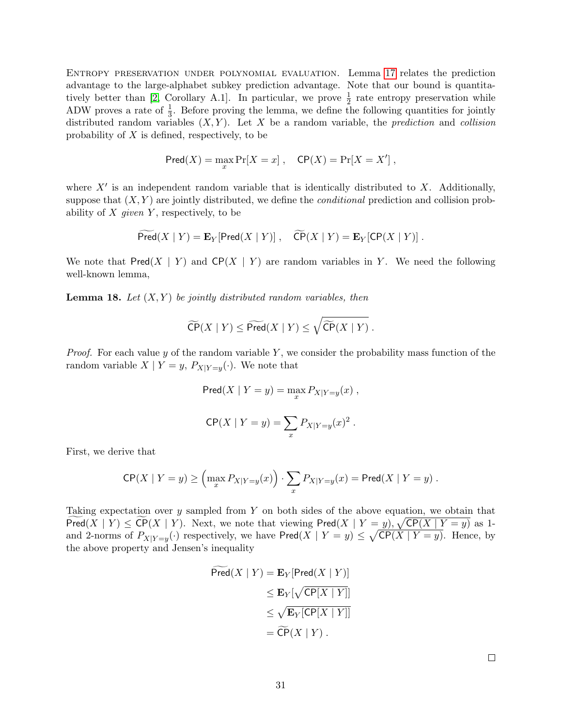<span id="page-30-1"></span>Entropy preservation under polynomial evaluation. Lemma [17](#page-29-0) relates the prediction advantage to the large-alphabet subkey prediction advantage. Note that our bound is quantita-tively better than [\[2,](#page-34-1) Corollary A.1]. In particular, we prove  $\frac{1}{2}$  rate entropy preservation while ADW proves a rate of  $\frac{1}{3}$ . Before proving the lemma, we define the following quantities for jointly distributed random variables  $(X, Y)$ . Let X be a random variable, the *prediction* and *collision* probability of  $X$  is defined, respectively, to be

$$
Pred(X) = \max_x Pr[X = x], \quad \mathsf{CP}(X) = Pr[X = X'],
$$

where  $X'$  is an independent random variable that is identically distributed to X. Additionally, suppose that  $(X, Y)$  are jointly distributed, we define the *conditional* prediction and collision probability of  $X$  given  $Y$ , respectively, to be

$$
\widetilde{\mathsf{Pred}}(X \mid Y) = \mathbf{E}_Y[\mathsf{Pred}(X \mid Y)], \quad \widetilde{\mathsf{CP}}(X \mid Y) = \mathbf{E}_Y[\mathsf{CP}(X \mid Y)].
$$

We note that  $Pred(X \mid Y)$  and  $CP(X \mid Y)$  are random variables in Y. We need the following well-known lemma,

<span id="page-30-0"></span>**Lemma 18.** Let  $(X, Y)$  be jointly distributed random variables, then

$$
\widetilde{\mathsf{CP}}(X \mid Y) \leq \widetilde{\mathsf{Pred}}(X \mid Y) \leq \sqrt{\widetilde{\mathsf{CP}}(X \mid Y)}.
$$

*Proof.* For each value y of the random variable Y, we consider the probability mass function of the random variable  $X \mid Y=y$ ,  $P_{X|Y=y}(\cdot)$ . We note that

$$
Pred(X | Y = y) = \max_{x} P_{X|Y=y}(x) ,
$$
  
\n
$$
CP(X | Y = y) = \sum_{x} P_{X|Y=y}(x)^{2} .
$$

First, we derive that

$$
\mathsf{CP}(X \mid Y=y) \geq \left(\max_x P_{X|Y=y}(x)\right) \cdot \sum_x P_{X|Y=y}(x) = \mathsf{Pred}(X \mid Y=y) .
$$

Taking expectation over y sampled from Y on both sides of the above equation, we obtain that  $\text{Pred}(X | Y) \leq \text{CP}(X | Y)$ . Next, we note that viewing  $\text{Pred}(X | Y = y)$ ,  $\sqrt{\text{CP}(X | Y = y)}$  as 1and 2-norms of  $P_{X|Y=y}(\cdot)$  respectively, we have  $\textsf{Pred}(X | Y = y) \leq \sqrt{\textsf{CP}(X | Y = y)}$ . Hence, by the above property and Jensen's inequality

$$
Pred(X | Y) = \mathbf{E}_{Y}[\text{Pred}(X | Y)]
$$
  
\n
$$
\leq \mathbf{E}_{Y}[\sqrt{\text{CP}[X | Y]}]
$$
  
\n
$$
\leq \sqrt{\text{E}_{Y}[\text{CP}[X | Y]]}
$$
  
\n
$$
= \widetilde{\text{CP}}(X | Y).
$$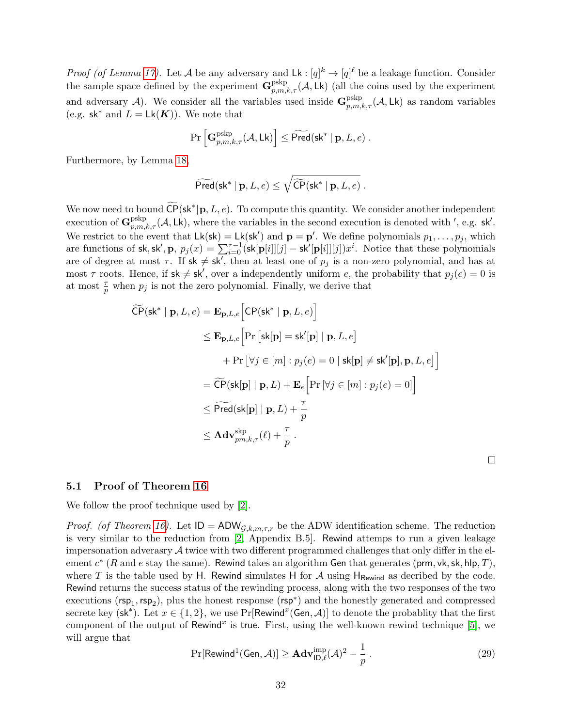<span id="page-31-2"></span>*Proof (of Lemma [17\)](#page-29-0).* Let A be any adversary and  $Lk : [q]^k \to [q]^{\ell}$  be a leakage function. Consider the sample space defined by the experiment  $\mathbf{G}^{\text{pskp}}_{p,m,k,\tau}(\mathcal{A}, \mathsf{Lk})$  (all the coins used by the experiment and adversary A). We consider all the variables used inside  $\mathbf{G}_{p,m,k,\tau}^{\text{pskp}}(\mathcal{A}, \mathsf{Lk})$  as random variables (e.g.  $sk^*$  and  $L = Lk(K)$ ). We note that

$$
\Pr\left[\mathbf{G}^{\mathrm{pskp}}_{p,m,k,\tau}(\mathcal{A},\mathsf{Lk})\right] \leq \widetilde{\mathsf{Pred}}(\mathsf{sk}^* \mid \mathbf{p}, L, e) \ .
$$

Furthermore, by Lemma [18,](#page-30-0)

$$
\widetilde{\mathsf{Pred}}(\mathsf{sk}^* \mid \mathbf{p}, L, e) \leq \sqrt{\widetilde{\mathsf{CP}}(\mathsf{sk}^* \mid \mathbf{p}, L, e)}\ .
$$

We now need to bound  $\widetilde{\mathsf{CP}}(\mathsf{sk}^*|\mathbf{p}, L, e)$ . To compute this quantity. We consider another independent execution of  $\mathbf{G}_{p,m,k,\tau}^{\text{pskp}}(\mathcal{A}, \mathsf{Lk})$ , where the variables in the second execution is denoted with ', e.g. sk'. We restrict to the event that  $L\mathsf{k}(\mathsf{sk}) = L\mathsf{k}(\mathsf{sk}')$  and  $\mathbf{p} = \mathbf{p}'$ . We define polynomials  $p_1, \ldots, p_j$ , which are functions of sk, sk',  $\mathbf{p}, p_j(x) = \sum_{i=0}^{T-1} [\mathsf{sk}[\mathbf{p}[i]][j] - \mathsf{sk}'[\mathbf{p}[i]][j])x^i]$ . Notice that these polynomials are of degree at most  $\tau$ . If  $sk \neq sk'$ , then at least one of  $p_j$  is a non-zero polynomial, and has at most  $\tau$  roots. Hence, if  $sk \neq sk'$ , over a independently uniform e, the probability that  $p_j(e) = 0$  is at most  $\frac{\tau}{p}$  when  $p_j$  is not the zero polynomial. Finally, we derive that

$$
\widetilde{CP}(\mathsf{sk}^* \mid \mathbf{p}, L, e) = \mathbf{E}_{\mathbf{p}, L, e} \Big[ CP(\mathsf{sk}^* \mid \mathbf{p}, L, e) \Big] \n\leq \mathbf{E}_{\mathbf{p}, L, e} \Big[ Pr \big[ \mathsf{sk}[\mathbf{p}] = \mathsf{sk}'[\mathbf{p}] \mid \mathbf{p}, L, e \big] \n+ Pr \big[ \forall j \in [m] : p_j(e) = 0 \mid \mathsf{sk}[\mathbf{p}] \neq \mathsf{sk}'[\mathbf{p}], \mathbf{p}, L, e \big] \Big] \n= \widetilde{CP}(\mathsf{sk}[\mathbf{p}] \mid \mathbf{p}, L) + \mathbf{E}_e \Big[ Pr \big[ \forall j \in [m] : p_j(e) = 0 \big] \Big] \n\leq \widetilde{Pred}(\mathsf{sk}[\mathbf{p}] \mid \mathbf{p}, L) + \frac{\tau}{p} \n\leq \mathbf{Adv}_{pm,k,\tau}^{\text{skp}}(\ell) + \frac{\tau}{p} .
$$

 $\Box$ 

#### <span id="page-31-0"></span>5.1 Proof of Theorem [16](#page-28-0)

We follow the proof technique used by [\[2\]](#page-34-1).

*Proof.* (of Theorem [16\)](#page-28-0). Let  $ID = ADW_{\mathcal{G},k,m,\tau,r}$  be the ADW identification scheme. The reduction is very similar to the reduction from [\[2,](#page-34-1) Appendix B.5]. Rewind attemps to run a given leakage impersonation adverasry  $\mathcal A$  twice with two different programmed challenges that only differ in the element  $c^*$  (R and e stay the same). Rewind takes an algorithm Gen that generates (prm, vk, sk, hlp, T), where T is the table used by H. Rewind simulates H for A using  $H_{\text{Rewind}}$  as decribed by the code. Rewind returns the success status of the rewinding process, along with the two responses of the two executions ( $\mathsf{rsp}_1, \mathsf{rsp}_2$ ), plus the honest response ( $\mathsf{rsp}^*$ ) and the honestly generated and compressed secrete key (sk<sup>\*</sup>). Let  $x \in \{1,2\}$ , we use Pr[Rewind<sup>x</sup>(Gen, A)] to denote the probablity that the first component of the output of Rewind<sup>x</sup> is true. First, using the well-known rewind technique [\[5\]](#page-35-11), we will argue that

<span id="page-31-1"></span>
$$
\Pr[\text{Rewind}^1(\text{Gen}, \mathcal{A})] \ge \mathbf{Adv}_{\mathsf{ID}, \ell}^{\text{imp}}(\mathcal{A})^2 - \frac{1}{p} \,. \tag{29}
$$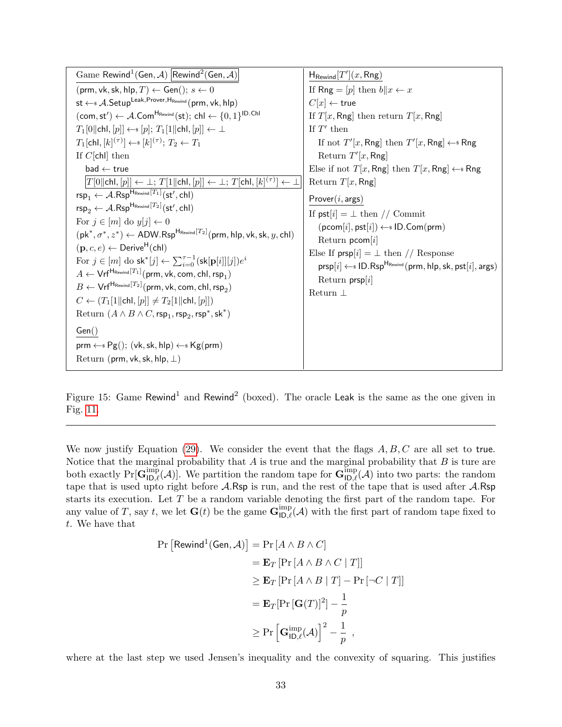| Game Rewind <sup>1</sup> (Gen, A) Rewind <sup>2</sup> (Gen, A)                                                                                                                   | $H_{\text{Rewind}}[T'](x,\text{Rng})$                                                      |
|----------------------------------------------------------------------------------------------------------------------------------------------------------------------------------|--------------------------------------------------------------------------------------------|
| (prm, vk, sk, hlp, $T$ ) $\leftarrow$ Gen(); $s \leftarrow 0$                                                                                                                    | If Rng = [p] then $b  x \leftarrow x$                                                      |
| st $\leftarrow$ <i>A</i> . Setup <sup>Leak, Prover, H<sub>Rewind</sub> (prm, vk, hlp)</sup>                                                                                      | $C[x] \leftarrow$ true                                                                     |
| $(\textsf{com}, \textsf{st}') \leftarrow \mathcal{A}$ .Com <sup>H<sub>Rewind</sub>(st); chl <math>\leftarrow \{0, 1\}^{\textsf{ID}.\textsf{Ch}}</math></sup>                     | If $T[x, Rng]$ then return $T[x, Rng]$                                                     |
| $T_1[0  \text{chl}, [p]] \leftarrow \{ [p]; T_1[1  \text{chl}, [p]] \leftarrow \perp$                                                                                            | If $T'$ then                                                                               |
| $T_1[\text{chl}, [k]^{(\tau)}] \leftarrow \{ [k]^{(\tau)} : T_2 \leftarrow T_1$                                                                                                  | If not $T'[x, \mathsf{Rng}]$ then $T'[x, \mathsf{Rng}] \leftarrow \mathsf{s} \mathsf{Rng}$ |
| If $C[\text{ch}]\$ then                                                                                                                                                          | Return $T'[x, Rng]$                                                                        |
| $bad \leftarrow true$                                                                                                                                                            | Else if not $T[x, \text{Rng}]$ then $T[x, \text{Rng}] \leftarrow \text{Rng}$               |
| $\vert T[0\vert\vert\mathsf{chl}, [p]\vert\leftarrow \bot;\, T[1\vert\vert\mathsf{chl}, [p]\vert\leftarrow \bot;\, T[\mathsf{chl}, [k]^{(\tau)}\vert\leftarrow\bot\vert$         | Return $T[x, Rng]$                                                                         |
| $\mathsf{rsp}_1 \leftarrow \mathcal{A}.\mathsf{Rsp}^{\mathsf{H}_{\mathsf{Rewind}}[T_1]}(\mathsf{st}',\mathsf{chl})$                                                              | Prover(i, args)                                                                            |
| $\mathsf{rsp}_2 \leftarrow \mathcal{A}.\mathsf{Rsp}^{\mathsf{H}_{\mathsf{Rewind}}[T_2]}(\mathsf{st}',\mathsf{chl})$                                                              | If $\mathsf{pst}[i] = \perp \mathsf{then} / / \mathsf{Commit}$                             |
| For $j \in [m]$ do $y[j] \leftarrow 0$                                                                                                                                           | $(pcom[i], pst[i]) \leftarrow s ID.Com(prm)$                                               |
| $(\mathsf{pk}^*, \sigma^*, z^*) \leftarrow \mathsf{ADW}.\mathsf{Rsp}^{\mathsf{H}_{\mathsf{Rewind}}[T_2]}(\mathsf{prm}, \mathsf{hlp}, \mathsf{vk}, \mathsf{sk}, y, \mathsf{chl})$ | Return $pcom[i]$                                                                           |
| $(\mathbf{p}, c, e) \leftarrow$ Derive <sup>H</sup> (chl)                                                                                                                        | Else If $prsp[i] = \perp$ then // Response                                                 |
| For $j \in [m]$ do sk <sup>*</sup> [j] $\leftarrow \sum_{i=0}^{T-1}$ (sk[p[i]][j]) $e^i$                                                                                         | $prsp[i] \leftarrow$ ID.Rsp <sup>H<sub>Rewind</sub> (prm, hlp, sk, pst[i], args)</sup>     |
| $A \leftarrow \mathsf{Vrf}^{\mathsf{H}_{\mathsf{Rewind}}[T_1]}(\mathsf{prm}, \mathsf{vk}, \mathsf{com}, \mathsf{chl}, \mathsf{rsp}_1)$                                           | Return $prsp[i]$                                                                           |
| $B \leftarrow \mathsf{Vrf}^{\mathsf{H}_{\mathsf{Rewind}}[T_2]}(\mathsf{prm}, \mathsf{vk}, \mathsf{com}, \mathsf{chl}, \mathsf{rsp}_2)$                                           | Return $\perp$                                                                             |
| $C \leftarrow (T_1[1  chI, [p]] \neq T_2[1  chI, [p]])$                                                                                                                          |                                                                                            |
| Return $(A \wedge B \wedge C, \text{rsp}_1, \text{rsp}_2, \text{rsp}^*, \text{sk}^*)$                                                                                            |                                                                                            |
| Gen()                                                                                                                                                                            |                                                                                            |
| $\text{prm} \leftarrow \text{spg}(\cdot); (\text{vk}, \text{sk}, \text{hlp}) \leftarrow \text{sp}(\text{prm})$                                                                   |                                                                                            |
| Return (prm, vk, sk, hlp, $\perp$ )                                                                                                                                              |                                                                                            |

Figure 15: Game Rewind<sup>1</sup> and Rewind<sup>2</sup> (boxed). The oracle Leak is the same as the one given in Fig. [11.](#page-25-0)

We now justify Equation [\(29\)](#page-31-1). We consider the event that the flags  $A, B, C$  are all set to true. Notice that the marginal probability that  $A$  is true and the marginal probability that  $B$  is ture are both exactly  $Pr[\mathbf{G}_{\mathsf{ID},\ell}^{\text{imp}}(\mathcal{A})]$ . We partition the random tape for  $\mathbf{G}_{\mathsf{ID},\ell}^{\text{imp}}(\mathcal{A})$  into two parts: the random tape that is used upto right before A.Rsp is run, and the rest of the tape that is used after A.Rsp starts its execution. Let T be a random variable denoting the first part of the random tape. For any value of T, say t, we let  $\mathbf{G}(t)$  be the game  $\mathbf{G}_{\mathsf{ID},\ell}^{\text{imp}}(\mathcal{A})$  with the first part of random tape fixed to t. We have that

$$
\Pr\left[\text{Rewind}^1(\text{Gen}, \mathcal{A})\right] = \Pr\left[A \land B \land C\right] \\
= \mathbf{E}_T \left[\Pr\left[A \land B \land C \mid T\right]\right] \\
\geq \mathbf{E}_T \left[\Pr\left[A \land B \mid T\right] - \Pr\left[\neg C \mid T\right]\right] \\
= \mathbf{E}_T \left[\Pr\left[\mathbf{G}(T)\right]^2\right] - \frac{1}{p} \\
\geq \Pr\left[\mathbf{G}^{\text{imp}}_{\mathsf{ID},\ell}(\mathcal{A})\right]^2 - \frac{1}{p} ,
$$

where at the last step we used Jensen's inequality and the convexity of squaring. This justifies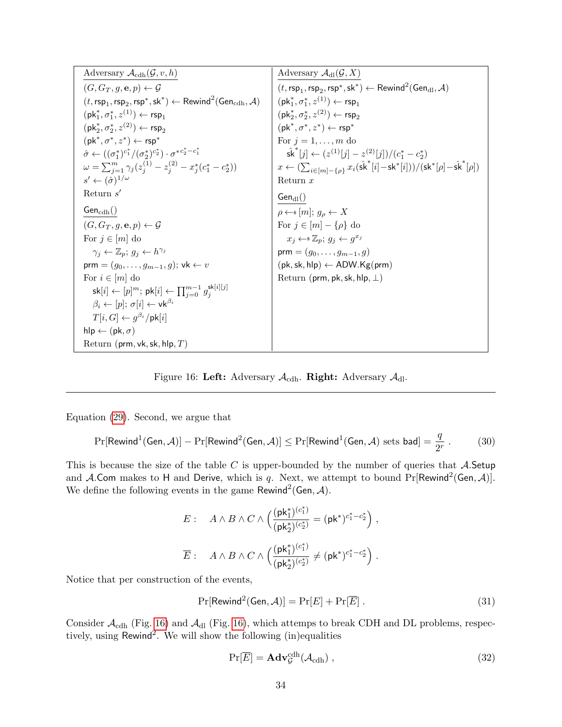| Adversary $\mathcal{A}_{\text{cdh}}(\mathcal{G}, v, h)$                                                                                     | Adversary $\mathcal{A}_{\text{dl}}(\mathcal{G},X)$                                                                                           |
|---------------------------------------------------------------------------------------------------------------------------------------------|----------------------------------------------------------------------------------------------------------------------------------------------|
| $(G, G_T, g, \mathbf{e}, p) \leftarrow \mathcal{G}$                                                                                         | $(t, \text{rsp}_1, \text{rsp}_2, \text{rsp}^*, \text{sk}^*) \leftarrow \text{Rewind}^2(\text{Gen}_{d1}, \mathcal{A})$                        |
| $(t, \mathsf{rsp}_1, \mathsf{rsp}_2, \mathsf{rsp}^*, \mathsf{sk}^*) \leftarrow \mathsf{Rewind}^2(\mathsf{Gen}_{\mathrm{cdh}}, \mathcal{A})$ | $(\mathsf{pk}_1^*, \sigma_1^*, z^{(1)}) \leftarrow \mathsf{rsp}_1$                                                                           |
| $(\mathsf{pk}_1^*, \sigma_1^*, z^{(1)}) \leftarrow \mathsf{rsp}_1$                                                                          | $(\mathsf{pk}_2^*, \sigma_2^*, z^{(2)}) \leftarrow \mathsf{rsp}_2$                                                                           |
| $(\mathsf{pk}_2^*, \sigma_2^*, z^{(2)}) \leftarrow \mathsf{rsp}_2$                                                                          | $(\mathsf{pk}^*, \sigma^*, z^*) \leftarrow \mathsf{rsp}^*$                                                                                   |
| $(\mathsf{pk}^*, \sigma^*, z^*) \leftarrow \mathsf{rsp}^*$                                                                                  | For $j = 1, \ldots, m$ do                                                                                                                    |
| $\hat{\sigma} \leftarrow ((\sigma_1^*)^{c_1^*}/(\sigma_2^*)^{c_2^*}) \cdot \sigma^{*c_2^* - c_1^*}$                                         | $ \hat{\mathsf{sk}}^{*}[j] \leftarrow (z^{(1)}[j] - z^{(2)}[j])/(c_1^* - c_2^*)$                                                             |
| $\omega = \sum_{i=1}^m \gamma_i (z_i^{(1)} - z_i^{(2)} - x_i^* (c_1^* - c_2^*))$                                                            | $x \leftarrow (\sum_{i \in [m] - \{o\}} x_i(\hat{\mathsf{sk}}^*[i] - \mathsf{sk}^*[i])) / (\mathsf{sk}^*[\rho] - \hat{\mathsf{sk}}^*[\rho])$ |
| $s' \leftarrow (\hat{\sigma})^{1/\omega}$                                                                                                   | Return $x$                                                                                                                                   |
| Return $s'$                                                                                                                                 | $Gen_{dl}()$                                                                                                                                 |
| $Gen_{\rm cdh}()$                                                                                                                           | $\rho \leftarrow \s(m); g_{\rho} \leftarrow X$                                                                                               |
| $(G, G_T, g, \mathbf{e}, p) \leftarrow \mathcal{G}$                                                                                         | For $j \in [m] - \{\rho\}$ do                                                                                                                |
| For $j \in [m]$ do                                                                                                                          | $x_j \leftarrow \mathbb{Z}_p; g_j \leftarrow g^{x_j}$                                                                                        |
| $\gamma_i \leftarrow \mathbb{Z}_p$ ; $g_i \leftarrow h^{\gamma_i}$                                                                          | $\mathsf{prm} = (g_0, \ldots, g_{m-1}, g)$                                                                                                   |
| prm = $(g_0, \ldots, g_{m-1}, g)$ ; vk $\leftarrow v$                                                                                       | $(pk, sk, hlp) \leftarrow ADW.Kg(prm)$                                                                                                       |
| For $i \in [m]$ do                                                                                                                          | Return (prm, pk, sk, hlp, $\perp$ )                                                                                                          |
| $\mathsf{sk}[i] \leftarrow [p]^m; \, \mathsf{pk}[i] \leftarrow \prod_{i=0}^{m-1} g_i^{\mathsf{sk}[i][j]}$                                   |                                                                                                                                              |
| $\beta_i \leftarrow [p]; \sigma[i] \leftarrow \mathsf{vk}^{\beta_i}$                                                                        |                                                                                                                                              |
| $T[i, G] \leftarrow q^{\beta_i}/\mathsf{pk}[i]$                                                                                             |                                                                                                                                              |
| hlp $\leftarrow$ (pk, $\sigma$ )                                                                                                            |                                                                                                                                              |
| Return (prm, vk, sk, hlp, $T$ )                                                                                                             |                                                                                                                                              |

<span id="page-33-0"></span>Figure 16: Left: Adversary  $\mathcal{A}_{\mathrm{cdh}}$ . Right: Adversary  $\mathcal{A}_{\mathrm{dl}}$ .

Equation [\(29\)](#page-31-1). Second, we argue that

<span id="page-33-3"></span>
$$
\Pr[\mathsf{Rewind}^1(\mathsf{Gen}, \mathcal{A})] - \Pr[\mathsf{Rewind}^2(\mathsf{Gen}, \mathcal{A})] \le \Pr[\mathsf{Rewind}^1(\mathsf{Gen}, \mathcal{A}) \text{ sets } \mathsf{bad}] = \frac{q}{2^r} \,. \tag{30}
$$

This is because the size of the table  $C$  is upper-bounded by the number of queries that  $A$ . Setup and A.Com makes to H and Derive, which is q. Next, we attempt to bound  $Pr[Rewind^{2}(Gen, \mathcal{A})]$ . We define the following events in the game Rewind<sup>2</sup> (Gen, A).

$$
E: \quad A \wedge B \wedge C \wedge \left(\frac{(\mathsf{pk}_1^*)^{(c_1^*)}}{(\mathsf{pk}_2^*)^{(c_2^*)}} = (\mathsf{pk}^*)^{c_1^*-c_2^*}\right),
$$

$$
\overline{E}: \quad A \wedge B \wedge C \wedge \left(\frac{(\mathsf{pk}_1^*)^{(c_1^*)}}{(\mathsf{pk}_2^*)^{(c_2^*)}} \neq (\mathsf{pk}^*)^{c_1^*-c_2^*}\right).
$$

Notice that per construction of the events,

<span id="page-33-2"></span>
$$
\Pr[\text{Rewind}^2(\text{Gen}, \mathcal{A})] = \Pr[E] + \Pr[\overline{E}]. \tag{31}
$$

Consider  $\mathcal{A}_{\text{cdh}}$  (Fig. [16\)](#page-33-0) and  $\mathcal{A}_{\text{dl}}$  (Fig. 16), which attemps to break CDH and DL problems, respectively, using  $Rewind<sup>2</sup>$ . We will show the following (in)equalities

<span id="page-33-1"></span>
$$
\Pr[\overline{E}] = \mathbf{Adv}_{\mathcal{G}}^{\text{cdh}}(\mathcal{A}_{\text{cdh}}), \qquad (32)
$$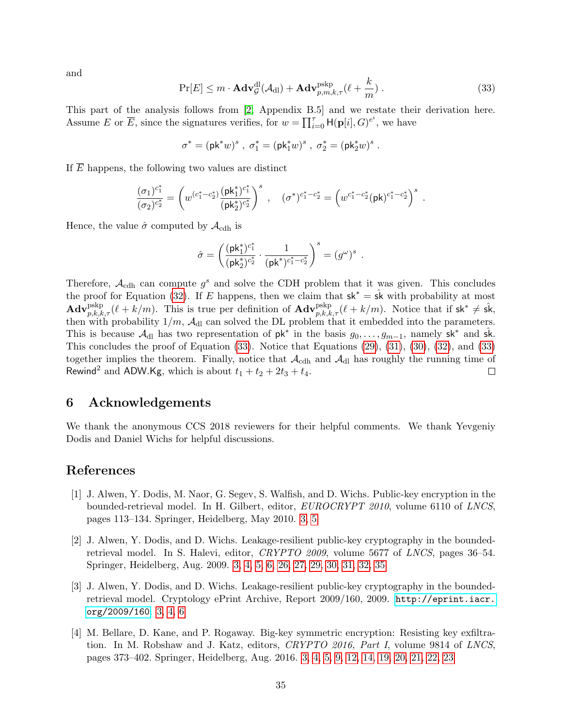<span id="page-34-6"></span>and

<span id="page-34-5"></span>
$$
\Pr[E] \le m \cdot \mathbf{Adv}_{\mathcal{G}}^{\text{dl}}(\mathcal{A}_{\text{dl}}) + \mathbf{Adv}_{p,m,k,\tau}^{\text{pskp}}(\ell + \frac{k}{m}) \,. \tag{33}
$$

This part of the analysis follows from [\[2,](#page-34-1) Appendix B.5] and we restate their derivation here. Assume E or  $\overline{E}$ , since the signatures verifies, for  $w = \prod_{i=0}^{\tau} H(\mathbf{p}[i], G)^{e^i}$ , we have

$$
\sigma^* = (\mathsf{pk}^*w)^s \ , \ \sigma^*_1 = (\mathsf{pk}_1^*w)^s \ , \ \sigma^*_2 = (\mathsf{pk}_2^*w)^s \ .
$$

If  $\overline{E}$  happens, the following two values are distinct

$$
\frac{(\sigma_1)^{c_1^*}}{(\sigma_2)^{c_2^*}} = \left(w^{(c_1^* - c_2^*)}\frac{(\mathsf{pk}_1^*)^{c_1^*}}{(\mathsf{pk}_2^*)^{c_2^*}}\right)^s \ , \quad (\sigma^*)^{c_1^* - c_2^*} = \left(w^{c_1^* - c_2^*}(\mathsf{pk})^{c_1^* - c_2^*}\right)^s \ .
$$

Hence, the value  $\hat{\sigma}$  computed by  $\mathcal{A}_{\text{cdh}}$  is

$$
\hat{\sigma} = \left( \frac{(\mathsf{pk}_1^*)^{c_1^*}}{(\mathsf{pk}_2^*)^{c_2^*}} \cdot \frac{1}{(\mathsf{pk}^*)^{c_1^* - c_2^*}} \right)^s = (g^\omega)^s \enspace.
$$

Therefore,  $\mathcal{A}_{\text{cdh}}$  can compute  $g^s$  and solve the CDH problem that it was given. This concludes the proof for Equation [\(32\)](#page-33-1). If E happens, then we claim that  $sk^* = s\hat{k}$  with probability at most  $\mathbf{Adv}_{p,k,k,\tau}^{\text{pskp}}(\ell+k/m)$ . This is true per definition of  $\mathbf{Adv}_{p,k,k,\tau}^{\text{pskp}}(\ell+k/m)$ . Notice that if  $\mathsf{sk}^* \neq \hat{\mathsf{sk}}$ , then with probability  $1/m$ ,  $\mathcal{A}_{dl}$  can solved the DL problem that it embedded into the parameters. This is because  $\mathcal{A}_{dl}$  has two representation of  $pk^*$  in the basis  $g_0, \ldots, g_{m-1}$ , namely  $sk^*$  and  $sk$ . This concludes the proof of Equation  $(33)$ . Notice that Equations  $(29)$ ,  $(31)$ ,  $(30)$ ,  $(32)$ , and  $(33)$ together implies the theorem. Finally, notice that  $\mathcal{A}_{\text{cdh}}$  and  $\mathcal{A}_{\text{dl}}$  has roughly the running time of Rewind<sup>2</sup> and ADW.Kg, which is about  $t_1 + t_2 + 2t_3 + t_4$ .  $\Box$ 

### <span id="page-34-0"></span>6 Acknowledgements

We thank the anonymous CCS 2018 reviewers for their helpful comments. We thank Yevgeniy Dodis and Daniel Wichs for helpful discussions.

### References

- <span id="page-34-2"></span>[1] J. Alwen, Y. Dodis, M. Naor, G. Segev, S. Walfish, and D. Wichs. Public-key encryption in the bounded-retrieval model. In H. Gilbert, editor, EUROCRYPT 2010, volume 6110 of LNCS, pages 113–134. Springer, Heidelberg, May 2010. [3,](#page-2-1) [5](#page-4-0)
- <span id="page-34-1"></span>[2] J. Alwen, Y. Dodis, and D. Wichs. Leakage-resilient public-key cryptography in the boundedretrieval model. In S. Halevi, editor, CRYPTO 2009, volume 5677 of LNCS, pages 36–54. Springer, Heidelberg, Aug. 2009. [3,](#page-2-1) [4,](#page-3-1) [5,](#page-4-0) [6,](#page-5-1) [26,](#page-25-1) [27,](#page-26-1) [29,](#page-28-2) [30,](#page-29-2) [31,](#page-30-1) [32,](#page-31-2) [35](#page-34-6)
- <span id="page-34-4"></span>[3] J. Alwen, Y. Dodis, and D. Wichs. Leakage-resilient public-key cryptography in the boundedretrieval model. Cryptology ePrint Archive, Report 2009/160, 2009. [http://eprint.iacr.](http://eprint.iacr.org/2009/160) [org/2009/160](http://eprint.iacr.org/2009/160). [3,](#page-2-1) [4,](#page-3-1) [6](#page-5-1)
- <span id="page-34-3"></span>[4] M. Bellare, D. Kane, and P. Rogaway. Big-key symmetric encryption: Resisting key exfiltration. In M. Robshaw and J. Katz, editors, CRYPTO 2016, Part I, volume 9814 of LNCS, pages 373–402. Springer, Heidelberg, Aug. 2016. [3,](#page-2-1) [4,](#page-3-1) [5,](#page-4-0) [9,](#page-8-4) [12,](#page-11-2) [14,](#page-13-3) [19,](#page-18-2) [20,](#page-19-4) [21,](#page-20-3) [22,](#page-21-3) [23](#page-22-3)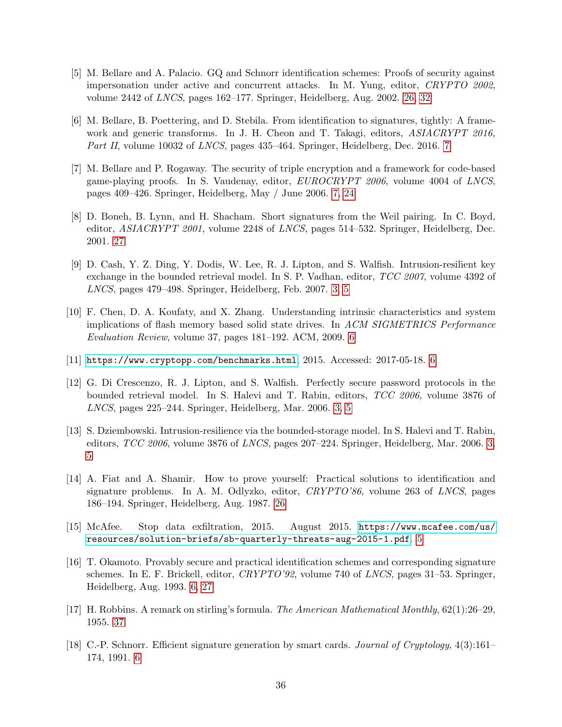- <span id="page-35-11"></span>[5] M. Bellare and A. Palacio. GQ and Schnorr identification schemes: Proofs of security against impersonation under active and concurrent attacks. In M. Yung, editor, CRYPTO 2002, volume 2442 of LNCS, pages 162–177. Springer, Heidelberg, Aug. 2002. [26,](#page-25-1) [32](#page-31-2)
- <span id="page-35-9"></span>[6] M. Bellare, B. Poettering, and D. Stebila. From identification to signatures, tightly: A framework and generic transforms. In J. H. Cheon and T. Takagi, editors, ASIACRYPT 2016, Part II, volume 10032 of LNCS, pages 435–464. Springer, Heidelberg, Dec. 2016. [7](#page-6-0)
- <span id="page-35-8"></span>[7] M. Bellare and P. Rogaway. The security of triple encryption and a framework for code-based game-playing proofs. In S. Vaudenay, editor, EUROCRYPT 2006, volume 4004 of LNCS, pages 409–426. Springer, Heidelberg, May / June 2006. [7,](#page-6-0) [24](#page-23-5)
- <span id="page-35-12"></span>[8] D. Boneh, B. Lynn, and H. Shacham. Short signatures from the Weil pairing. In C. Boyd, editor, ASIACRYPT 2001, volume 2248 of LNCS, pages 514–532. Springer, Heidelberg, Dec. 2001. [27](#page-26-1)
- <span id="page-35-2"></span>[9] D. Cash, Y. Z. Ding, Y. Dodis, W. Lee, R. J. Lipton, and S. Walfish. Intrusion-resilient key exchange in the bounded retrieval model. In S. P. Vadhan, editor, TCC 2007, volume 4392 of LNCS, pages 479–498. Springer, Heidelberg, Feb. 2007. [3,](#page-2-1) [5](#page-4-0)
- <span id="page-35-4"></span>[10] F. Chen, D. A. Koufaty, and X. Zhang. Understanding intrinsic characteristics and system implications of flash memory based solid state drives. In ACM SIGMETRICS Performance Evaluation Review, volume 37, pages 181–192. ACM, 2009. [6](#page-5-1)
- <span id="page-35-5"></span> $[11]$  <https://www.cryptopp.com/benchmarks.html>, 2015. Accessed: 2017-05-18. [6](#page-5-1)
- <span id="page-35-1"></span>[12] G. Di Crescenzo, R. J. Lipton, and S. Walfish. Perfectly secure password protocols in the bounded retrieval model. In S. Halevi and T. Rabin, editors, TCC 2006, volume 3876 of LNCS, pages 225–244. Springer, Heidelberg, Mar. 2006. [3,](#page-2-1) [5](#page-4-0)
- <span id="page-35-0"></span>[13] S. Dziembowski. Intrusion-resilience via the bounded-storage model. In S. Halevi and T. Rabin, editors, TCC 2006, volume 3876 of LNCS, pages 207–224. Springer, Heidelberg, Mar. 2006. [3,](#page-2-1) [5](#page-4-0)
- <span id="page-35-10"></span>[14] A. Fiat and A. Shamir. How to prove yourself: Practical solutions to identification and signature problems. In A. M. Odlyzko, editor, CRYPTO'86, volume 263 of LNCS, pages 186–194. Springer, Heidelberg, Aug. 1987. [26](#page-25-1)
- <span id="page-35-3"></span>[15] McAfee. Stop data exfiltration, 2015. August 2015. [https://www.mcafee.com/us/](https://www.mcafee.com/us/resources/solution-briefs/sb-quarterly-threats-aug-2015-1.pdf) [resources/solution-briefs/sb-quarterly-threats-aug-2015-1.pdf](https://www.mcafee.com/us/resources/solution-briefs/sb-quarterly-threats-aug-2015-1.pdf). [5](#page-4-0)
- <span id="page-35-7"></span>[16] T. Okamoto. Provably secure and practical identification schemes and corresponding signature schemes. In E. F. Brickell, editor, CRYPTO'92, volume 740 of LNCS, pages 31–53. Springer, Heidelberg, Aug. 1993. [6,](#page-5-1) [27](#page-26-1)
- <span id="page-35-13"></span>[17] H. Robbins. A remark on stirling's formula. The American Mathematical Monthly, 62(1):26–29, 1955. [37](#page-36-1)
- <span id="page-35-6"></span>[18] C.-P. Schnorr. Efficient signature generation by smart cards. Journal of Cryptology, 4(3):161– 174, 1991. [6](#page-5-1)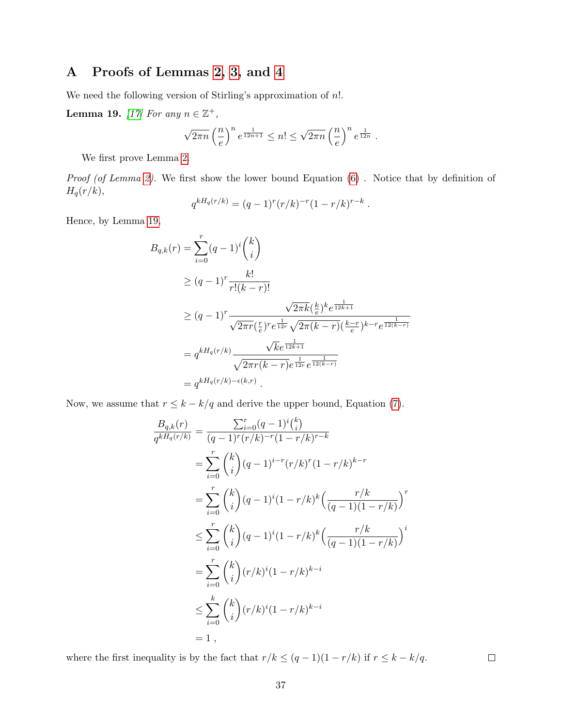## <span id="page-36-1"></span><span id="page-36-0"></span>A Proofs of Lemmas [2,](#page-9-0) [3,](#page-9-1) and [4](#page-9-2)

We need the following version of Stirling's approximation of  $n!$ .

<span id="page-36-2"></span>**Lemma 19.** [\[17\]](#page-35-13) For any  $n \in \mathbb{Z}^+$ ,

$$
\sqrt{2\pi n} \left(\frac{n}{e}\right)^n e^{\frac{1}{12n+1}} \leq n! \leq \sqrt{2\pi n} \left(\frac{n}{e}\right)^n e^{\frac{1}{12n}}.
$$

We first prove Lemma [2.](#page-9-0)

Proof (of Lemma [2\)](#page-9-0). We first show the lower bound Equation  $(6)$ . Notice that by definition of  $H_q(r/k),$ 

$$
q^{kH_q(r/k)} = (q-1)^r (r/k)^{-r} (1-r/k)^{r-k}.
$$

Hence, by Lemma [19,](#page-36-2)

$$
B_{q,k}(r) = \sum_{i=0}^{r} (q-1)^{i} {k \choose i}
$$
  
\n
$$
\geq (q-1)^{r} \frac{k!}{r!(k-r)!}
$$
  
\n
$$
\geq (q-1)^{r} \frac{\sqrt{2\pi k} (\frac{k}{e})^{k} e^{\frac{1}{12k+1}}}{\sqrt{2\pi r} (\frac{r}{e})^{r} e^{\frac{1}{12r}} \sqrt{2\pi (k-r)} (\frac{k-r}{e})^{k-r} e^{\frac{1}{12(k-r)}}
$$
  
\n
$$
= q^{kH_{q}(r/k)} \frac{\sqrt{k} e^{\frac{1}{12k+1}}}{\sqrt{2\pi r(k-r)} e^{\frac{1}{12r}} e^{\frac{1}{12(k-r)}}}
$$
  
\n
$$
= q^{kH_{q}(r/k) - \epsilon(k,r)}.
$$

Now, we assume that  $r \leq k - k/q$  and derive the upper bound, Equation [\(7\)](#page-9-4).

$$
\frac{B_{q,k}(r)}{q^{kH_q(r/k)}} = \frac{\sum_{i=0}^{r} (q-1)^i {k \choose i}}{(q-1)^r (r/k)^{-r} (1-r/k)^{r-k}}
$$
\n
$$
= \sum_{i=0}^{r} {k \choose i} (q-1)^{i-r} (r/k)^r (1-r/k)^{k-r}
$$
\n
$$
= \sum_{i=0}^{r} {k \choose i} (q-1)^i (1-r/k)^k \left(\frac{r/k}{(q-1)(1-r/k)}\right)^r
$$
\n
$$
\leq \sum_{i=0}^{r} {k \choose i} (q-1)^i (1-r/k)^k \left(\frac{r/k}{(q-1)(1-r/k)}\right)^i
$$
\n
$$
= \sum_{i=0}^{r} {k \choose i} (r/k)^i (1-r/k)^{k-i}
$$
\n
$$
\leq \sum_{i=0}^{k} {k \choose i} (r/k)^i (1-r/k)^{k-i}
$$
\n
$$
= 1,
$$

where the first inequality is by the fact that  $r/k \leq (q-1)(1-r/k)$  if  $r \leq k - k/q$ .

 $\Box$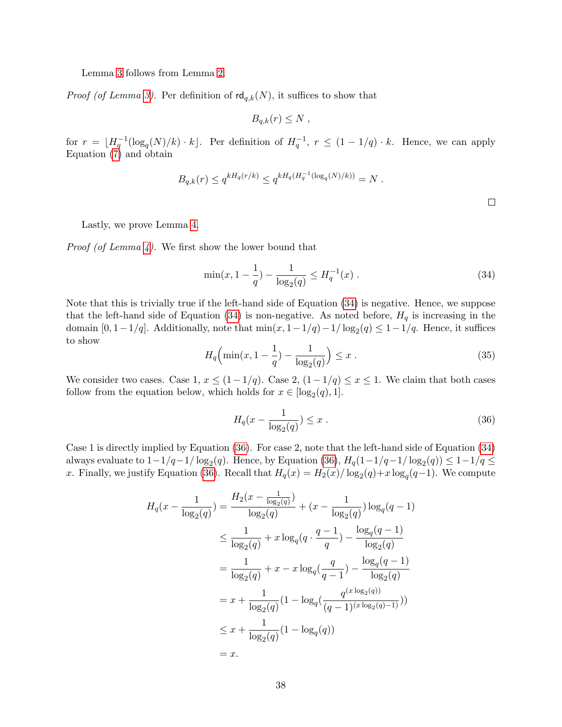Lemma [3](#page-9-1) follows from Lemma [2.](#page-9-0)

*Proof (of Lemma [3\)](#page-9-1)*. Per definition of  $\mathsf{rd}_{q,k}(N)$ , it suffices to show that

$$
B_{q,k}(r) \leq N ,
$$

for  $r = \lfloor H_q^{-1}(\log_q(N)/k) \cdot k \rfloor$ . Per definition of  $H_q^{-1}$ ,  $r \leq (1 - 1/q) \cdot k$ . Hence, we can apply Equation [\(7\)](#page-9-4) and obtain

$$
B_{q,k}(r) \le q^{kH_q(r/k)} \le q^{kH_q(H_q^{-1}(\log_q(N)/k))} = N.
$$

Lastly, we prove Lemma [4.](#page-9-2)

*Proof (of Lemma [4\)](#page-9-2)*. We first show the lower bound that

<span id="page-37-0"></span>
$$
\min(x, 1 - \frac{1}{q}) - \frac{1}{\log_2(q)} \le H_q^{-1}(x) . \tag{34}
$$

Note that this is trivially true if the left-hand side of Equation [\(34\)](#page-37-0) is negative. Hence, we suppose that the left-hand side of Equation [\(34\)](#page-37-0) is non-negative. As noted before,  $H_q$  is increasing in the domain [0, 1 – 1/q]. Additionally, note that  $\min(x, 1 - 1/q) - 1/\log_2(q) \leq 1 - 1/q$ . Hence, it suffices to show

$$
H_q\left(\min(x, 1 - \frac{1}{q}) - \frac{1}{\log_2(q)}\right) \le x \,. \tag{35}
$$

We consider two cases. Case 1,  $x \leq (1-1/q)$ . Case 2,  $(1-1/q) \leq x \leq 1$ . We claim that both cases follow from the equation below, which holds for  $x \in [\log_2(q), 1]$ .

<span id="page-37-1"></span>
$$
H_q(x - \frac{1}{\log_2(q)}) \le x \ . \tag{36}
$$

Case 1 is directly implied by Equation [\(36\)](#page-37-1). For case 2, note that the left-hand side of Equation [\(34\)](#page-37-0) always evaluate to  $1-1/q-1/\log_2(q)$ . Hence, by Equation [\(36\)](#page-37-1),  $H_q(1-1/q-1/\log_2(q)) \leq 1-1/q \leq$ x. Finally, we justify Equation [\(36\)](#page-37-1). Recall that  $H_q(x) = H_2(x)/\log_2(q) + x \log_q(q-1)$ . We compute

$$
H_q(x - \frac{1}{\log_2(q)}) = \frac{H_2(x - \frac{1}{\log_2(q)})}{\log_2(q)} + (x - \frac{1}{\log_2(q)})\log_q(q - 1)
$$
  
\n
$$
\leq \frac{1}{\log_2(q)} + x\log_q(q \cdot \frac{q - 1}{q}) - \frac{\log_q(q - 1)}{\log_2(q)}
$$
  
\n
$$
= \frac{1}{\log_2(q)} + x - x\log_q(\frac{q}{q - 1}) - \frac{\log_q(q - 1)}{\log_2(q)}
$$
  
\n
$$
= x + \frac{1}{\log_2(q)}(1 - \log_q(\frac{q^{(x\log_2(q))}}{(q - 1)^{(x\log_2(q) - 1)}}))
$$
  
\n
$$
\leq x + \frac{1}{\log_2(q)}(1 - \log_q(q))
$$
  
\n
$$
= x.
$$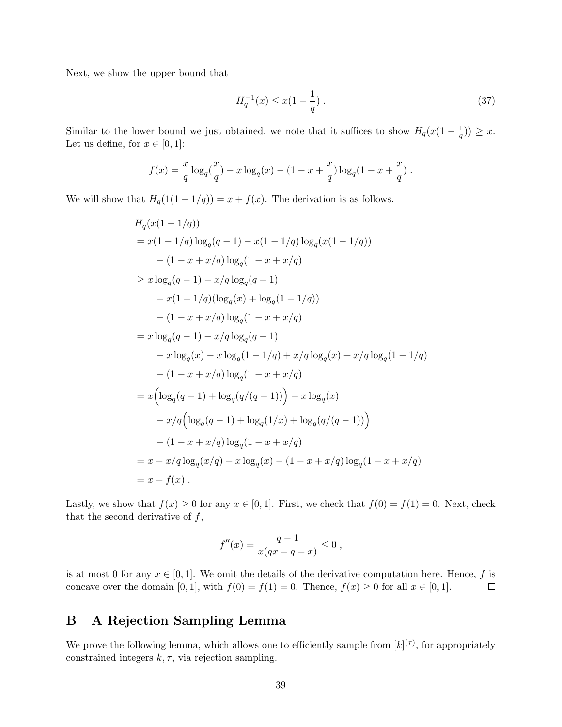Next, we show the upper bound that

$$
H_q^{-1}(x) \le x(1 - \frac{1}{q}) \tag{37}
$$

Similar to the lower bound we just obtained, we note that it suffices to show  $H_q(x(1-\frac{1}{q}))$  $(\frac{1}{q})\big) \geq x.$ Let us define, for  $x \in [0,1]$ :

$$
f(x) = \frac{x}{q} \log_q(\frac{x}{q}) - x \log_q(x) - (1 - x + \frac{x}{q}) \log_q(1 - x + \frac{x}{q}).
$$

We will show that  $H_q(1(1-1/q)) = x + f(x)$ . The derivation is as follows.

$$
H_q(x(1-1/q))
$$
  
=  $x(1-1/q) \log_q(q-1) - x(1-1/q) \log_q(x(1-1/q))$   
 $- (1-x+x/q) \log_q(1-x+x/q)$   
 $\geq x \log_q(q-1) - x/q \log_q(q-1)$   
 $- x(1-1/q)(\log_q(x) + \log_q(1-1/q))$   
 $- (1-x+x/q) \log_q(1-x+x/q)$   
=  $x \log_q(q-1) - x/q \log_q(q-1)$   
 $- x \log_q(x) - x \log_q(1-1/q) + x/q \log_q(x) + x/q \log_q(1-1/q)$   
 $- (1-x+x/q) \log_q(1-x+x/q)$   
=  $x (\log_q(q-1) + \log_q(q/(q-1))) - x \log_q(x)$   
 $- x/q (\log_q(q-1) + \log_q(1/x) + \log_q(q/(q-1)))$   
 $- (1-x+x/q) \log_q(1-x+x/q)$   
=  $x + x/q \log_q(x/q) - x \log_q(x) - (1-x+x/q) \log_q(1-x+x/q)$   
=  $x + f(x)$ .

Lastly, we show that  $f(x) \ge 0$  for any  $x \in [0, 1]$ . First, we check that  $f(0) = f(1) = 0$ . Next, check that the second derivative of  $f$ ,

$$
f''(x) = \frac{q-1}{x(qx-q-x)} \le 0,
$$

is at most 0 for any  $x \in [0,1]$ . We omit the details of the derivative computation here. Hence, f is concave over the domain [0, 1], with  $f(0) = f(1) = 0$ . Thence,  $f(x) \ge 0$  for all  $x \in [0, 1]$ .  $\Box$ 

## <span id="page-38-0"></span>B A Rejection Sampling Lemma

We prove the following lemma, which allows one to efficiently sample from  $[k]^{(\tau)}$ , for appropriately constrained integers  $k, \tau$ , via rejection sampling.